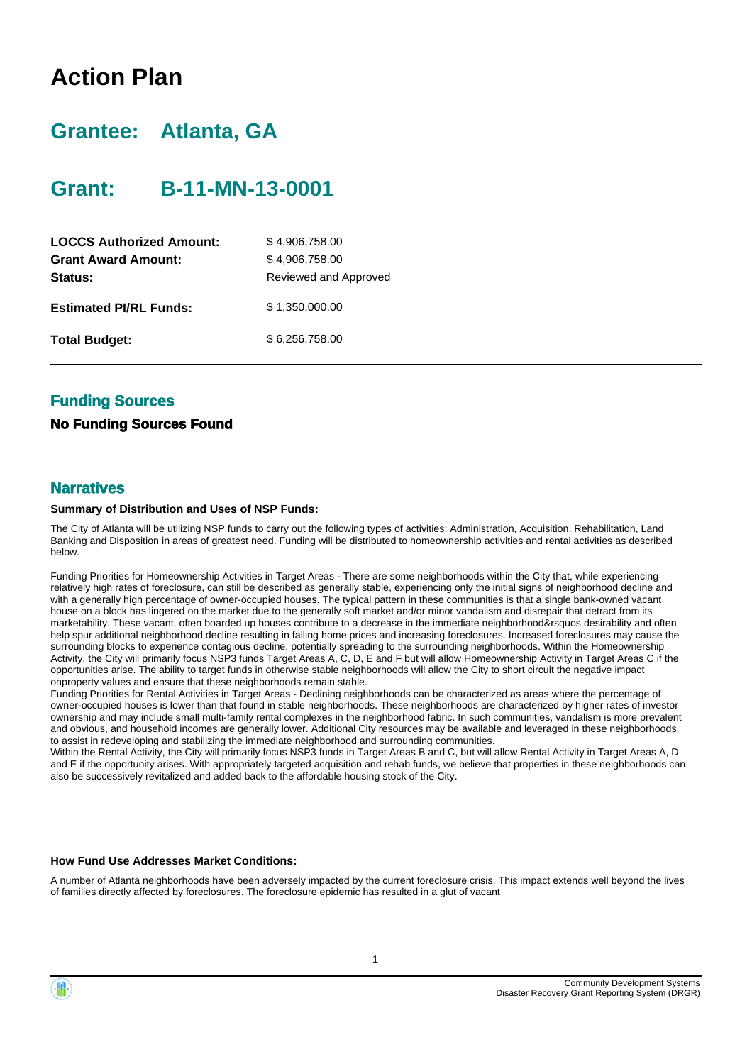# **Action Plan**

# **Grantee: Atlanta, GA**

# **Grant: B-11-MN-13-0001**

| <b>LOCCS Authorized Amount:</b><br><b>Grant Award Amount:</b><br><b>Status:</b> | \$4,906,758.00<br>\$4,906,758.00<br>Reviewed and Approved |
|---------------------------------------------------------------------------------|-----------------------------------------------------------|
| <b>Estimated PI/RL Funds:</b>                                                   | \$1,350,000.00                                            |
| <b>Total Budget:</b>                                                            | \$6,256,758.00                                            |

### **Funding Sources**

#### **No Funding Sources Found**

#### **Narratives**

#### **Summary of Distribution and Uses of NSP Funds:**

The City of Atlanta will be utilizing NSP funds to carry out the following types of activities: Administration, Acquisition, Rehabilitation, Land Banking and Disposition in areas of greatest need. Funding will be distributed to homeownership activities and rental activities as described below.

Funding Priorities for Homeownership Activities in Target Areas - There are some neighborhoods within the City that, while experiencing relatively high rates of foreclosure, can still be described as generally stable, experiencing only the initial signs of neighborhood decline and with a generally high percentage of owner-occupied houses. The typical pattern in these communities is that a single bank-owned vacant house on a block has lingered on the market due to the generally soft market and/or minor vandalism and disrepair that detract from its marketability. These vacant, often boarded up houses contribute to a decrease in the immediate neighborhood&rsquos desirability and often help spur additional neighborhood decline resulting in falling home prices and increasing foreclosures. Increased foreclosures may cause the surrounding blocks to experience contagious decline, potentially spreading to the surrounding neighborhoods. Within the Homeownership Activity, the City will primarily focus NSP3 funds Target Areas A, C, D, E and F but will allow Homeownership Activity in Target Areas C if the opportunities arise. The ability to target funds in otherwise stable neighborhoods will allow the City to short circuit the negative impact onproperty values and ensure that these neighborhoods remain stable.

Funding Priorities for Rental Activities in Target Areas - Declining neighborhoods can be characterized as areas where the percentage of owner-occupied houses is lower than that found in stable neighborhoods. These neighborhoods are characterized by higher rates of investor ownership and may include small multi-family rental complexes in the neighborhood fabric. In such communities, vandalism is more prevalent and obvious, and household incomes are generally lower. Additional City resources may be available and leveraged in these neighborhoods, to assist in redeveloping and stabilizing the immediate neighborhood and surrounding communities.

Within the Rental Activity, the City will primarily focus NSP3 funds in Target Areas B and C, but will allow Rental Activity in Target Areas A, D and E if the opportunity arises. With appropriately targeted acquisition and rehab funds, we believe that properties in these neighborhoods can also be successively revitalized and added back to the affordable housing stock of the City.

#### **How Fund Use Addresses Market Conditions:**

A number of Atlanta neighborhoods have been adversely impacted by the current foreclosure crisis. This impact extends well beyond the lives of families directly affected by foreclosures. The foreclosure epidemic has resulted in a glut of vacant

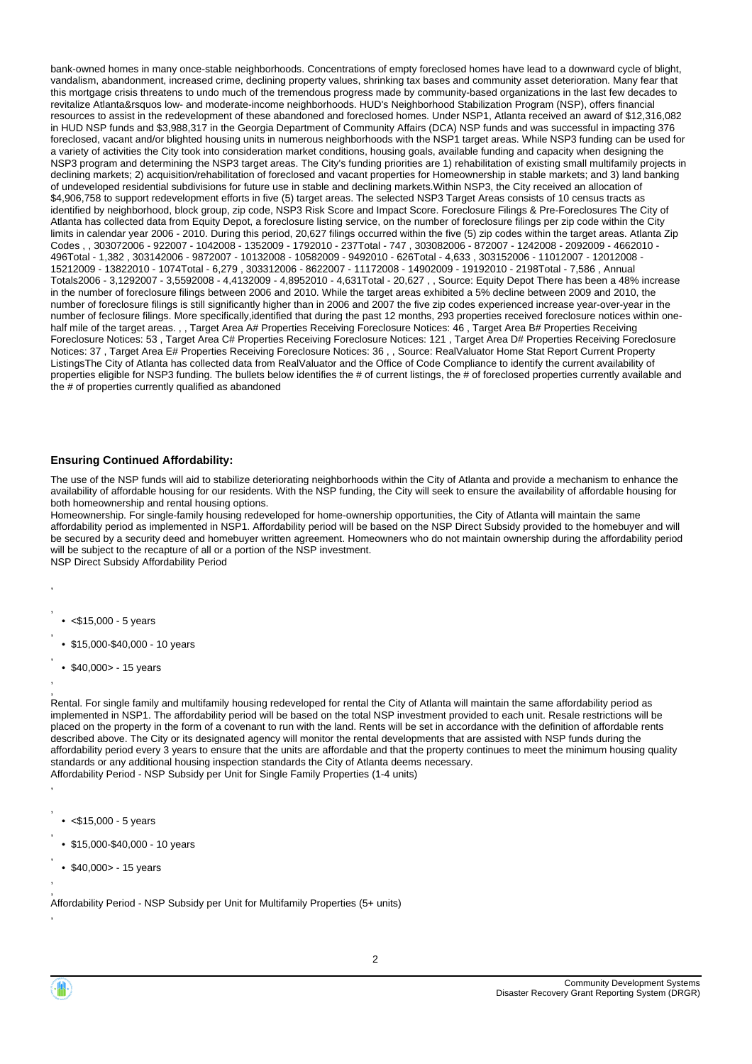bank-owned homes in many once-stable neighborhoods. Concentrations of empty foreclosed homes have lead to a downward cycle of blight, vandalism, abandonment, increased crime, declining property values, shrinking tax bases and community asset deterioration. Many fear that this mortgage crisis threatens to undo much of the tremendous progress made by community-based organizations in the last few decades to revitalize Atlanta&rsquos low- and moderate-income neighborhoods. HUD's Neighborhood Stabilization Program (NSP), offers financial resources to assist in the redevelopment of these abandoned and foreclosed homes. Under NSP1, Atlanta received an award of \$12,316,082 in HUD NSP funds and \$3,988,317 in the Georgia Department of Community Affairs (DCA) NSP funds and was successful in impacting 376 foreclosed, vacant and/or blighted housing units in numerous neighborhoods with the NSP1 target areas. While NSP3 funding can be used for a variety of activities the City took into consideration market conditions, housing goals, available funding and capacity when designing the NSP3 program and determining the NSP3 target areas. The City's funding priorities are 1) rehabilitation of existing small multifamily projects in declining markets; 2) acquisition/rehabilitation of foreclosed and vacant properties for Homeownership in stable markets; and 3) land banking of undeveloped residential subdivisions for future use in stable and declining markets.Within NSP3, the City received an allocation of \$4,906,758 to support redevelopment efforts in five (5) target areas. The selected NSP3 Target Areas consists of 10 census tracts as identified by neighborhood, block group, zip code, NSP3 Risk Score and Impact Score. Foreclosure Filings & Pre-Foreclosures The City of Atlanta has collected data from Equity Depot, a foreclosure listing service, on the number of foreclosure filings per zip code within the City limits in calendar year 2006 - 2010. During this period, 20,627 filings occurred within the five (5) zip codes within the target areas. Atlanta Zip Codes , , 303072006 - 922007 - 1042008 - 1352009 - 1792010 - 237Total - 747 , 303082006 - 872007 - 1242008 - 2092009 - 4662010 - 496Total - 1,382 , 303142006 - 9872007 - 10132008 - 10582009 - 9492010 - 626Total - 4,633 , 303152006 - 11012007 - 12012008 - 15212009 - 13822010 - 1074Total - 6,279 , 303312006 - 8622007 - 11172008 - 14902009 - 19192010 - 2198Total - 7,586 , Annual Totals2006 - 3,1292007 - 3,5592008 - 4,4132009 - 4,8952010 - 4,631Total - 20,627 , , Source: Equity Depot There has been a 48% increase in the number of foreclosure filings between 2006 and 2010. While the target areas exhibited a 5% decline between 2009 and 2010, the number of foreclosure filings is still significantly higher than in 2006 and 2007 the five zip codes experienced increase year-over-year in the number of feclosure filings. More specifically,identified that during the past 12 months, 293 properties received foreclosure notices within onehalf mile of the target areas. , , Target Area A# Properties Receiving Foreclosure Notices: 46 , Target Area B# Properties Receiving Foreclosure Notices: 53 , Target Area C# Properties Receiving Foreclosure Notices: 121 , Target Area D# Properties Receiving Foreclosure Notices: 37 , Target Area E# Properties Receiving Foreclosure Notices: 36 , , Source: RealValuator Home Stat Report Current Property ListingsThe City of Atlanta has collected data from RealValuator and the Office of Code Compliance to identify the current availability of properties eligible for NSP3 funding. The bullets below identifies the # of current listings, the # of foreclosed properties currently available and the # of properties currently qualified as abandoned

#### **Ensuring Continued Affordability:**

The use of the NSP funds will aid to stabilize deteriorating neighborhoods within the City of Atlanta and provide a mechanism to enhance the availability of affordable housing for our residents. With the NSP funding, the City will seek to ensure the availability of affordable housing for both homeownership and rental housing options.

Homeownership. For single-family housing redeveloped for home-ownership opportunities, the City of Atlanta will maintain the same affordability period as implemented in NSP1. Affordability period will be based on the NSP Direct Subsidy provided to the homebuyer and will be secured by a security deed and homebuyer written agreement. Homeowners who do not maintain ownership during the affordability period will be subject to the recapture of all or a portion of the NSP investment. NSP Direct Subsidy Affordability Period

,  $\cdot$  <\$15,000 - 5 years

,

,

,

,

, ,

,

,

,

,

- \$15,000-\$40,000 10 years
- \$40,000> 15 years

, Rental. For single family and multifamily housing redeveloped for rental the City of Atlanta will maintain the same affordability period as implemented in NSP1. The affordability period will be based on the total NSP investment provided to each unit. Resale restrictions will be placed on the property in the form of a covenant to run with the land. Rents will be set in accordance with the definition of affordable rents described above. The City or its designated agency will monitor the rental developments that are assisted with NSP funds during the affordability period every 3 years to ensure that the units are affordable and that the property continues to meet the minimum housing quality standards or any additional housing inspection standards the City of Atlanta deems necessary. Affordability Period - NSP Subsidy per Unit for Single Family Properties (1-4 units)

- $\cdot$  <\$15,000 5 years
- \$15,000-\$40,000 10 years
- \$40,000> 15 years

, Affordability Period - NSP Subsidy per Unit for Multifamily Properties (5+ units)

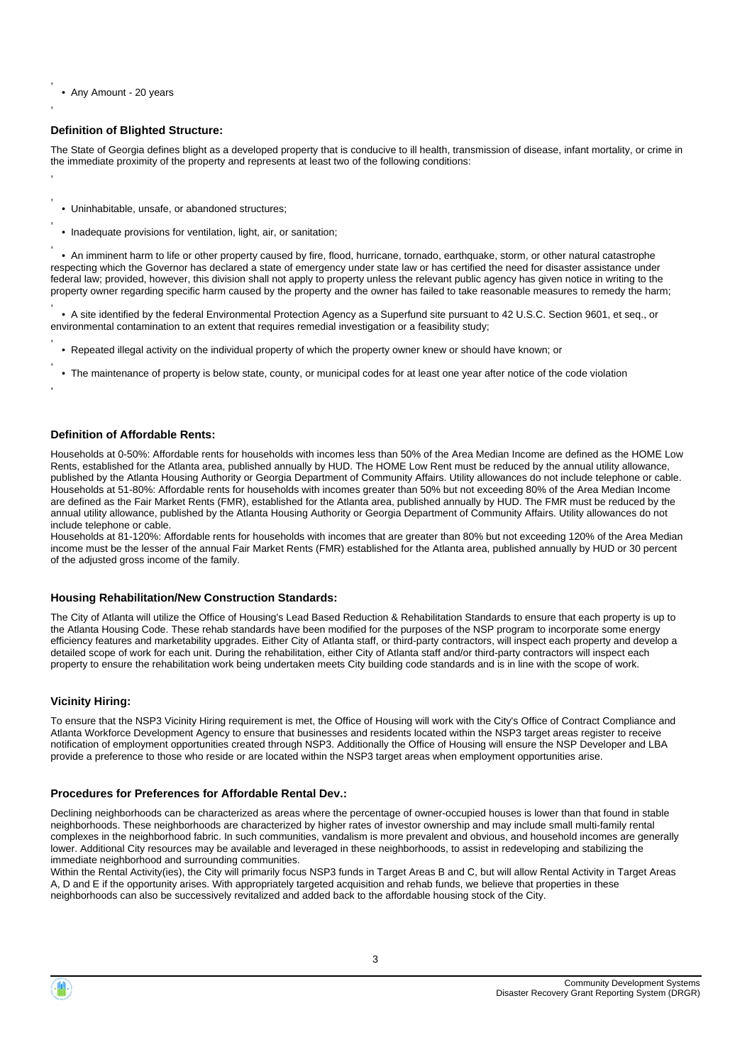• Any Amount - 20 years

,

,

, ,

,

,

,

#### **Definition of Blighted Structure:**

The State of Georgia defines blight as a developed property that is conducive to ill health, transmission of disease, infant mortality, or crime in the immediate proximity of the property and represents at least two of the following conditions:

- Uninhabitable, unsafe, or abandoned structures;
- Inadequate provisions for ventilation, light, air, or sanitation;

 • An imminent harm to life or other property caused by fire, flood, hurricane, tornado, earthquake, storm, or other natural catastrophe respecting which the Governor has declared a state of emergency under state law or has certified the need for disaster assistance under federal law; provided, however, this division shall not apply to property unless the relevant public agency has given notice in writing to the property owner regarding specific harm caused by the property and the owner has failed to take reasonable measures to remedy the harm;

, • A site identified by the federal Environmental Protection Agency as a Superfund site pursuant to 42 U.S.C. Section 9601, et seq., or environmental contamination to an extent that requires remedial investigation or a feasibility study;

- , • Repeated illegal activity on the individual property of which the property owner knew or should have known; or
- , • The maintenance of property is below state, county, or municipal codes for at least one year after notice of the code violation

#### **Definition of Affordable Rents:**

Households at 0-50%: Affordable rents for households with incomes less than 50% of the Area Median Income are defined as the HOME Low Rents, established for the Atlanta area, published annually by HUD. The HOME Low Rent must be reduced by the annual utility allowance, published by the Atlanta Housing Authority or Georgia Department of Community Affairs. Utility allowances do not include telephone or cable. Households at 51-80%: Affordable rents for households with incomes greater than 50% but not exceeding 80% of the Area Median Income are defined as the Fair Market Rents (FMR), established for the Atlanta area, published annually by HUD. The FMR must be reduced by the annual utility allowance, published by the Atlanta Housing Authority or Georgia Department of Community Affairs. Utility allowances do not include telephone or cable.

Households at 81-120%: Affordable rents for households with incomes that are greater than 80% but not exceeding 120% of the Area Median income must be the lesser of the annual Fair Market Rents (FMR) established for the Atlanta area, published annually by HUD or 30 percent of the adjusted gross income of the family.

#### **Housing Rehabilitation/New Construction Standards:**

The City of Atlanta will utilize the Office of Housing's Lead Based Reduction & Rehabilitation Standards to ensure that each property is up to the Atlanta Housing Code. These rehab standards have been modified for the purposes of the NSP program to incorporate some energy efficiency features and marketability upgrades. Either City of Atlanta staff, or third-party contractors, will inspect each property and develop a detailed scope of work for each unit. During the rehabilitation, either City of Atlanta staff and/or third-party contractors will inspect each property to ensure the rehabilitation work being undertaken meets City building code standards and is in line with the scope of work.

#### **Vicinity Hiring:**

To ensure that the NSP3 Vicinity Hiring requirement is met, the Office of Housing will work with the City's Office of Contract Compliance and Atlanta Workforce Development Agency to ensure that businesses and residents located within the NSP3 target areas register to receive notification of employment opportunities created through NSP3. Additionally the Office of Housing will ensure the NSP Developer and LBA provide a preference to those who reside or are located within the NSP3 target areas when employment opportunities arise.

#### **Procedures for Preferences for Affordable Rental Dev.:**

Declining neighborhoods can be characterized as areas where the percentage of owner-occupied houses is lower than that found in stable neighborhoods. These neighborhoods are characterized by higher rates of investor ownership and may include small multi-family rental complexes in the neighborhood fabric. In such communities, vandalism is more prevalent and obvious, and household incomes are generally lower. Additional City resources may be available and leveraged in these neighborhoods, to assist in redeveloping and stabilizing the immediate neighborhood and surrounding communities.

Within the Rental Activity(ies), the City will primarily focus NSP3 funds in Target Areas B and C, but will allow Rental Activity in Target Areas A, D and E if the opportunity arises. With appropriately targeted acquisition and rehab funds, we believe that properties in these neighborhoods can also be successively revitalized and added back to the affordable housing stock of the City.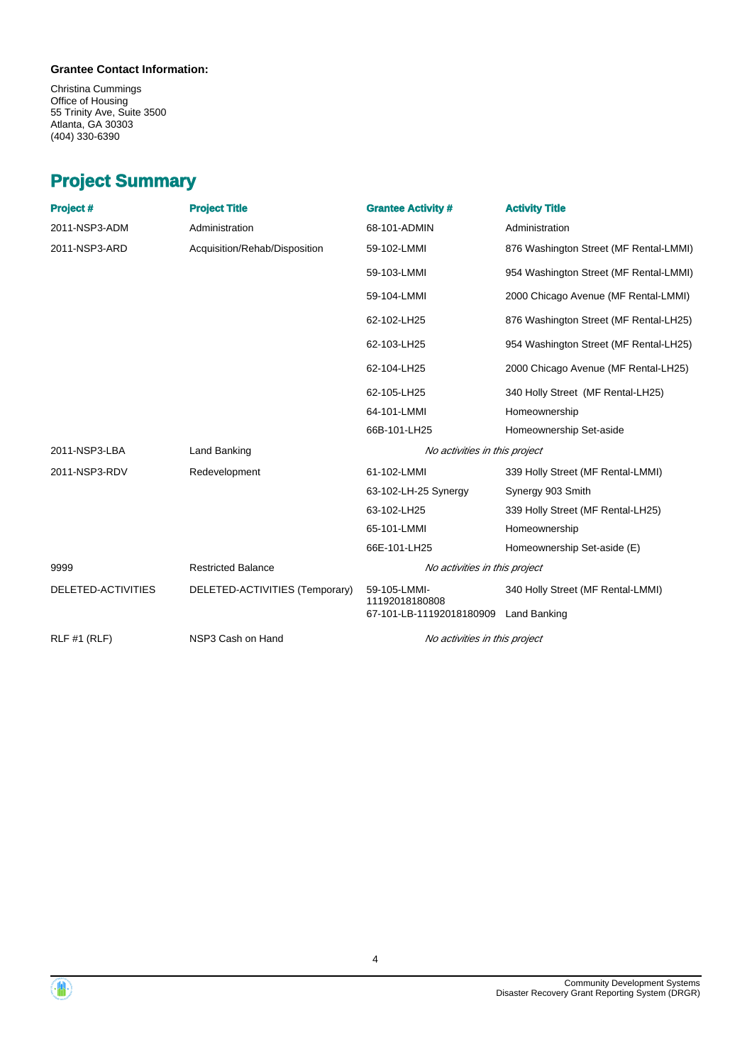#### **Grantee Contact Information:**

Christina Cummings Office of Housing 55 Trinity Ave, Suite 3500 Atlanta, GA 30303 (404) 330-6390

# **Project Summary**

| Project #           | <b>Project Title</b>           | <b>Grantee Activity #</b>      | <b>Activity Title</b>                  |
|---------------------|--------------------------------|--------------------------------|----------------------------------------|
| 2011-NSP3-ADM       | Administration                 | 68-101-ADMIN                   | Administration                         |
| 2011-NSP3-ARD       | Acquisition/Rehab/Disposition  | 59-102-LMMI                    | 876 Washington Street (MF Rental-LMMI) |
|                     |                                | 59-103-LMMI                    | 954 Washington Street (MF Rental-LMMI) |
|                     |                                | 59-104-LMMI                    | 2000 Chicago Avenue (MF Rental-LMMI)   |
|                     |                                | 62-102-LH25                    | 876 Washington Street (MF Rental-LH25) |
|                     |                                | 62-103-LH25                    | 954 Washington Street (MF Rental-LH25) |
|                     |                                | 62-104-LH25                    | 2000 Chicago Avenue (MF Rental-LH25)   |
|                     |                                | 62-105-LH25                    | 340 Holly Street (MF Rental-LH25)      |
|                     |                                | 64-101-LMMI                    | Homeownership                          |
|                     |                                | 66B-101-LH25                   | Homeownership Set-aside                |
| 2011-NSP3-LBA       | Land Banking                   | No activities in this project  |                                        |
| 2011-NSP3-RDV       | Redevelopment                  | 61-102-LMMI                    | 339 Holly Street (MF Rental-LMMI)      |
|                     |                                | 63-102-LH-25 Synergy           | Synergy 903 Smith                      |
|                     |                                | 63-102-LH25                    | 339 Holly Street (MF Rental-LH25)      |
|                     |                                | 65-101-LMMI                    | Homeownership                          |
|                     |                                | 66E-101-LH25                   | Homeownership Set-aside (E)            |
| 9999                | <b>Restricted Balance</b>      | No activities in this project  |                                        |
| DELETED-ACTIVITIES  | DELETED-ACTIVITIES (Temporary) | 59-105-LMMI-<br>11192018180808 | 340 Holly Street (MF Rental-LMMI)      |
|                     |                                | 67-101-LB-11192018180909       | Land Banking                           |
| <b>RLF #1 (RLF)</b> | NSP3 Cash on Hand              | No activities in this project  |                                        |



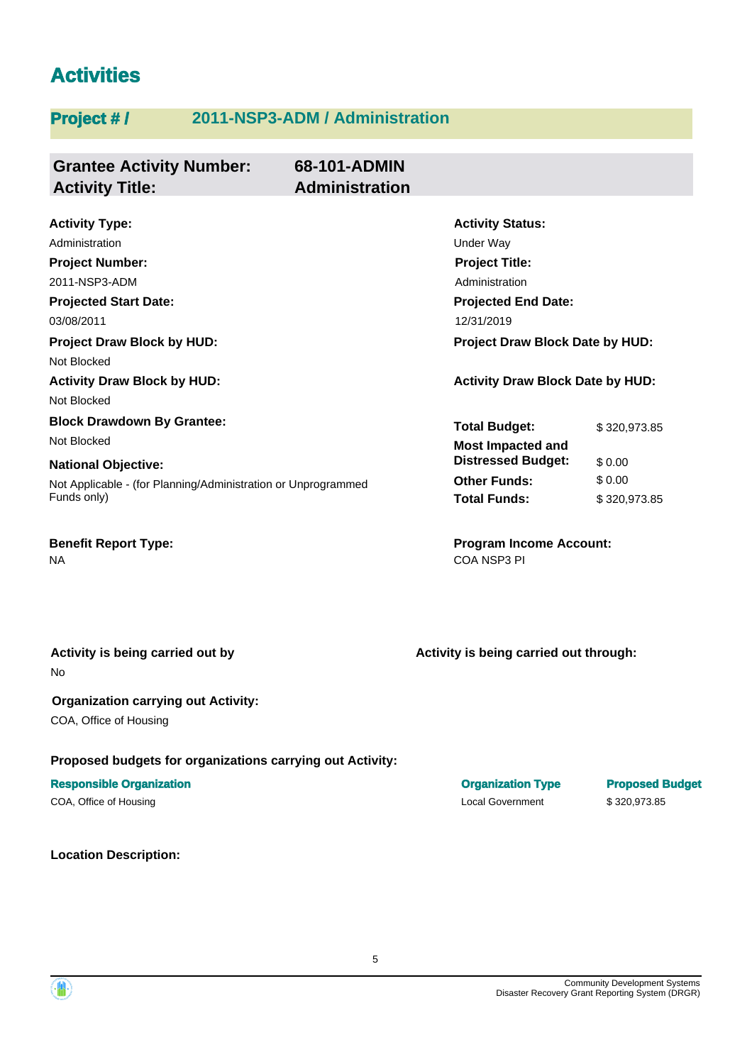# **Activities**

# **Project # / 2011-NSP3-ADM / Administration**

| <b>Grantee Activity Number:</b><br><b>Activity Title:</b>                                   | 68-101-ADMIN<br><b>Administration</b> |                                                  |                  |
|---------------------------------------------------------------------------------------------|---------------------------------------|--------------------------------------------------|------------------|
| <b>Activity Type:</b><br>Administration                                                     |                                       | <b>Activity Status:</b><br>Under Way             |                  |
| <b>Project Number:</b><br>2011-NSP3-ADM                                                     |                                       | <b>Project Title:</b><br>Administration          |                  |
| <b>Projected Start Date:</b><br>03/08/2011                                                  |                                       | <b>Projected End Date:</b><br>12/31/2019         |                  |
| <b>Project Draw Block by HUD:</b><br>Not Blocked                                            |                                       | Project Draw Block Date by HUD:                  |                  |
| <b>Activity Draw Block by HUD:</b><br>Not Blocked                                           |                                       | <b>Activity Draw Block Date by HUD:</b>          |                  |
| <b>Block Drawdown By Grantee:</b><br>Not Blocked                                            |                                       | <b>Total Budget:</b><br><b>Most Impacted and</b> | \$320,973.85     |
| <b>National Objective:</b><br>Not Applicable - (for Planning/Administration or Unprogrammed |                                       | <b>Distressed Budget:</b><br><b>Other Funds:</b> | \$0.00<br>\$0.00 |
| Funds only)                                                                                 |                                       | <b>Total Funds:</b>                              | \$320,973.85     |
| <b>Benefit Report Type:</b><br><b>NA</b>                                                    |                                       | <b>Program Income Account:</b><br>COA NSP3 PI    |                  |

No **Activity is being carried out by**

# **Organization carrying out Activity:**

COA, Office of Housing

#### **Proposed budgets for organizations carrying out Activity:**

#### **Responsible Organization Organization Type Proposed Budget**

COA, Office of Housing Local Government \$ 320,973.85

#### **Location Description:**

**Activity is being carried out through:**

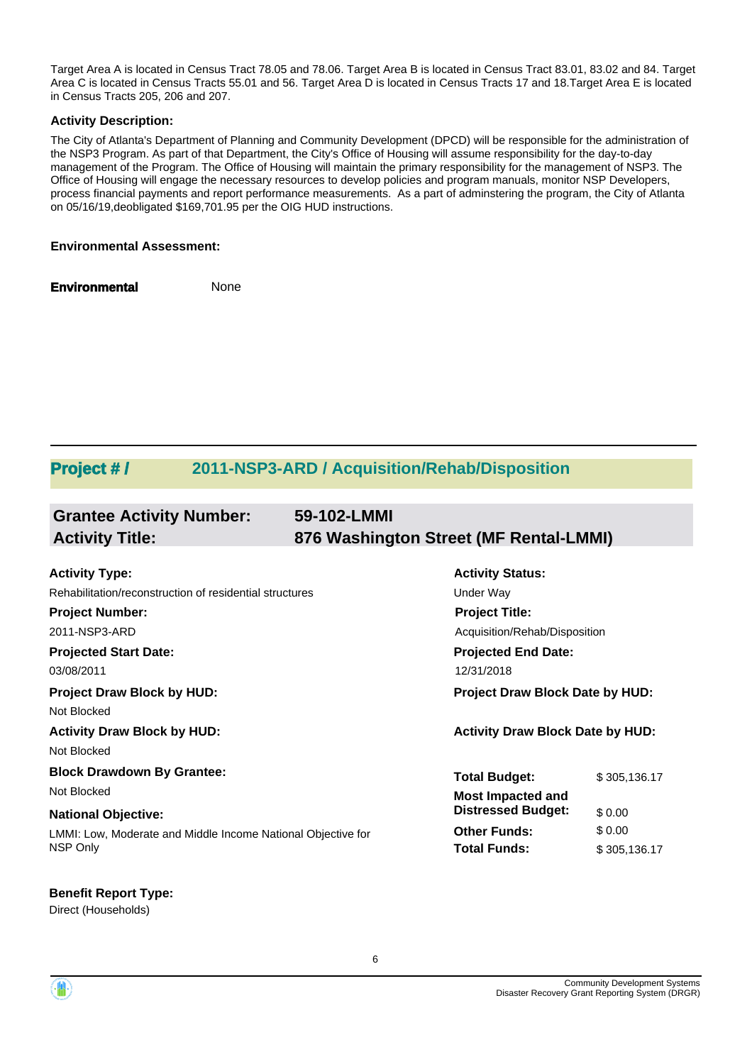Target Area A is located in Census Tract 78.05 and 78.06. Target Area B is located in Census Tract 83.01, 83.02 and 84. Target Area C is located in Census Tracts 55.01 and 56. Target Area D is located in Census Tracts 17 and 18.Target Area E is located in Census Tracts 205, 206 and 207.

#### **Activity Description:**

The City of Atlanta's Department of Planning and Community Development (DPCD) will be responsible for the administration of the NSP3 Program. As part of that Department, the City's Office of Housing will assume responsibility for the day-to-day management of the Program. The Office of Housing will maintain the primary responsibility for the management of NSP3. The Office of Housing will engage the necessary resources to develop policies and program manuals, monitor NSP Developers, process financial payments and report performance measurements. As a part of adminstering the program, the City of Atlanta on 05/16/19,deobligated \$169,701.95 per the OIG HUD instructions.

#### **Environmental Assessment:**

**Environmental** None

# **Project # / 2011-NSP3-ARD / Acquisition/Rehab/Disposition**

| <b>Grantee Activity Number:</b><br><b>Activity Title:</b>    | 59-102-LMMI<br>876 Washington Street (MF Rental-LMMI) |                                         |              |
|--------------------------------------------------------------|-------------------------------------------------------|-----------------------------------------|--------------|
|                                                              |                                                       |                                         |              |
| <b>Activity Type:</b>                                        |                                                       | <b>Activity Status:</b>                 |              |
| Rehabilitation/reconstruction of residential structures      |                                                       | Under Way                               |              |
| <b>Project Number:</b>                                       |                                                       | <b>Project Title:</b>                   |              |
| 2011-NSP3-ARD                                                |                                                       | Acquisition/Rehab/Disposition           |              |
| <b>Projected Start Date:</b>                                 |                                                       | <b>Projected End Date:</b>              |              |
| 03/08/2011                                                   |                                                       | 12/31/2018                              |              |
| <b>Project Draw Block by HUD:</b>                            |                                                       | <b>Project Draw Block Date by HUD:</b>  |              |
| Not Blocked                                                  |                                                       |                                         |              |
| <b>Activity Draw Block by HUD:</b>                           |                                                       | <b>Activity Draw Block Date by HUD:</b> |              |
| Not Blocked                                                  |                                                       |                                         |              |
| <b>Block Drawdown By Grantee:</b>                            |                                                       | <b>Total Budget:</b>                    | \$305,136.17 |
| Not Blocked                                                  |                                                       | <b>Most Impacted and</b>                |              |
| <b>National Objective:</b>                                   |                                                       | <b>Distressed Budget:</b>               | \$0.00       |
| LMMI: Low, Moderate and Middle Income National Objective for |                                                       | <b>Other Funds:</b>                     | \$0.00       |
| NSP Only                                                     |                                                       | <b>Total Funds:</b>                     | \$305,136.17 |

#### **Benefit Report Type:**

Direct (Households)



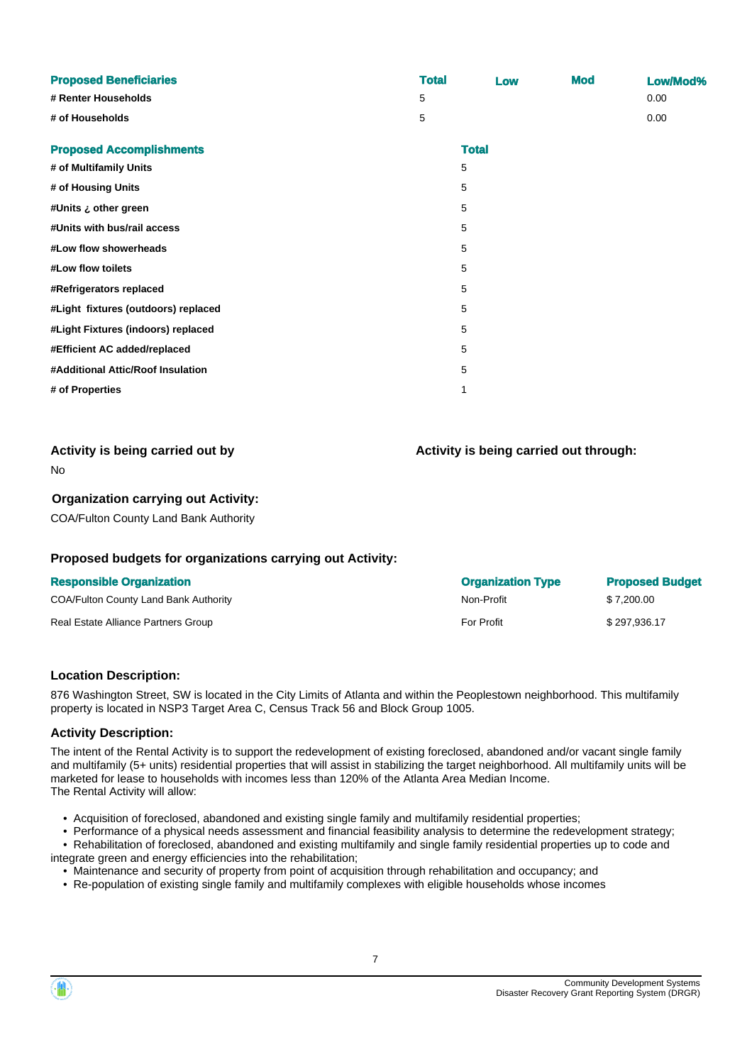| <b>Proposed Beneficiaries</b>       | <b>Total</b> | Low          | <b>Mod</b> | Low/Mod% |
|-------------------------------------|--------------|--------------|------------|----------|
| # Renter Households                 | 5            |              |            | 0.00     |
| # of Households                     | 5            |              |            | 0.00     |
| <b>Proposed Accomplishments</b>     |              | <b>Total</b> |            |          |
| # of Multifamily Units              |              | 5            |            |          |
| # of Housing Units                  |              | 5            |            |          |
| #Units ¿ other green                |              | 5            |            |          |
| #Units with bus/rail access         |              | 5            |            |          |
| #Low flow showerheads               |              | 5            |            |          |
| #Low flow toilets                   |              | 5            |            |          |
| #Refrigerators replaced             |              | 5            |            |          |
| #Light fixtures (outdoors) replaced |              | 5            |            |          |
| #Light Fixtures (indoors) replaced  |              | 5            |            |          |
| #Efficient AC added/replaced        |              | 5            |            |          |
| #Additional Attic/Roof Insulation   |              | 5            |            |          |
| # of Properties                     |              | 1            |            |          |

| Activity is being carried out by |  |
|----------------------------------|--|
|                                  |  |

**Activity is being carried out through:**

No

#### **Organization carrying out Activity:**

COA/Fulton County Land Bank Authority

#### **Proposed budgets for organizations carrying out Activity:**

| <b>Responsible Organization</b>       | <b>Organization Type</b> | <b>Proposed Budget</b> |
|---------------------------------------|--------------------------|------------------------|
| COA/Fulton County Land Bank Authority | Non-Profit               | \$7.200.00             |
| Real Estate Alliance Partners Group   | <b>For Profit</b>        | \$297.936.17           |

#### **Location Description:**

876 Washington Street, SW is located in the City Limits of Atlanta and within the Peoplestown neighborhood. This multifamily property is located in NSP3 Target Area C, Census Track 56 and Block Group 1005.

#### **Activity Description:**

The intent of the Rental Activity is to support the redevelopment of existing foreclosed, abandoned and/or vacant single family and multifamily (5+ units) residential properties that will assist in stabilizing the target neighborhood. All multifamily units will be marketed for lease to households with incomes less than 120% of the Atlanta Area Median Income. The Rental Activity will allow:

- Acquisition of foreclosed, abandoned and existing single family and multifamily residential properties;
- Performance of a physical needs assessment and financial feasibility analysis to determine the redevelopment strategy;
- Rehabilitation of foreclosed, abandoned and existing multifamily and single family residential properties up to code and integrate green and energy efficiencies into the rehabilitation;
	- Maintenance and security of property from point of acquisition through rehabilitation and occupancy; and
	- Re-population of existing single family and multifamily complexes with eligible households whose incomes

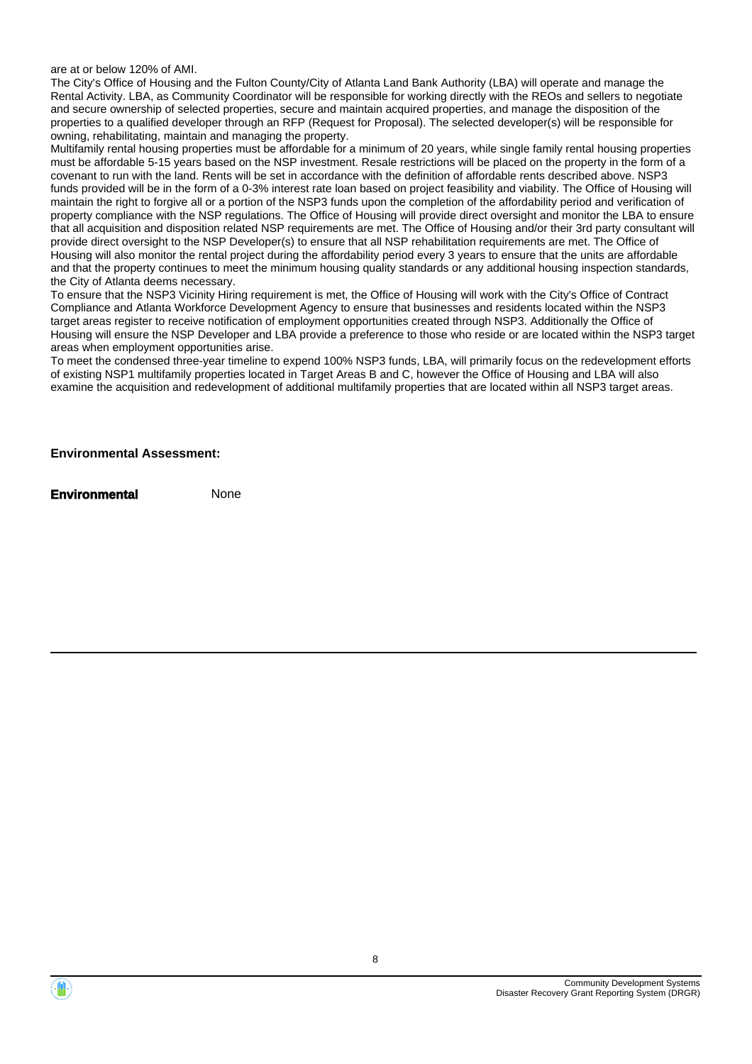are at or below 120% of AMI.

The City's Office of Housing and the Fulton County/City of Atlanta Land Bank Authority (LBA) will operate and manage the Rental Activity. LBA, as Community Coordinator will be responsible for working directly with the REOs and sellers to negotiate and secure ownership of selected properties, secure and maintain acquired properties, and manage the disposition of the properties to a qualified developer through an RFP (Request for Proposal). The selected developer(s) will be responsible for owning, rehabilitating, maintain and managing the property.

Multifamily rental housing properties must be affordable for a minimum of 20 years, while single family rental housing properties must be affordable 5-15 years based on the NSP investment. Resale restrictions will be placed on the property in the form of a covenant to run with the land. Rents will be set in accordance with the definition of affordable rents described above. NSP3 funds provided will be in the form of a 0-3% interest rate loan based on project feasibility and viability. The Office of Housing will maintain the right to forgive all or a portion of the NSP3 funds upon the completion of the affordability period and verification of property compliance with the NSP regulations. The Office of Housing will provide direct oversight and monitor the LBA to ensure that all acquisition and disposition related NSP requirements are met. The Office of Housing and/or their 3rd party consultant will provide direct oversight to the NSP Developer(s) to ensure that all NSP rehabilitation requirements are met. The Office of Housing will also monitor the rental project during the affordability period every 3 years to ensure that the units are affordable and that the property continues to meet the minimum housing quality standards or any additional housing inspection standards, the City of Atlanta deems necessary.

To ensure that the NSP3 Vicinity Hiring requirement is met, the Office of Housing will work with the City's Office of Contract Compliance and Atlanta Workforce Development Agency to ensure that businesses and residents located within the NSP3 target areas register to receive notification of employment opportunities created through NSP3. Additionally the Office of Housing will ensure the NSP Developer and LBA provide a preference to those who reside or are located within the NSP3 target areas when employment opportunities arise.

To meet the condensed three-year timeline to expend 100% NSP3 funds, LBA, will primarily focus on the redevelopment efforts of existing NSP1 multifamily properties located in Target Areas B and C, however the Office of Housing and LBA will also examine the acquisition and redevelopment of additional multifamily properties that are located within all NSP3 target areas.

**Environmental Assessment:**



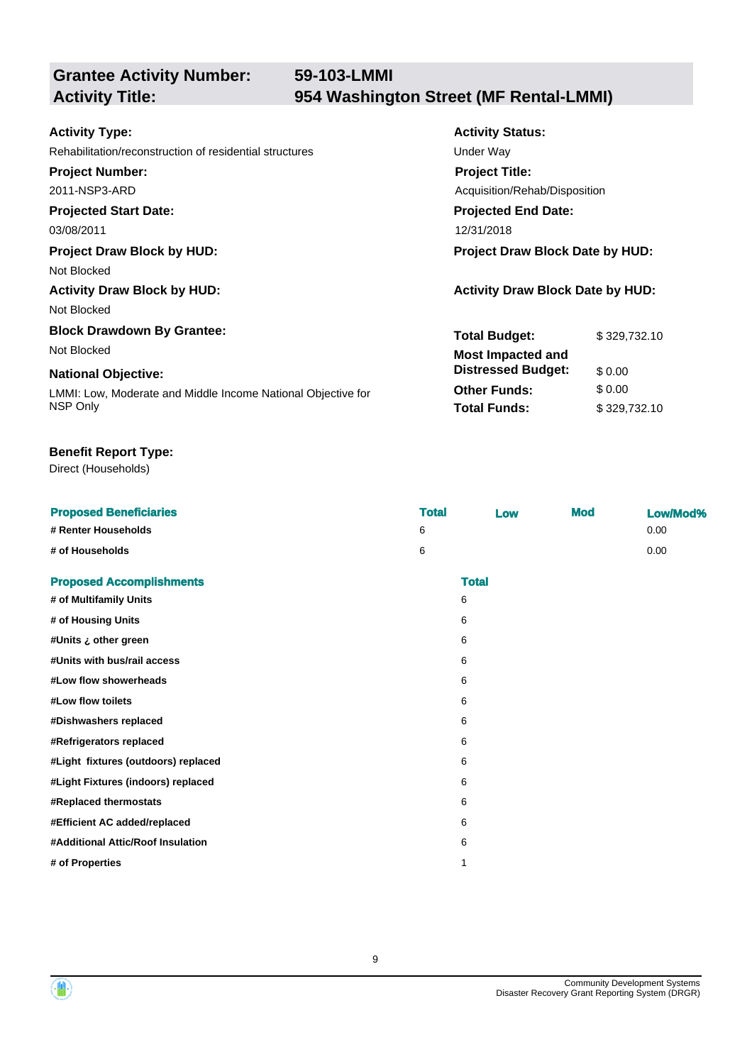**Grantee Activity Number:**

# **59-103-LMMI Activity Title: 954 Washington Street (MF Rental-LMMI)**

**Activity Status:**

**Project Title:**

**Projected End Date:**

Acquisition/Rehab/Disposition

**Total Budget:** \$ 329,732.10

**Other Funds:** \$ 0.00 **Total Funds:** \$ 329,732.10

**Distressed Budget:** \$ 0.00

#### **Activity Type:**

Rehabilitation/reconstruction of residential structures Theorem Constructure Under Way

**Project Number:**

2011-NSP3-ARD

**Projected Start Date:**

03/08/2011 12/31/2018

**Project Draw Block by HUD: Project Draw Block Date by HUD:**

Not Blocked

**Activity Draw Block by HUD: Activity Draw Block Date by HUD:** Not Blocked

**Block Drawdown By Grantee:** Not Blocked **Most Impacted and** 

#### **National Objective:**

LMMI: Low, Moderate and Middle Income National Objective for NSP Only

#### **Benefit Report Type:**

#### Direct (Households)

| <b>Proposed Beneficiaries</b>       | <b>Total</b> | Low          | <b>Mod</b> | Low/Mod% |
|-------------------------------------|--------------|--------------|------------|----------|
| # Renter Households                 | 6            |              |            | 0.00     |
| # of Households                     | 6            |              |            | 0.00     |
| <b>Proposed Accomplishments</b>     |              | <b>Total</b> |            |          |
| # of Multifamily Units              |              | 6            |            |          |
| # of Housing Units                  |              | 6            |            |          |
| #Units ¿ other green                |              | 6            |            |          |
| #Units with bus/rail access         |              | 6            |            |          |
| #Low flow showerheads               |              | 6            |            |          |
| #Low flow toilets                   |              | 6            |            |          |
| #Dishwashers replaced               |              | 6            |            |          |
| #Refrigerators replaced             |              | 6            |            |          |
| #Light fixtures (outdoors) replaced |              | 6            |            |          |
| #Light Fixtures (indoors) replaced  |              | 6            |            |          |
| #Replaced thermostats               |              | 6            |            |          |
| #Efficient AC added/replaced        |              | 6            |            |          |
| #Additional Attic/Roof Insulation   |              | 6            |            |          |
| # of Properties                     |              | $\mathbf{1}$ |            |          |
|                                     |              |              |            |          |



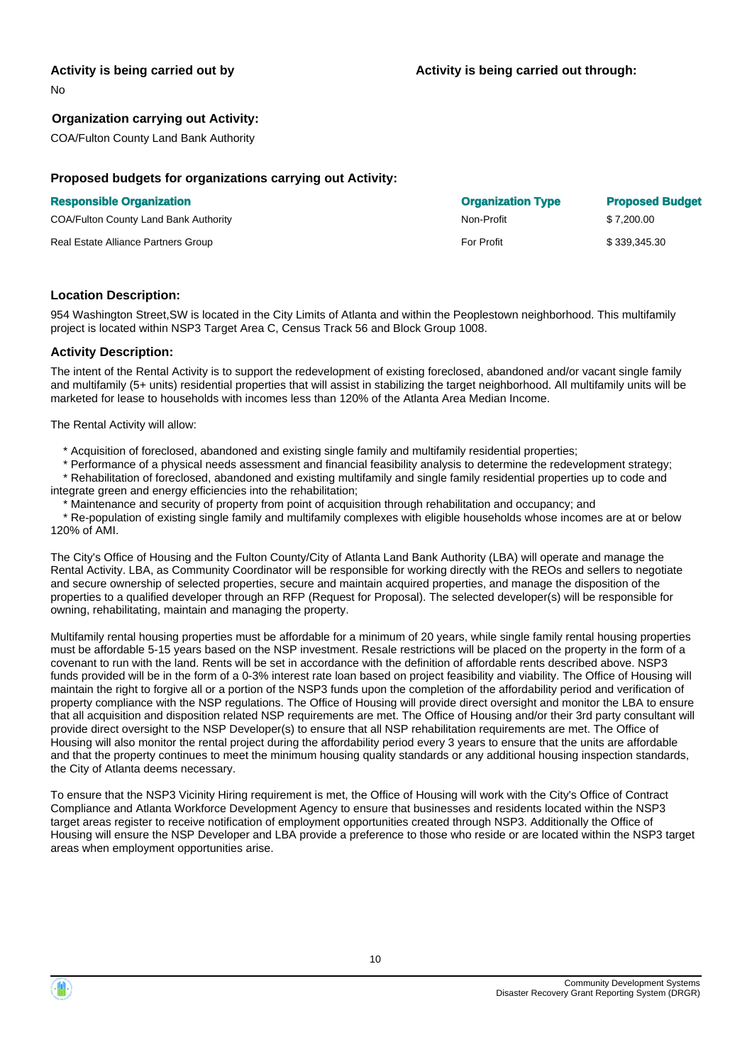#### **Activity is being carried out by**

No

#### **Organization carrying out Activity:**

COA/Fulton County Land Bank Authority

#### **Proposed budgets for organizations carrying out Activity:**

|  | <b>Responsible Organization</b> |
|--|---------------------------------|
|  |                                 |

| <b>Responsible Organization</b>       | <b>Organization Type</b> | <b>Proposed Budget</b> |
|---------------------------------------|--------------------------|------------------------|
| COA/Fulton County Land Bank Authority | Non-Profit               | \$7.200.00             |
| Real Estate Alliance Partners Group   | For Profit               | \$339.345.30           |

#### **Location Description:**

954 Washington Street,SW is located in the City Limits of Atlanta and within the Peoplestown neighborhood. This multifamily project is located within NSP3 Target Area C, Census Track 56 and Block Group 1008.

#### **Activity Description:**

The intent of the Rental Activity is to support the redevelopment of existing foreclosed, abandoned and/or vacant single family and multifamily (5+ units) residential properties that will assist in stabilizing the target neighborhood. All multifamily units will be marketed for lease to households with incomes less than 120% of the Atlanta Area Median Income.

The Rental Activity will allow:

- \* Acquisition of foreclosed, abandoned and existing single family and multifamily residential properties;
- \* Performance of a physical needs assessment and financial feasibility analysis to determine the redevelopment strategy;

 \* Rehabilitation of foreclosed, abandoned and existing multifamily and single family residential properties up to code and integrate green and energy efficiencies into the rehabilitation;

Maintenance and security of property from point of acquisition through rehabilitation and occupancy; and

 \* Re-population of existing single family and multifamily complexes with eligible households whose incomes are at or below 120% of AMI.

The City's Office of Housing and the Fulton County/City of Atlanta Land Bank Authority (LBA) will operate and manage the Rental Activity. LBA, as Community Coordinator will be responsible for working directly with the REOs and sellers to negotiate and secure ownership of selected properties, secure and maintain acquired properties, and manage the disposition of the properties to a qualified developer through an RFP (Request for Proposal). The selected developer(s) will be responsible for owning, rehabilitating, maintain and managing the property.

Multifamily rental housing properties must be affordable for a minimum of 20 years, while single family rental housing properties must be affordable 5-15 years based on the NSP investment. Resale restrictions will be placed on the property in the form of a covenant to run with the land. Rents will be set in accordance with the definition of affordable rents described above. NSP3 funds provided will be in the form of a 0-3% interest rate loan based on project feasibility and viability. The Office of Housing will maintain the right to forgive all or a portion of the NSP3 funds upon the completion of the affordability period and verification of property compliance with the NSP regulations. The Office of Housing will provide direct oversight and monitor the LBA to ensure that all acquisition and disposition related NSP requirements are met. The Office of Housing and/or their 3rd party consultant will provide direct oversight to the NSP Developer(s) to ensure that all NSP rehabilitation requirements are met. The Office of Housing will also monitor the rental project during the affordability period every 3 years to ensure that the units are affordable and that the property continues to meet the minimum housing quality standards or any additional housing inspection standards, the City of Atlanta deems necessary.

To ensure that the NSP3 Vicinity Hiring requirement is met, the Office of Housing will work with the City's Office of Contract Compliance and Atlanta Workforce Development Agency to ensure that businesses and residents located within the NSP3 target areas register to receive notification of employment opportunities created through NSP3. Additionally the Office of Housing will ensure the NSP Developer and LBA provide a preference to those who reside or are located within the NSP3 target areas when employment opportunities arise.

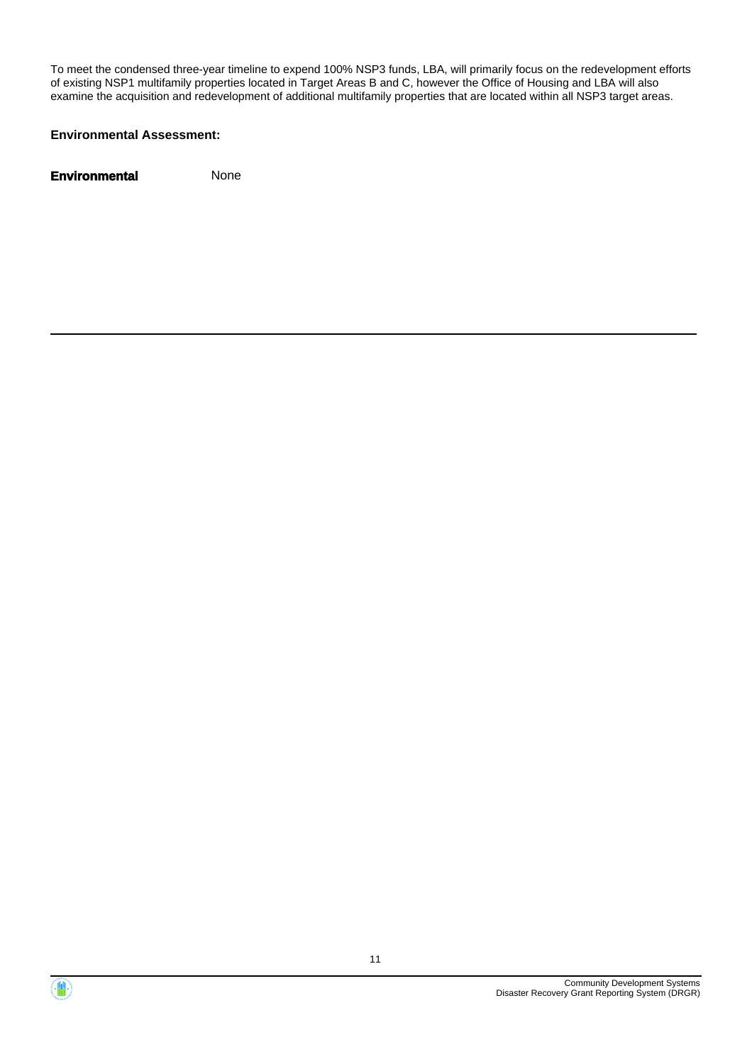To meet the condensed three-year timeline to expend 100% NSP3 funds, LBA, will primarily focus on the redevelopment efforts of existing NSP1 multifamily properties located in Target Areas B and C, however the Office of Housing and LBA will also examine the acquisition and redevelopment of additional multifamily properties that are located within all NSP3 target areas.

#### **Environmental Assessment:**



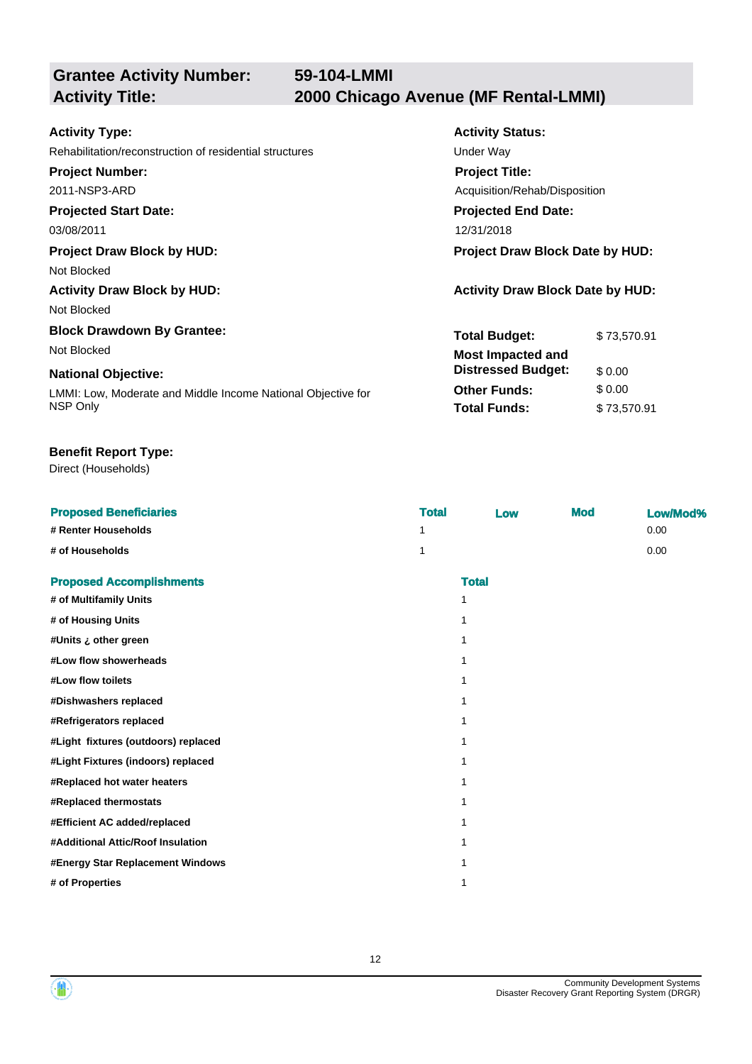**Grantee Activity Number:**

| <b>Activity Type:</b>                                        | <b>Activity Status:</b>                 |             |  |
|--------------------------------------------------------------|-----------------------------------------|-------------|--|
| Rehabilitation/reconstruction of residential structures      | <b>Under Way</b>                        |             |  |
| <b>Project Number:</b>                                       | <b>Project Title:</b>                   |             |  |
| 2011-NSP3-ARD                                                | Acquisition/Rehab/Disposition           |             |  |
| <b>Projected Start Date:</b>                                 | <b>Projected End Date:</b>              |             |  |
| 03/08/2011                                                   | 12/31/2018                              |             |  |
| <b>Project Draw Block by HUD:</b>                            | Project Draw Block Date by HUD:         |             |  |
| Not Blocked                                                  |                                         |             |  |
| <b>Activity Draw Block by HUD:</b>                           | <b>Activity Draw Block Date by HUD:</b> |             |  |
| Not Blocked                                                  |                                         |             |  |
| <b>Block Drawdown By Grantee:</b>                            | <b>Total Budget:</b>                    | \$73,570.91 |  |
| Not Blocked                                                  | <b>Most Impacted and</b>                |             |  |
| <b>National Objective:</b>                                   | <b>Distressed Budget:</b>               | \$0.00      |  |
| LMMI: Low, Moderate and Middle Income National Objective for | <b>Other Funds:</b>                     | \$0.00      |  |
| NSP Only                                                     | <b>Total Funds:</b>                     | \$73,570.91 |  |

#### **Benefit Report Type:**

Direct (Households)

| <b>Proposed Beneficiaries</b>       | <b>Total</b> | Low          | <b>Mod</b> | Low/Mod% |
|-------------------------------------|--------------|--------------|------------|----------|
| # Renter Households                 |              |              |            | 0.00     |
| # of Households                     |              |              |            | 0.00     |
| <b>Proposed Accomplishments</b>     |              | <b>Total</b> |            |          |
| # of Multifamily Units              | 1            |              |            |          |
| # of Housing Units                  | 1            |              |            |          |
| #Units ¿ other green                | 1            |              |            |          |
| #Low flow showerheads               | 1            |              |            |          |
| #Low flow toilets                   | 1            |              |            |          |
| #Dishwashers replaced               | 1            |              |            |          |
| #Refrigerators replaced             | 1            |              |            |          |
| #Light fixtures (outdoors) replaced | 1            |              |            |          |
| #Light Fixtures (indoors) replaced  | 1            |              |            |          |
| #Replaced hot water heaters         | 1            |              |            |          |
| #Replaced thermostats               | 1            |              |            |          |
| #Efficient AC added/replaced        | 1            |              |            |          |
| #Additional Attic/Roof Insulation   | 1            |              |            |          |
| #Energy Star Replacement Windows    | 1            |              |            |          |
| # of Properties                     | 1            |              |            |          |
|                                     |              |              |            |          |



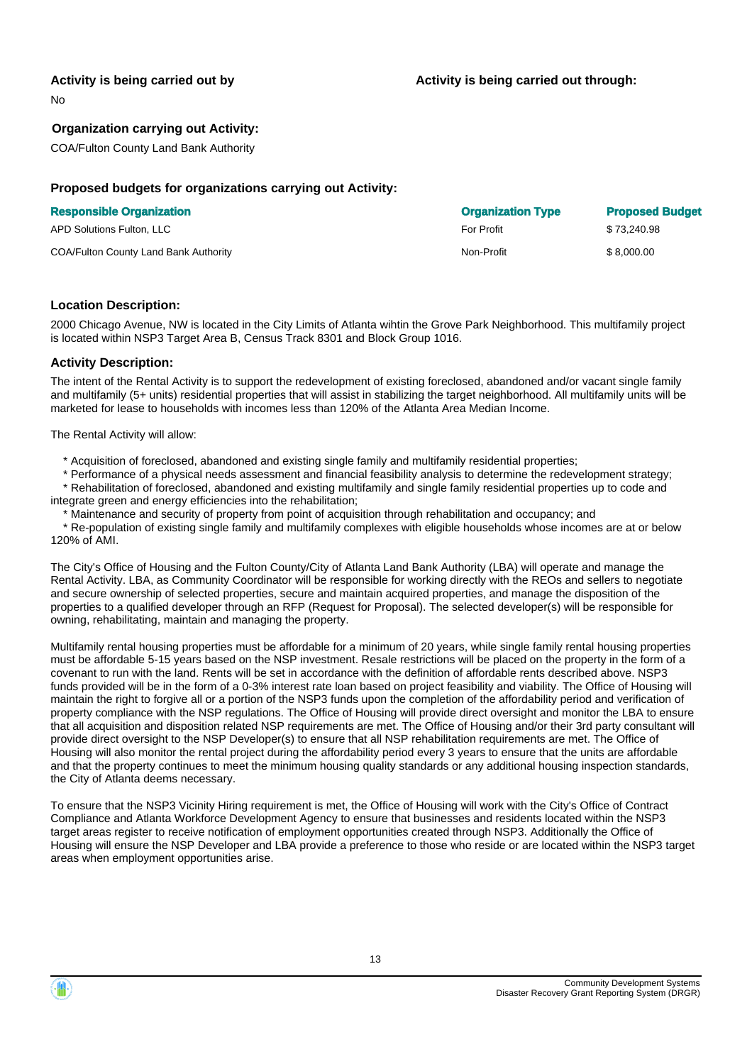#### **Activity is being carried out by**

No

#### **Organization carrying out Activity:**

COA/Fulton County Land Bank Authority

#### **Proposed budgets for organizations carrying out Activity:**

#### **Responsible Organization**

| APD Solutions Fulton, LLC             | <b>For Profit</b> | \$73,240.98 |
|---------------------------------------|-------------------|-------------|
| COA/Fulton County Land Bank Authority | Non-Profit        | \$8,000.00  |

| <b>Organization Type</b> | <b>Proposed Budget</b> |
|--------------------------|------------------------|
| For Profit               | \$73,240.98            |
| Non-Profit               | \$8.000.00             |

#### **Location Description:**

2000 Chicago Avenue, NW is located in the City Limits of Atlanta wihtin the Grove Park Neighborhood. This multifamily project is located within NSP3 Target Area B, Census Track 8301 and Block Group 1016.

#### **Activity Description:**

The intent of the Rental Activity is to support the redevelopment of existing foreclosed, abandoned and/or vacant single family and multifamily (5+ units) residential properties that will assist in stabilizing the target neighborhood. All multifamily units will be marketed for lease to households with incomes less than 120% of the Atlanta Area Median Income.

The Rental Activity will allow:

\* Acquisition of foreclosed, abandoned and existing single family and multifamily residential properties;

 \* Performance of a physical needs assessment and financial feasibility analysis to determine the redevelopment strategy; \* Rehabilitation of foreclosed, abandoned and existing multifamily and single family residential properties up to code and

integrate green and energy efficiencies into the rehabilitation;

\* Maintenance and security of property from point of acquisition through rehabilitation and occupancy; and

 \* Re-population of existing single family and multifamily complexes with eligible households whose incomes are at or below 120% of AMI.

The City's Office of Housing and the Fulton County/City of Atlanta Land Bank Authority (LBA) will operate and manage the Rental Activity. LBA, as Community Coordinator will be responsible for working directly with the REOs and sellers to negotiate and secure ownership of selected properties, secure and maintain acquired properties, and manage the disposition of the properties to a qualified developer through an RFP (Request for Proposal). The selected developer(s) will be responsible for owning, rehabilitating, maintain and managing the property.

Multifamily rental housing properties must be affordable for a minimum of 20 years, while single family rental housing properties must be affordable 5-15 years based on the NSP investment. Resale restrictions will be placed on the property in the form of a covenant to run with the land. Rents will be set in accordance with the definition of affordable rents described above. NSP3 funds provided will be in the form of a 0-3% interest rate loan based on project feasibility and viability. The Office of Housing will maintain the right to forgive all or a portion of the NSP3 funds upon the completion of the affordability period and verification of property compliance with the NSP regulations. The Office of Housing will provide direct oversight and monitor the LBA to ensure that all acquisition and disposition related NSP requirements are met. The Office of Housing and/or their 3rd party consultant will provide direct oversight to the NSP Developer(s) to ensure that all NSP rehabilitation requirements are met. The Office of Housing will also monitor the rental project during the affordability period every 3 years to ensure that the units are affordable and that the property continues to meet the minimum housing quality standards or any additional housing inspection standards, the City of Atlanta deems necessary.

To ensure that the NSP3 Vicinity Hiring requirement is met, the Office of Housing will work with the City's Office of Contract Compliance and Atlanta Workforce Development Agency to ensure that businesses and residents located within the NSP3 target areas register to receive notification of employment opportunities created through NSP3. Additionally the Office of Housing will ensure the NSP Developer and LBA provide a preference to those who reside or are located within the NSP3 target areas when employment opportunities arise.



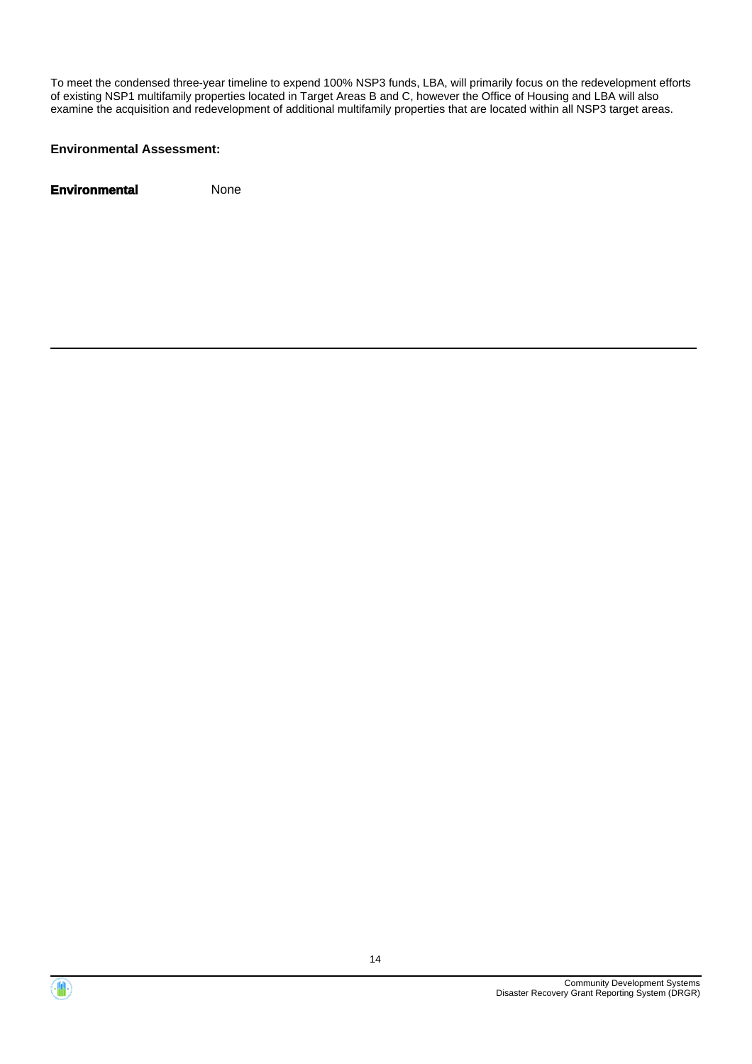To meet the condensed three-year timeline to expend 100% NSP3 funds, LBA, will primarily focus on the redevelopment efforts of existing NSP1 multifamily properties located in Target Areas B and C, however the Office of Housing and LBA will also examine the acquisition and redevelopment of additional multifamily properties that are located within all NSP3 target areas.

#### **Environmental Assessment:**



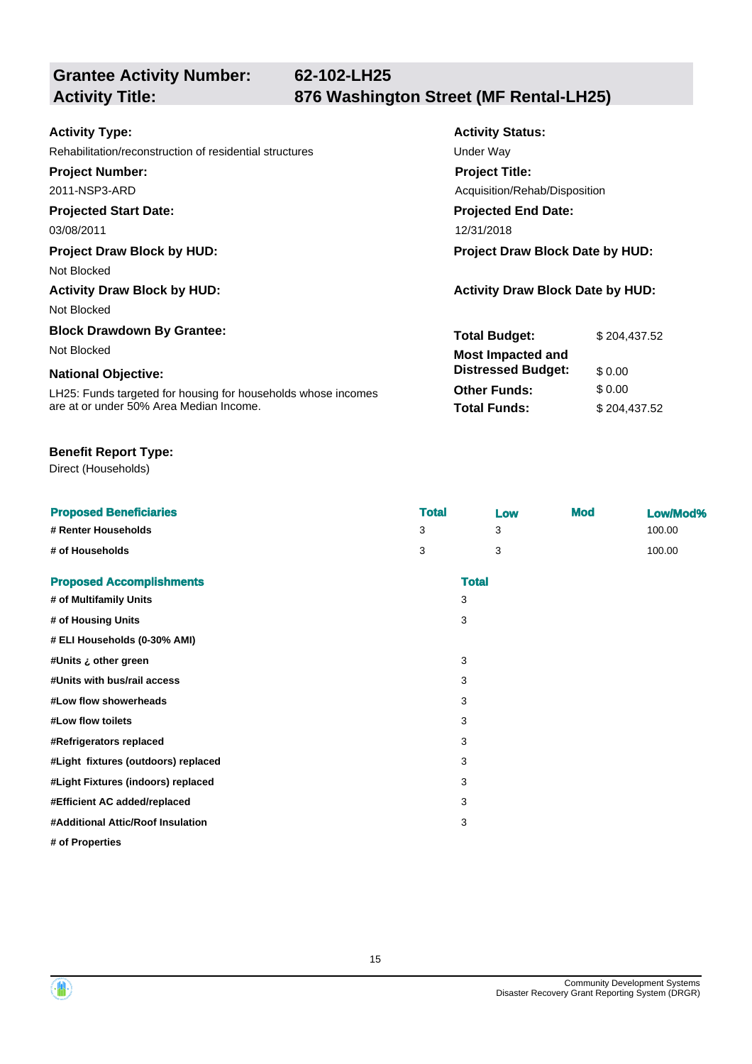**Grantee Activity Number:**

**Activity Status:**

**Project Title:**

**Projected End Date:**

Acquisition/Rehab/Disposition

**Total Budget:** \$ 204,437.52

**Other Funds:** \$ 0.00 **Total Funds:** \$ 204,437.52

**Distressed Budget:** \$ 0.00

### **Activity Type:**

Rehabilitation/reconstruction of residential structures Theorem Constructure Under Way

**Project Number:**

2011-NSP3-ARD

#### **Projected Start Date:**

03/08/2011 12/31/2018

#### **Project Draw Block by HUD: Project Draw Block Date by HUD:**

Not Blocked

# **Activity Draw Block by HUD: Activity Draw Block Date by HUD:**

Not Blocked

# **Block Drawdown By Grantee:**

Not Blocked **Most Impacted and** 

#### **National Objective:**

LH25: Funds targeted for housing for households whose incomes are at or under 50% Area Median Income.

#### **Benefit Report Type:**

Direct (Households)

| <b>Proposed Beneficiaries</b>       | <b>Total</b> |              | Low | <b>Mod</b> | Low/Mod% |
|-------------------------------------|--------------|--------------|-----|------------|----------|
| # Renter Households                 | 3            |              | 3   |            | 100.00   |
| # of Households                     | 3            |              | 3   |            | 100.00   |
| <b>Proposed Accomplishments</b>     |              | <b>Total</b> |     |            |          |
| # of Multifamily Units              |              | 3            |     |            |          |
| # of Housing Units                  |              | 3            |     |            |          |
| # ELI Households (0-30% AMI)        |              |              |     |            |          |
| #Units ¿ other green                |              | 3            |     |            |          |
| #Units with bus/rail access         |              | 3            |     |            |          |
| #Low flow showerheads               |              | 3            |     |            |          |
| #Low flow toilets                   |              | 3            |     |            |          |
| #Refrigerators replaced             |              | 3            |     |            |          |
| #Light fixtures (outdoors) replaced |              | 3            |     |            |          |
| #Light Fixtures (indoors) replaced  |              | 3            |     |            |          |
| #Efficient AC added/replaced        |              | 3            |     |            |          |
| #Additional Attic/Roof Insulation   |              | 3            |     |            |          |
| # of Properties                     |              |              |     |            |          |

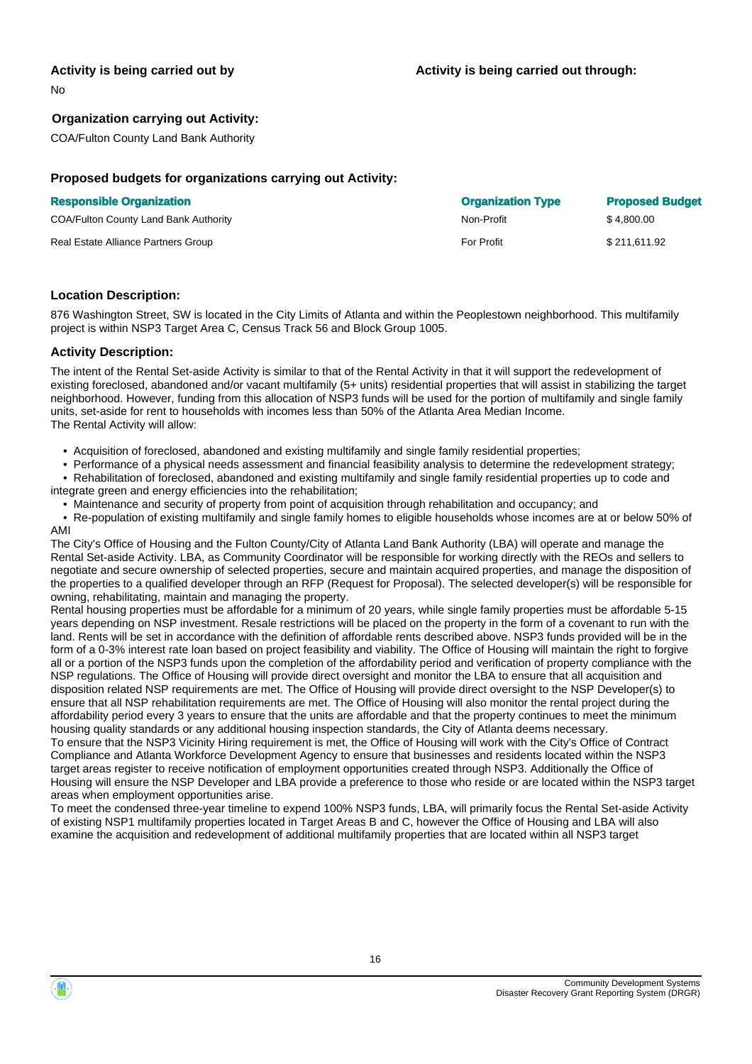#### **Activity is being carried out by**

No

#### **Organization carrying out Activity:**

COA/Fulton County Land Bank Authority

#### **Proposed budgets for organizations carrying out Activity:**

| <b>Responsible Organization</b>              | <b>Organization Type</b> | <b>Proposed Budget</b> |
|----------------------------------------------|--------------------------|------------------------|
| <b>COA/Fulton County Land Bank Authority</b> | Non-Profit               | \$4.800.00             |
| Real Estate Alliance Partners Group          | For Profit               | \$211.611.92           |

#### **Location Description:**

876 Washington Street, SW is located in the City Limits of Atlanta and within the Peoplestown neighborhood. This multifamily project is within NSP3 Target Area C, Census Track 56 and Block Group 1005.

#### **Activity Description:**

The intent of the Rental Set-aside Activity is similar to that of the Rental Activity in that it will support the redevelopment of existing foreclosed, abandoned and/or vacant multifamily (5+ units) residential properties that will assist in stabilizing the target neighborhood. However, funding from this allocation of NSP3 funds will be used for the portion of multifamily and single family units, set-aside for rent to households with incomes less than 50% of the Atlanta Area Median Income. The Rental Activity will allow:

- Acquisition of foreclosed, abandoned and existing multifamily and single family residential properties;
- Performance of a physical needs assessment and financial feasibility analysis to determine the redevelopment strategy;
- Rehabilitation of foreclosed, abandoned and existing multifamily and single family residential properties up to code and integrate green and energy efficiencies into the rehabilitation;

• Maintenance and security of property from point of acquisition through rehabilitation and occupancy; and

 • Re-population of existing multifamily and single family homes to eligible households whose incomes are at or below 50% of AMI

The City's Office of Housing and the Fulton County/City of Atlanta Land Bank Authority (LBA) will operate and manage the Rental Set-aside Activity. LBA, as Community Coordinator will be responsible for working directly with the REOs and sellers to negotiate and secure ownership of selected properties, secure and maintain acquired properties, and manage the disposition of the properties to a qualified developer through an RFP (Request for Proposal). The selected developer(s) will be responsible for owning, rehabilitating, maintain and managing the property.

Rental housing properties must be affordable for a minimum of 20 years, while single family properties must be affordable 5-15 years depending on NSP investment. Resale restrictions will be placed on the property in the form of a covenant to run with the land. Rents will be set in accordance with the definition of affordable rents described above. NSP3 funds provided will be in the form of a 0-3% interest rate loan based on project feasibility and viability. The Office of Housing will maintain the right to forgive all or a portion of the NSP3 funds upon the completion of the affordability period and verification of property compliance with the NSP regulations. The Office of Housing will provide direct oversight and monitor the LBA to ensure that all acquisition and disposition related NSP requirements are met. The Office of Housing will provide direct oversight to the NSP Developer(s) to ensure that all NSP rehabilitation requirements are met. The Office of Housing will also monitor the rental project during the affordability period every 3 years to ensure that the units are affordable and that the property continues to meet the minimum housing quality standards or any additional housing inspection standards, the City of Atlanta deems necessary. To ensure that the NSP3 Vicinity Hiring requirement is met, the Office of Housing will work with the City's Office of Contract Compliance and Atlanta Workforce Development Agency to ensure that businesses and residents located within the NSP3 target areas register to receive notification of employment opportunities created through NSP3. Additionally the Office of Housing will ensure the NSP Developer and LBA provide a preference to those who reside or are located within the NSP3 target areas when employment opportunities arise.

To meet the condensed three-year timeline to expend 100% NSP3 funds, LBA, will primarily focus the Rental Set-aside Activity of existing NSP1 multifamily properties located in Target Areas B and C, however the Office of Housing and LBA will also examine the acquisition and redevelopment of additional multifamily properties that are located within all NSP3 target

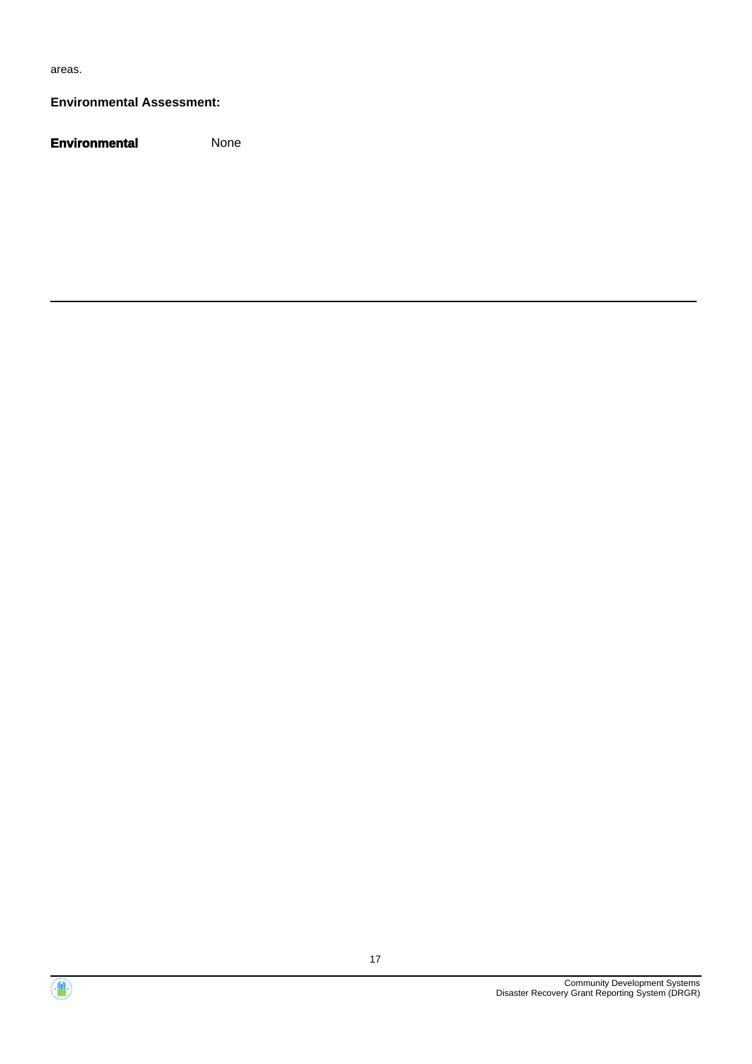areas.

#### **Environmental Assessment:**



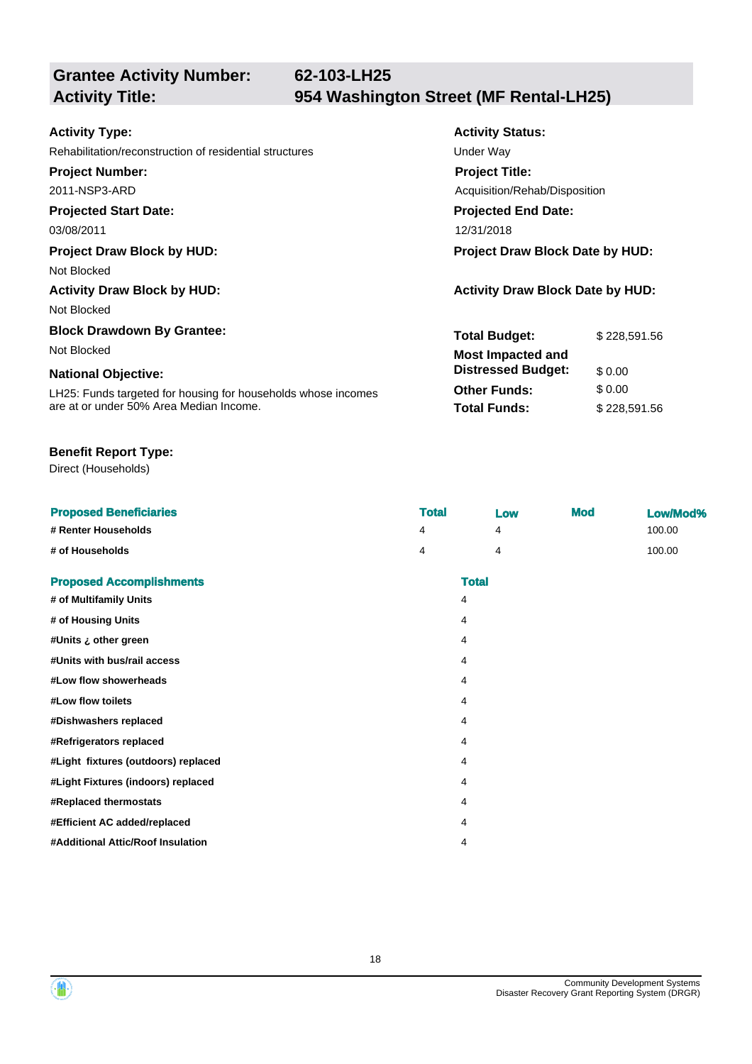**Grantee Activity Number:**

**Activity Status:**

**Project Title:**

**Projected End Date:**

Acquisition/Rehab/Disposition

**Total Budget:** \$ 228,591.56

**Other Funds:** \$ 0.00 **Total Funds:** \$ 228,591.56

**Distressed Budget:** \$ 0.00

### **Activity Type:**

Rehabilitation/reconstruction of residential structures Theorem Constructure Under Way

**Project Number:**

2011-NSP3-ARD

#### **Projected Start Date:**

03/08/2011 12/31/2018

#### **Project Draw Block by HUD: Project Draw Block Date by HUD:**

Not Blocked

# **Activity Draw Block by HUD: Activity Draw Block Date by HUD:**

Not Blocked

# **Block Drawdown By Grantee:**

Not Blocked **Most Impacted and** 

#### **National Objective:**

LH25: Funds targeted for housing for households whose incomes are at or under 50% Area Median Income.

#### **Benefit Report Type:**

Direct (Households)

|                                     | <b>Total</b> |              | <b>Mod</b> |          |
|-------------------------------------|--------------|--------------|------------|----------|
| <b>Proposed Beneficiaries</b>       |              | Low          |            | Low/Mod% |
| # Renter Households                 | 4            | 4            |            | 100.00   |
| # of Households                     | 4            | 4            |            | 100.00   |
| <b>Proposed Accomplishments</b>     |              | <b>Total</b> |            |          |
| # of Multifamily Units              |              | 4            |            |          |
| # of Housing Units                  |              | 4            |            |          |
| tUnits ¿ other green#               |              | 4            |            |          |
| #Units with bus/rail access         |              | 4            |            |          |
| #Low flow showerheads               |              | 4            |            |          |
| #Low flow toilets                   |              | 4            |            |          |
| #Dishwashers replaced               |              | 4            |            |          |
| #Refrigerators replaced             |              | 4            |            |          |
| #Light fixtures (outdoors) replaced |              | 4            |            |          |
| #Light Fixtures (indoors) replaced  |              | 4            |            |          |
| #Replaced thermostats               |              | 4            |            |          |
| #Efficient AC added/replaced        |              | 4            |            |          |
| #Additional Attic/Roof Insulation   |              | 4            |            |          |
|                                     |              |              |            |          |

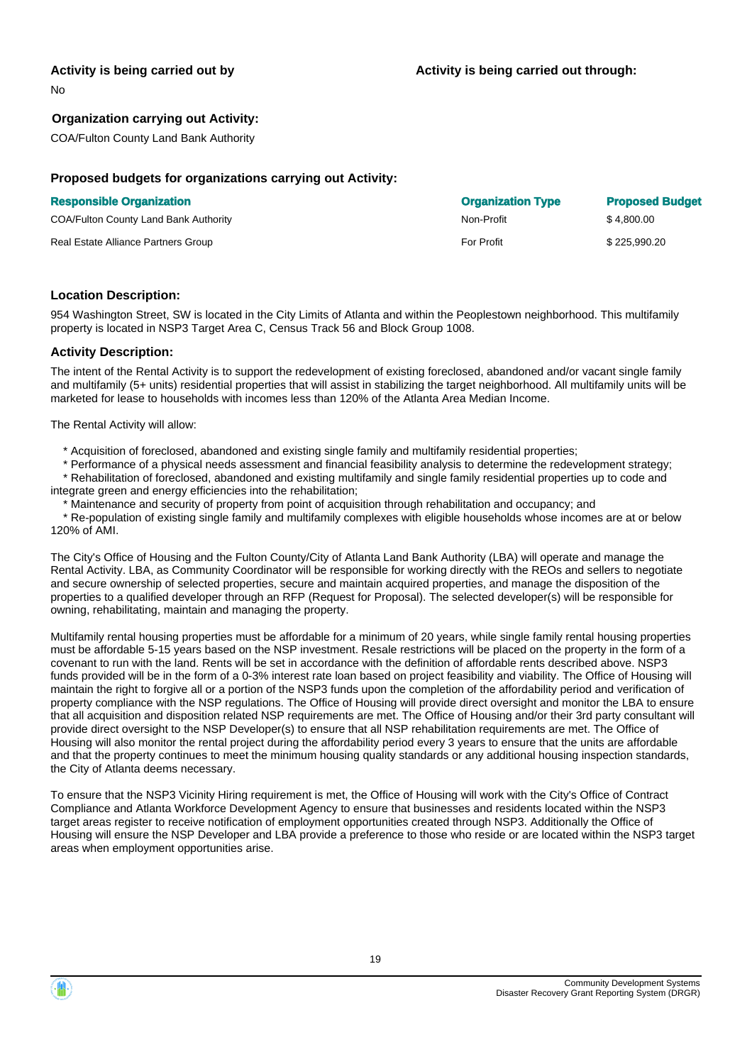#### **Activity is being carried out by**

No

#### **Organization carrying out Activity:**

COA/Fulton County Land Bank Authority

#### **Proposed budgets for organizations carrying out Activity:**

#### **Responsible Organization**

COA/Fulton County Land Bank Authority

Real Estate Alliance Partners Group

| <b>Organization Type</b> | <b>Proposed Budget</b> |
|--------------------------|------------------------|
| Non-Profit               | \$4.800.00             |
| For Profit               | \$225,990.20           |

#### **Location Description:**

954 Washington Street, SW is located in the City Limits of Atlanta and within the Peoplestown neighborhood. This multifamily property is located in NSP3 Target Area C, Census Track 56 and Block Group 1008.

#### **Activity Description:**

The intent of the Rental Activity is to support the redevelopment of existing foreclosed, abandoned and/or vacant single family and multifamily (5+ units) residential properties that will assist in stabilizing the target neighborhood. All multifamily units will be marketed for lease to households with incomes less than 120% of the Atlanta Area Median Income.

The Rental Activity will allow:

- \* Acquisition of foreclosed, abandoned and existing single family and multifamily residential properties;
- \* Performance of a physical needs assessment and financial feasibility analysis to determine the redevelopment strategy;
- \* Rehabilitation of foreclosed, abandoned and existing multifamily and single family residential properties up to code and integrate green and energy efficiencies into the rehabilitation;
- Maintenance and security of property from point of acquisition through rehabilitation and occupancy; and

 \* Re-population of existing single family and multifamily complexes with eligible households whose incomes are at or below 120% of AMI.

The City's Office of Housing and the Fulton County/City of Atlanta Land Bank Authority (LBA) will operate and manage the Rental Activity. LBA, as Community Coordinator will be responsible for working directly with the REOs and sellers to negotiate and secure ownership of selected properties, secure and maintain acquired properties, and manage the disposition of the properties to a qualified developer through an RFP (Request for Proposal). The selected developer(s) will be responsible for owning, rehabilitating, maintain and managing the property.

Multifamily rental housing properties must be affordable for a minimum of 20 years, while single family rental housing properties must be affordable 5-15 years based on the NSP investment. Resale restrictions will be placed on the property in the form of a covenant to run with the land. Rents will be set in accordance with the definition of affordable rents described above. NSP3 funds provided will be in the form of a 0-3% interest rate loan based on project feasibility and viability. The Office of Housing will maintain the right to forgive all or a portion of the NSP3 funds upon the completion of the affordability period and verification of property compliance with the NSP regulations. The Office of Housing will provide direct oversight and monitor the LBA to ensure that all acquisition and disposition related NSP requirements are met. The Office of Housing and/or their 3rd party consultant will provide direct oversight to the NSP Developer(s) to ensure that all NSP rehabilitation requirements are met. The Office of Housing will also monitor the rental project during the affordability period every 3 years to ensure that the units are affordable and that the property continues to meet the minimum housing quality standards or any additional housing inspection standards, the City of Atlanta deems necessary.

To ensure that the NSP3 Vicinity Hiring requirement is met, the Office of Housing will work with the City's Office of Contract Compliance and Atlanta Workforce Development Agency to ensure that businesses and residents located within the NSP3 target areas register to receive notification of employment opportunities created through NSP3. Additionally the Office of Housing will ensure the NSP Developer and LBA provide a preference to those who reside or are located within the NSP3 target areas when employment opportunities arise.

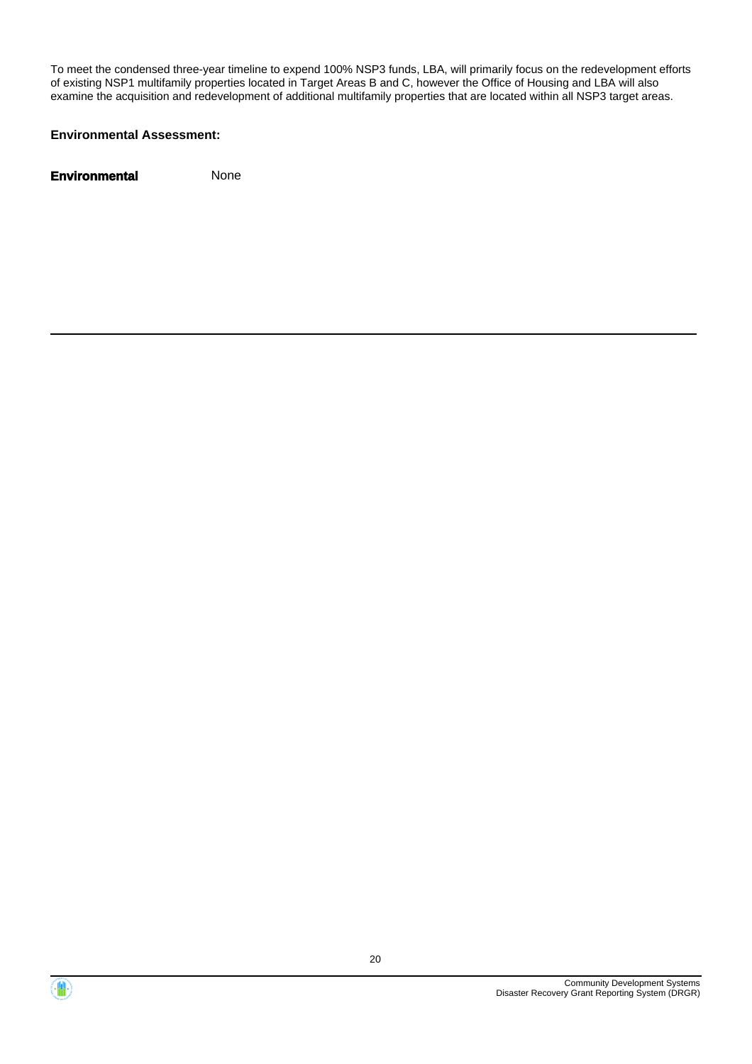To meet the condensed three-year timeline to expend 100% NSP3 funds, LBA, will primarily focus on the redevelopment efforts of existing NSP1 multifamily properties located in Target Areas B and C, however the Office of Housing and LBA will also examine the acquisition and redevelopment of additional multifamily properties that are located within all NSP3 target areas.

#### **Environmental Assessment:**



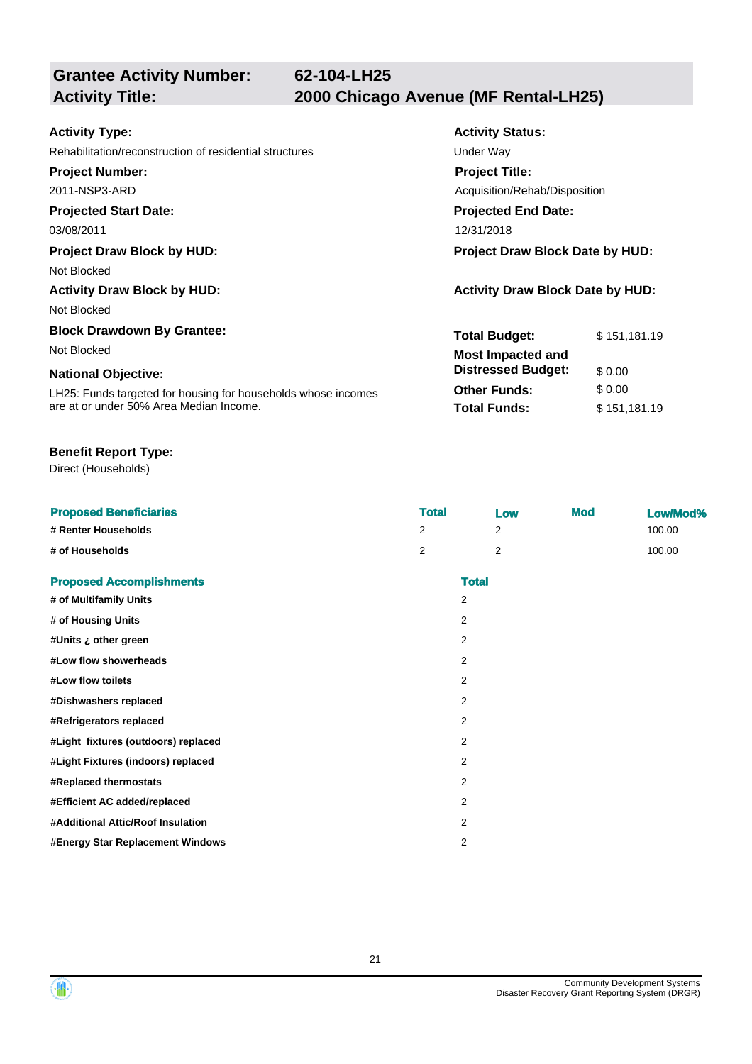**Grantee Activity Number:**

**Activity Status:**

**Total Budget:** \$ 151,181.19

**Other Funds:** \$ 0.00 **Total Funds:** \$151,181.19

**Distressed Budget:** \$ 0.00

| <b>Activity Type:</b>                                   | <b>Activity Status:</b>                 |  |  |
|---------------------------------------------------------|-----------------------------------------|--|--|
| Rehabilitation/reconstruction of residential structures | Under Way                               |  |  |
| <b>Project Number:</b>                                  | <b>Project Title:</b>                   |  |  |
| 2011-NSP3-ARD                                           | Acquisition/Rehab/Disposition           |  |  |
| <b>Projected Start Date:</b>                            | <b>Projected End Date:</b>              |  |  |
| 03/08/2011                                              | 12/31/2018                              |  |  |
| <b>Project Draw Block by HUD:</b>                       | Project Draw Block Date by HUD:         |  |  |
| Not Blocked                                             |                                         |  |  |
| <b>Activity Draw Block by HUD:</b>                      | <b>Activity Draw Block Date by HUD:</b> |  |  |

Not Blocked

**Block Drawdown By Grantee:** Not Blocked **Most Impacted and** 

#### **National Objective:**

LH25: Funds targeted for housing for households whose incomes are at or under 50% Area Median Income.

#### **Benefit Report Type:**

Direct (Households)

| <b>Proposed Beneficiaries</b>       | <b>Total</b> |                | Low | <b>Mod</b> | Low/Mod% |
|-------------------------------------|--------------|----------------|-----|------------|----------|
| # Renter Households                 | 2            |                | 2   |            | 100.00   |
| # of Households                     | 2            |                | 2   |            | 100.00   |
| <b>Proposed Accomplishments</b>     |              | <b>Total</b>   |     |            |          |
| # of Multifamily Units              |              | 2              |     |            |          |
| # of Housing Units                  |              | 2              |     |            |          |
| #Units ¿ other green                |              | 2              |     |            |          |
| #Low flow showerheads               |              | $\overline{2}$ |     |            |          |
| #Low flow toilets                   |              | $\overline{2}$ |     |            |          |
| #Dishwashers replaced               |              | $\overline{2}$ |     |            |          |
| #Refrigerators replaced             |              | $\overline{2}$ |     |            |          |
| #Light fixtures (outdoors) replaced |              | 2              |     |            |          |
| #Light Fixtures (indoors) replaced  |              | $\overline{2}$ |     |            |          |
| #Replaced thermostats               |              | 2              |     |            |          |
| #Efficient AC added/replaced        |              | $\overline{2}$ |     |            |          |
| #Additional Attic/Roof Insulation   |              | 2              |     |            |          |
| #Energy Star Replacement Windows    |              | $\overline{2}$ |     |            |          |



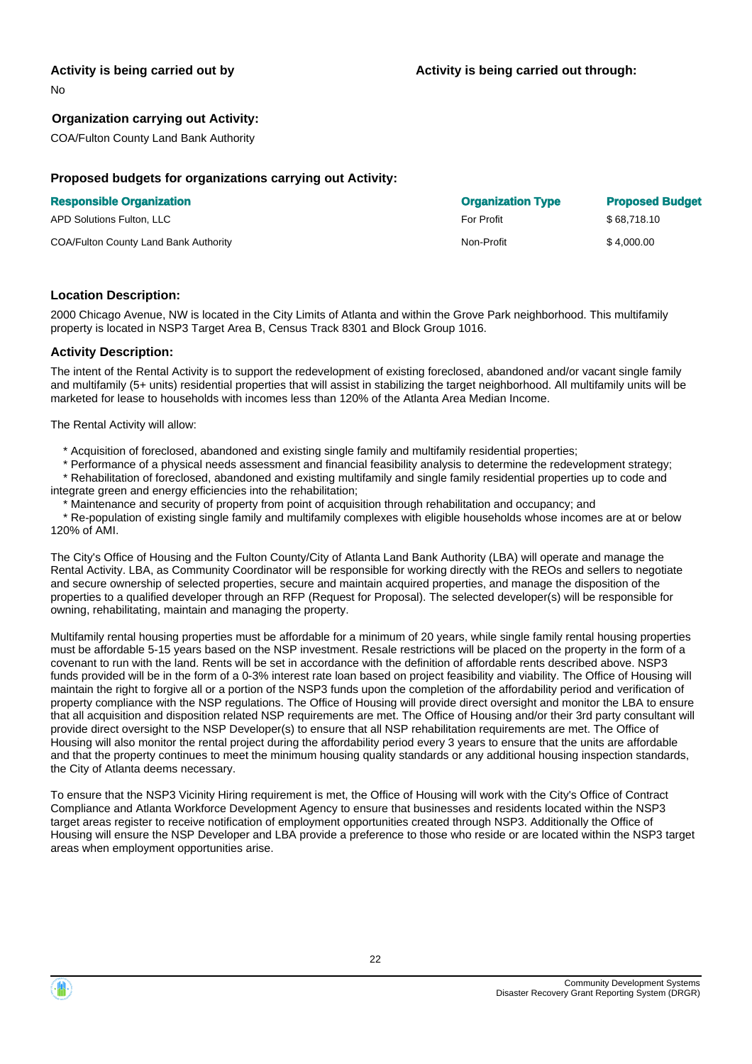#### **Activity is being carried out by**

No

#### **Organization carrying out Activity:**

COA/Fulton County Land Bank Authority

#### **Proposed budgets for organizations carrying out Activity:**

| <b>Responsible Organization</b>       | <b>Organization Type</b> | <b>Proposed Budget</b> |
|---------------------------------------|--------------------------|------------------------|
| APD Solutions Fulton, LLC             | <b>For Profit</b>        | \$68.718.10            |
| COA/Fulton County Land Bank Authority | Non-Profit               | \$4.000.00             |

#### **Location Description:**

2000 Chicago Avenue, NW is located in the City Limits of Atlanta and within the Grove Park neighborhood. This multifamily property is located in NSP3 Target Area B, Census Track 8301 and Block Group 1016.

#### **Activity Description:**

The intent of the Rental Activity is to support the redevelopment of existing foreclosed, abandoned and/or vacant single family and multifamily (5+ units) residential properties that will assist in stabilizing the target neighborhood. All multifamily units will be marketed for lease to households with incomes less than 120% of the Atlanta Area Median Income.

The Rental Activity will allow:

- \* Acquisition of foreclosed, abandoned and existing single family and multifamily residential properties;
- \* Performance of a physical needs assessment and financial feasibility analysis to determine the redevelopment strategy;

 \* Rehabilitation of foreclosed, abandoned and existing multifamily and single family residential properties up to code and integrate green and energy efficiencies into the rehabilitation;

Maintenance and security of property from point of acquisition through rehabilitation and occupancy; and

 \* Re-population of existing single family and multifamily complexes with eligible households whose incomes are at or below 120% of AMI.

The City's Office of Housing and the Fulton County/City of Atlanta Land Bank Authority (LBA) will operate and manage the Rental Activity. LBA, as Community Coordinator will be responsible for working directly with the REOs and sellers to negotiate and secure ownership of selected properties, secure and maintain acquired properties, and manage the disposition of the properties to a qualified developer through an RFP (Request for Proposal). The selected developer(s) will be responsible for owning, rehabilitating, maintain and managing the property.

Multifamily rental housing properties must be affordable for a minimum of 20 years, while single family rental housing properties must be affordable 5-15 years based on the NSP investment. Resale restrictions will be placed on the property in the form of a covenant to run with the land. Rents will be set in accordance with the definition of affordable rents described above. NSP3 funds provided will be in the form of a 0-3% interest rate loan based on project feasibility and viability. The Office of Housing will maintain the right to forgive all or a portion of the NSP3 funds upon the completion of the affordability period and verification of property compliance with the NSP regulations. The Office of Housing will provide direct oversight and monitor the LBA to ensure that all acquisition and disposition related NSP requirements are met. The Office of Housing and/or their 3rd party consultant will provide direct oversight to the NSP Developer(s) to ensure that all NSP rehabilitation requirements are met. The Office of Housing will also monitor the rental project during the affordability period every 3 years to ensure that the units are affordable and that the property continues to meet the minimum housing quality standards or any additional housing inspection standards, the City of Atlanta deems necessary.

To ensure that the NSP3 Vicinity Hiring requirement is met, the Office of Housing will work with the City's Office of Contract Compliance and Atlanta Workforce Development Agency to ensure that businesses and residents located within the NSP3 target areas register to receive notification of employment opportunities created through NSP3. Additionally the Office of Housing will ensure the NSP Developer and LBA provide a preference to those who reside or are located within the NSP3 target areas when employment opportunities arise.

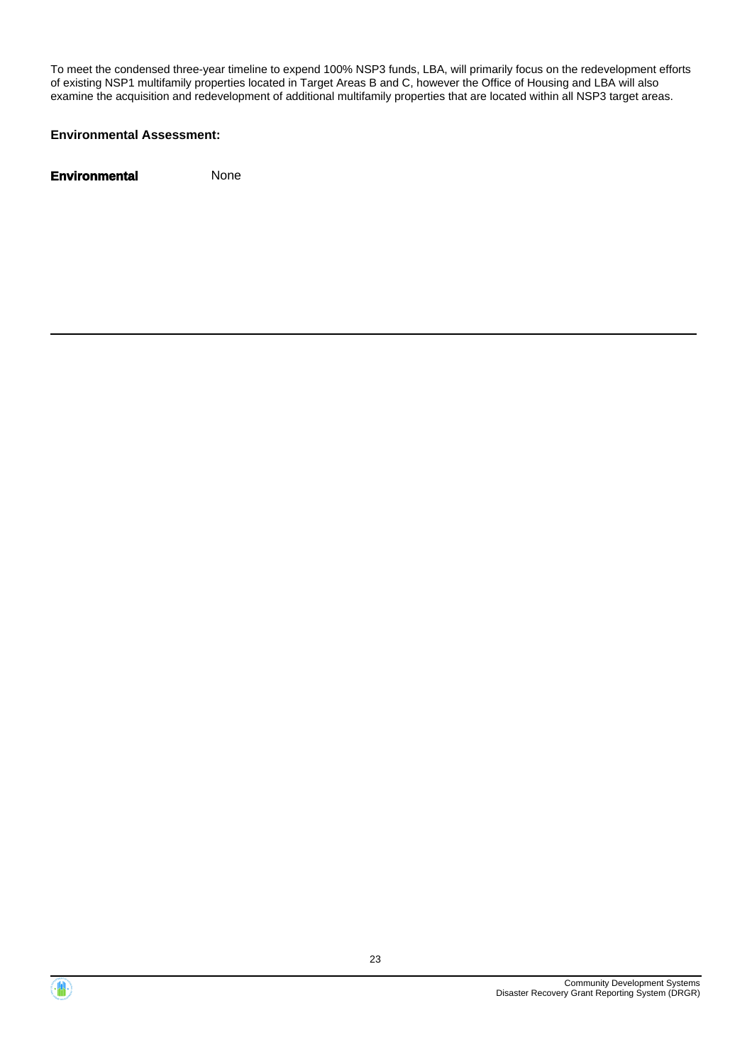To meet the condensed three-year timeline to expend 100% NSP3 funds, LBA, will primarily focus on the redevelopment efforts of existing NSP1 multifamily properties located in Target Areas B and C, however the Office of Housing and LBA will also examine the acquisition and redevelopment of additional multifamily properties that are located within all NSP3 target areas.

#### **Environmental Assessment:**



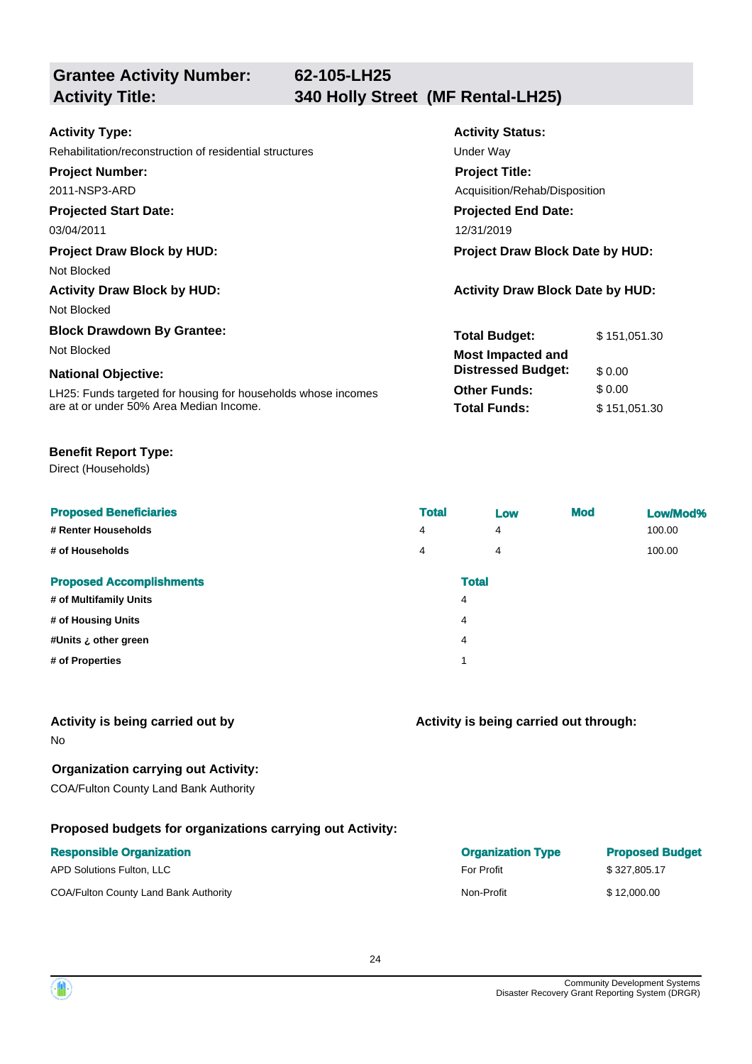**Grantee Activity Number:**

| <b>Activity Type:</b>                                         | <b>Activity Status:</b>                 |              |  |
|---------------------------------------------------------------|-----------------------------------------|--------------|--|
| Rehabilitation/reconstruction of residential structures       | Under Way                               |              |  |
| <b>Project Number:</b>                                        | <b>Project Title:</b>                   |              |  |
| 2011-NSP3-ARD                                                 | Acquisition/Rehab/Disposition           |              |  |
| <b>Projected Start Date:</b>                                  | <b>Projected End Date:</b>              |              |  |
| 03/04/2011                                                    | 12/31/2019                              |              |  |
| <b>Project Draw Block by HUD:</b>                             | Project Draw Block Date by HUD:         |              |  |
| Not Blocked                                                   |                                         |              |  |
| <b>Activity Draw Block by HUD:</b>                            | <b>Activity Draw Block Date by HUD:</b> |              |  |
| Not Blocked                                                   |                                         |              |  |
| <b>Block Drawdown By Grantee:</b>                             | <b>Total Budget:</b>                    | \$151,051.30 |  |
| Not Blocked                                                   | <b>Most Impacted and</b>                |              |  |
| <b>National Objective:</b>                                    | <b>Distressed Budget:</b>               | \$0.00       |  |
| LH25: Funds targeted for housing for households whose incomes | <b>Other Funds:</b>                     | \$0.00       |  |
| are at or under 50% Area Median Income.                       | <b>Total Funds:</b>                     | \$151,051.30 |  |

#### **Benefit Report Type:**

Direct (Households)

| <b>Proposed Beneficiaries</b>   | <b>Total</b> | Low | <b>Mod</b> | Low/Mod% |
|---------------------------------|--------------|-----|------------|----------|
| # Renter Households             | 4            | 4   |            | 100.00   |
| # of Households                 | 4            | 4   |            | 100.00   |
| <b>Proposed Accomplishments</b> | <b>Total</b> |     |            |          |
| # of Multifamily Units          | 4            |     |            |          |
| # of Housing Units              | 4            |     |            |          |
| #Units ¿ other green            | 4            |     |            |          |
| # of Properties                 | 1            |     |            |          |
|                                 |              |     |            |          |

#### **Activity is being carried out by**

No

#### **Organization carrying out Activity:**

COA/Fulton County Land Bank Authority

### **Proposed budgets for organizations carrying out Activity:**

| <b>Responsible Organization</b>       | <b>Organization Type</b> | <b>Proposed Budget</b> |
|---------------------------------------|--------------------------|------------------------|
| APD Solutions Fulton, LLC             | <b>For Profit</b>        | \$327,805.17           |
| COA/Fulton County Land Bank Authority | Non-Profit               | \$12,000.00            |

**Activity is being carried out through:**

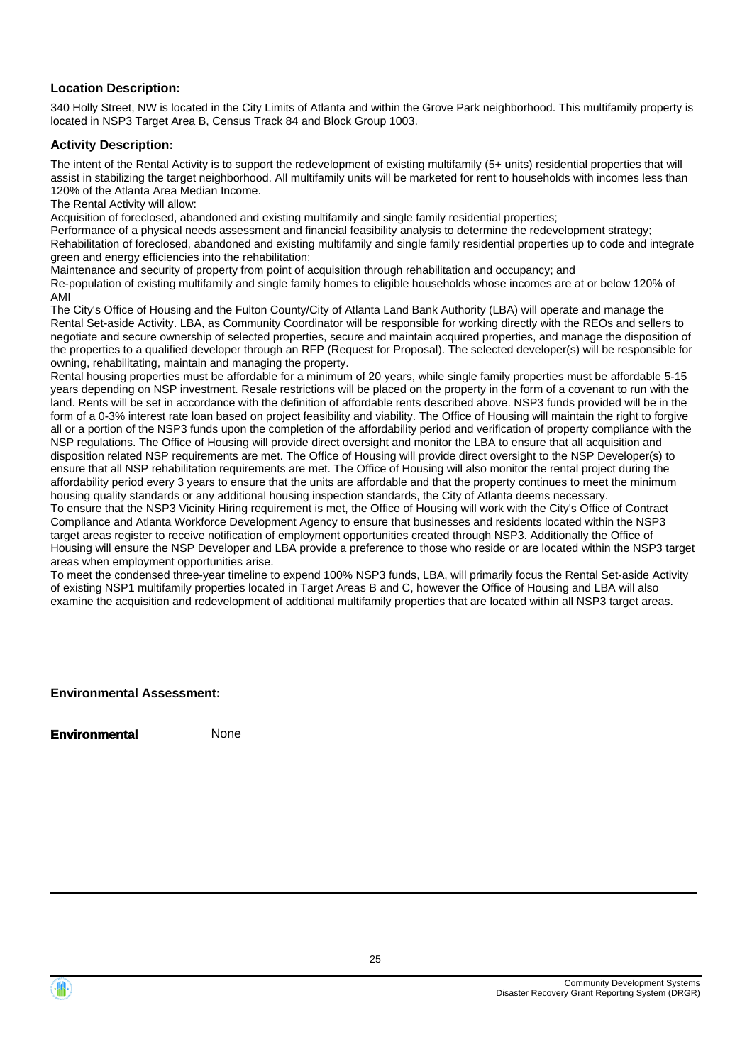#### **Location Description:**

340 Holly Street, NW is located in the City Limits of Atlanta and within the Grove Park neighborhood. This multifamily property is located in NSP3 Target Area B, Census Track 84 and Block Group 1003.

#### **Activity Description:**

The intent of the Rental Activity is to support the redevelopment of existing multifamily (5+ units) residential properties that will assist in stabilizing the target neighborhood. All multifamily units will be marketed for rent to households with incomes less than 120% of the Atlanta Area Median Income.

The Rental Activity will allow:

Acquisition of foreclosed, abandoned and existing multifamily and single family residential properties;

Performance of a physical needs assessment and financial feasibility analysis to determine the redevelopment strategy; Rehabilitation of foreclosed, abandoned and existing multifamily and single family residential properties up to code and integrate green and energy efficiencies into the rehabilitation;

Maintenance and security of property from point of acquisition through rehabilitation and occupancy; and

Re-population of existing multifamily and single family homes to eligible households whose incomes are at or below 120% of AMI

The City's Office of Housing and the Fulton County/City of Atlanta Land Bank Authority (LBA) will operate and manage the Rental Set-aside Activity. LBA, as Community Coordinator will be responsible for working directly with the REOs and sellers to negotiate and secure ownership of selected properties, secure and maintain acquired properties, and manage the disposition of the properties to a qualified developer through an RFP (Request for Proposal). The selected developer(s) will be responsible for owning, rehabilitating, maintain and managing the property.

Rental housing properties must be affordable for a minimum of 20 years, while single family properties must be affordable 5-15 years depending on NSP investment. Resale restrictions will be placed on the property in the form of a covenant to run with the land. Rents will be set in accordance with the definition of affordable rents described above. NSP3 funds provided will be in the form of a 0-3% interest rate loan based on project feasibility and viability. The Office of Housing will maintain the right to forgive all or a portion of the NSP3 funds upon the completion of the affordability period and verification of property compliance with the NSP regulations. The Office of Housing will provide direct oversight and monitor the LBA to ensure that all acquisition and disposition related NSP requirements are met. The Office of Housing will provide direct oversight to the NSP Developer(s) to ensure that all NSP rehabilitation requirements are met. The Office of Housing will also monitor the rental project during the affordability period every 3 years to ensure that the units are affordable and that the property continues to meet the minimum housing quality standards or any additional housing inspection standards, the City of Atlanta deems necessary.

To ensure that the NSP3 Vicinity Hiring requirement is met, the Office of Housing will work with the City's Office of Contract Compliance and Atlanta Workforce Development Agency to ensure that businesses and residents located within the NSP3 target areas register to receive notification of employment opportunities created through NSP3. Additionally the Office of Housing will ensure the NSP Developer and LBA provide a preference to those who reside or are located within the NSP3 target areas when employment opportunities arise.

To meet the condensed three-year timeline to expend 100% NSP3 funds, LBA, will primarily focus the Rental Set-aside Activity of existing NSP1 multifamily properties located in Target Areas B and C, however the Office of Housing and LBA will also examine the acquisition and redevelopment of additional multifamily properties that are located within all NSP3 target areas.

**Environmental Assessment:**

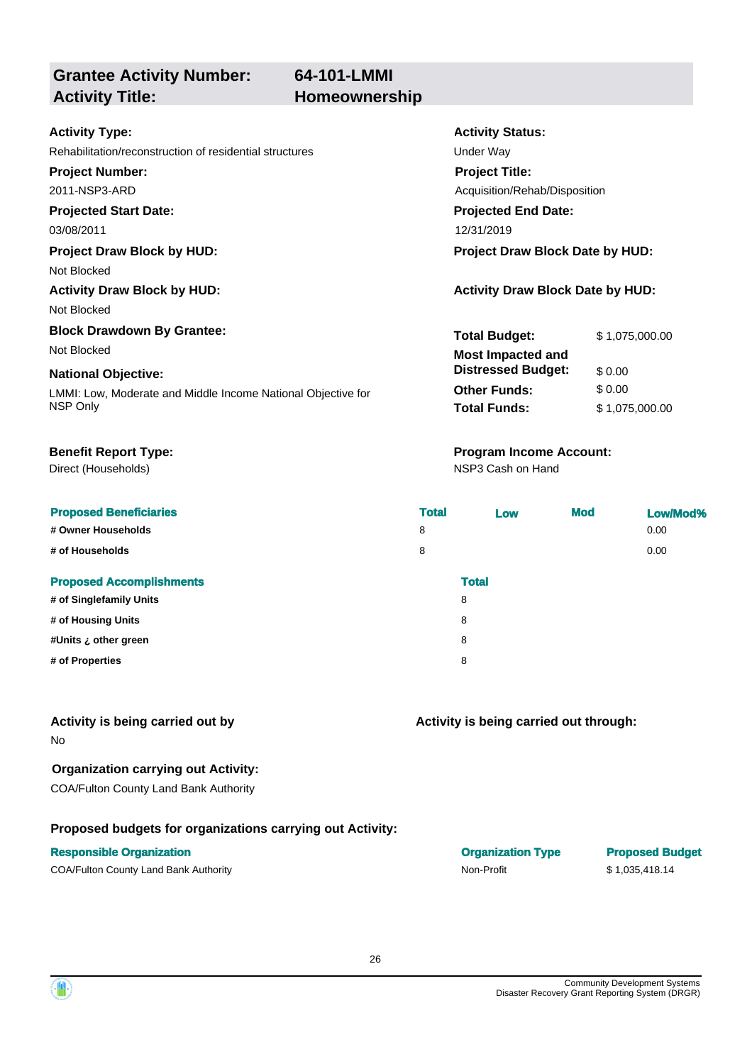**64-101-LMMI**

### **Grantee Activity Number: Activity Title: Homeownership**

#### **Activity Type:**

Rehabilitation/reconstruction of residential structures Theorem Construction of residential structures

**Project Number:**

2011-NSP3-ARD

#### **Projected Start Date:**

Not Blocked

Not Blocked

# **Block Drawdown By Grantee:**

#### **National Objective:**

Direct (Households)

#### **Proposed Beneficiaries**

**# Owner Households** 

**# of Households** 

#### **Proposed Accomplishments**

**# of Singlefamily Units** 8

- **# of Housing Units** 8
- **#Units ¿ other green** 8
- $#$  of Properties

### **Activity is being carried out by**

No

### **Organization carrying out Activity:**

COA/Fulton County Land Bank Authority

### **Proposed budgets for organizations carrying out Activity:**

#### **Responsible Organization**

COA/Fulton County Land Bank Authority Non-Profit \$ 1,035,418.14

# **Activity Status:**

**Projected End Date: Project Title:** Acquisition/Rehab/Disposition

03/08/2011 12/31/2019

#### **Project Draw Block by HUD: Project Draw Block Date by HUD:**

#### **Activity Draw Block by HUD: Activity Draw Block Date by HUD:**

| <b>Block Drawdown By Grantee:</b>                            | <b>Total Budget:</b>      | \$1,075,000.00 |
|--------------------------------------------------------------|---------------------------|----------------|
| Not Blocked                                                  | <b>Most Impacted and</b>  |                |
| <b>National Objective:</b>                                   | <b>Distressed Budget:</b> | \$ 0.00        |
| LMMI: Low, Moderate and Middle Income National Objective for | <b>Other Funds:</b>       | \$ 0.00        |
| NSP Only                                                     | <b>Total Funds:</b>       | \$1,075,000.00 |

### **Benefit Report Type: Program Income Account:**

NSP3 Cash on Hand

| <b>Total</b> |              | Low | <b>Mod</b> | Low/Mod% |
|--------------|--------------|-----|------------|----------|
| 8            |              |     |            | 0.00     |
| 8            |              |     |            | 0.00     |
|              | <b>Total</b> |     |            |          |
|              | 8            |     |            |          |
|              | 8            |     |            |          |
|              | 8            |     |            |          |
|              | 8            |     |            |          |
|              |              |     |            |          |

### **Activity is being carried out through:**

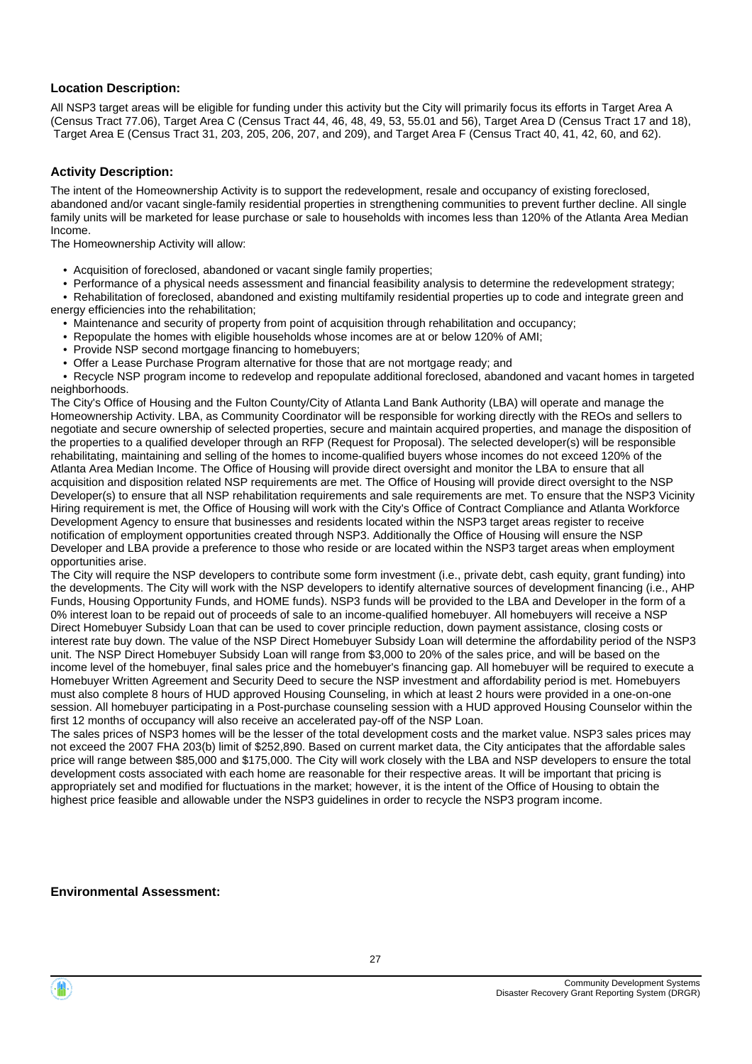#### **Location Description:**

All NSP3 target areas will be eligible for funding under this activity but the City will primarily focus its efforts in Target Area A (Census Tract 77.06), Target Area C (Census Tract 44, 46, 48, 49, 53, 55.01 and 56), Target Area D (Census Tract 17 and 18), Target Area E (Census Tract 31, 203, 205, 206, 207, and 209), and Target Area F (Census Tract 40, 41, 42, 60, and 62).

#### **Activity Description:**

The intent of the Homeownership Activity is to support the redevelopment, resale and occupancy of existing foreclosed, abandoned and/or vacant single-family residential properties in strengthening communities to prevent further decline. All single family units will be marketed for lease purchase or sale to households with incomes less than 120% of the Atlanta Area Median Income.

The Homeownership Activity will allow:

- Acquisition of foreclosed, abandoned or vacant single family properties;
- Performance of a physical needs assessment and financial feasibility analysis to determine the redevelopment strategy;

 • Rehabilitation of foreclosed, abandoned and existing multifamily residential properties up to code and integrate green and energy efficiencies into the rehabilitation;

- Maintenance and security of property from point of acquisition through rehabilitation and occupancy;
- Repopulate the homes with eligible households whose incomes are at or below 120% of AMI;
- Provide NSP second mortgage financing to homebuyers;
- Offer a Lease Purchase Program alternative for those that are not mortgage ready; and

 • Recycle NSP program income to redevelop and repopulate additional foreclosed, abandoned and vacant homes in targeted neighborhoods.

The City's Office of Housing and the Fulton County/City of Atlanta Land Bank Authority (LBA) will operate and manage the Homeownership Activity. LBA, as Community Coordinator will be responsible for working directly with the REOs and sellers to negotiate and secure ownership of selected properties, secure and maintain acquired properties, and manage the disposition of the properties to a qualified developer through an RFP (Request for Proposal). The selected developer(s) will be responsible rehabilitating, maintaining and selling of the homes to income-qualified buyers whose incomes do not exceed 120% of the Atlanta Area Median Income. The Office of Housing will provide direct oversight and monitor the LBA to ensure that all acquisition and disposition related NSP requirements are met. The Office of Housing will provide direct oversight to the NSP Developer(s) to ensure that all NSP rehabilitation requirements and sale requirements are met. To ensure that the NSP3 Vicinity Hiring requirement is met, the Office of Housing will work with the City's Office of Contract Compliance and Atlanta Workforce Development Agency to ensure that businesses and residents located within the NSP3 target areas register to receive notification of employment opportunities created through NSP3. Additionally the Office of Housing will ensure the NSP Developer and LBA provide a preference to those who reside or are located within the NSP3 target areas when employment opportunities arise.

The City will require the NSP developers to contribute some form investment (i.e., private debt, cash equity, grant funding) into the developments. The City will work with the NSP developers to identify alternative sources of development financing (i.e., AHP Funds, Housing Opportunity Funds, and HOME funds). NSP3 funds will be provided to the LBA and Developer in the form of a 0% interest loan to be repaid out of proceeds of sale to an income-qualified homebuyer. All homebuyers will receive a NSP Direct Homebuyer Subsidy Loan that can be used to cover principle reduction, down payment assistance, closing costs or interest rate buy down. The value of the NSP Direct Homebuyer Subsidy Loan will determine the affordability period of the NSP3 unit. The NSP Direct Homebuyer Subsidy Loan will range from \$3,000 to 20% of the sales price, and will be based on the income level of the homebuyer, final sales price and the homebuyer's financing gap. All homebuyer will be required to execute a Homebuyer Written Agreement and Security Deed to secure the NSP investment and affordability period is met. Homebuyers must also complete 8 hours of HUD approved Housing Counseling, in which at least 2 hours were provided in a one-on-one session. All homebuyer participating in a Post-purchase counseling session with a HUD approved Housing Counselor within the first 12 months of occupancy will also receive an accelerated pay-off of the NSP Loan.

The sales prices of NSP3 homes will be the lesser of the total development costs and the market value. NSP3 sales prices may not exceed the 2007 FHA 203(b) limit of \$252,890. Based on current market data, the City anticipates that the affordable sales price will range between \$85,000 and \$175,000. The City will work closely with the LBA and NSP developers to ensure the total development costs associated with each home are reasonable for their respective areas. It will be important that pricing is appropriately set and modified for fluctuations in the market; however, it is the intent of the Office of Housing to obtain the highest price feasible and allowable under the NSP3 guidelines in order to recycle the NSP3 program income.

#### **Environmental Assessment:**

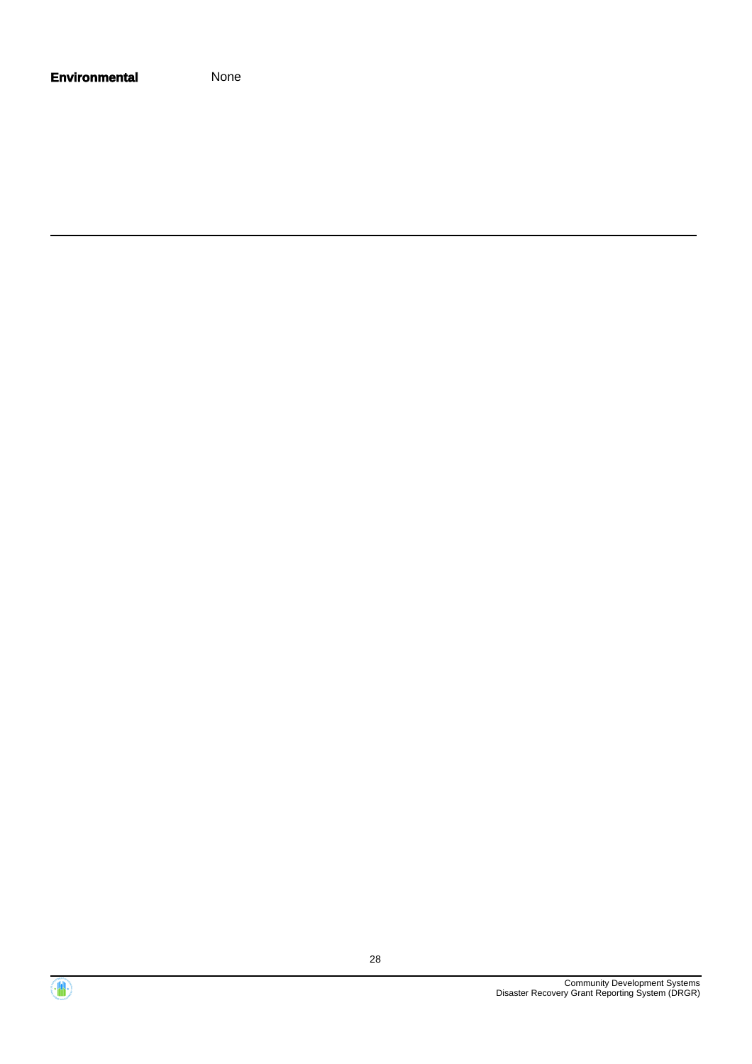| <b>Environmental</b> | None |
|----------------------|------|
|----------------------|------|

Community Development Systems Disaster Recovery Grant Reporting System (DRGR)

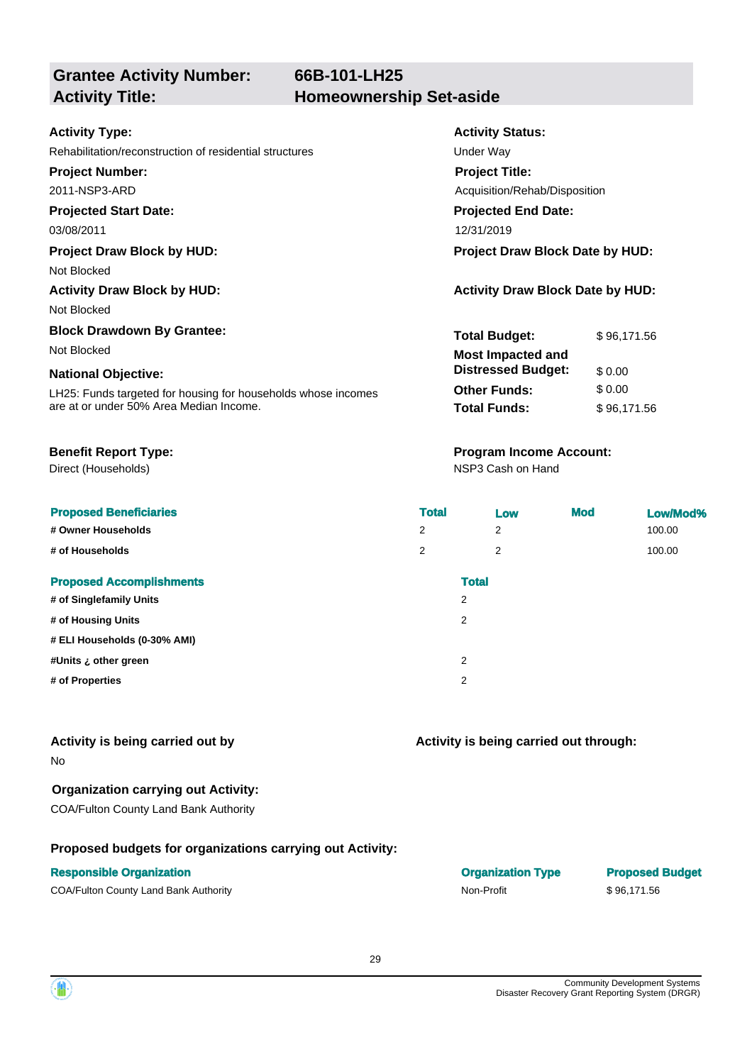**Grantee Activity Number:**

#### **Activity Type:**

#### **Projected Start Date:**

Not Blocked

Not Blocked

# **Block Drawdown By Grantee:**

#### **National Objective:**

Direct (Households)

|                    | <b>Proposed Beneficiaries</b> |
|--------------------|-------------------------------|
| # Owner Households |                               |

#### **Proposed Accomplishments**

| # of Singlefamily Units      |  |
|------------------------------|--|
| # of Housing Units           |  |
| # ELI Households (0-30% AMI) |  |

### **Activity is being carried out by**

No

#### **Organization carrying out Activity:**

COA/Fulton County Land Bank Authority

#### **Proposed budgets for organizations carrying out Activity:**

| <b>Activity Type:</b>                                   | <b>Activity Status:</b>       |
|---------------------------------------------------------|-------------------------------|
| Rehabilitation/reconstruction of residential structures | Under Way                     |
| <b>Project Number:</b>                                  | <b>Project Title:</b>         |
| 2011-NSP3-ARD                                           | Acquisition/Rehab/Disposition |
| <b>Projected Start Date:</b>                            | <b>Projected End Date:</b>    |
| 03/08/2011                                              | 12/31/2019                    |
|                                                         |                               |

**Project Draw Block by HUD: Project Draw Block Date by HUD:**

#### **Activity Draw Block by HUD: Activity Draw Block Date by HUD:**

| <b>Block Drawdown By Grantee:</b>                             | <b>Total Budget:</b>      | \$96.171.56 |
|---------------------------------------------------------------|---------------------------|-------------|
| Not Blocked                                                   | <b>Most Impacted and</b>  |             |
| <b>National Objective:</b>                                    | <b>Distressed Budget:</b> | \$0.00      |
| LH25: Funds targeted for housing for households whose incomes | <b>Other Funds:</b>       | \$ 0.00     |
| are at or under 50% Area Median Income.                       | <b>Total Funds:</b>       | \$96.171.56 |

### **Benefit Report Type: Program Income Account:**

NSP3 Cash on Hand

| <b>Proposed Beneficiaries</b>   | <b>Total</b>   | Low          | <b>Mod</b> | Low/Mod% |
|---------------------------------|----------------|--------------|------------|----------|
| # Owner Households              | $\overline{2}$ | 2            |            | 100.00   |
| # of Households                 | $\overline{2}$ | 2            |            | 100.00   |
| <b>Proposed Accomplishments</b> |                | <b>Total</b> |            |          |
| # of Singlefamily Units         | $\overline{2}$ |              |            |          |
| # of Housing Units              | 2              |              |            |          |
| # ELI Households (0-30% AMI)    |                |              |            |          |
| #Units ¿ other green            | 2              |              |            |          |
| # of Properties                 | 2              |              |            |          |

**Activity is being carried out through:**

**Responsible Organization Organization Type Proposed Budget** COA/Fulton County Land Bank Authority Non-Profit Non-Profit \$ 96,171.56

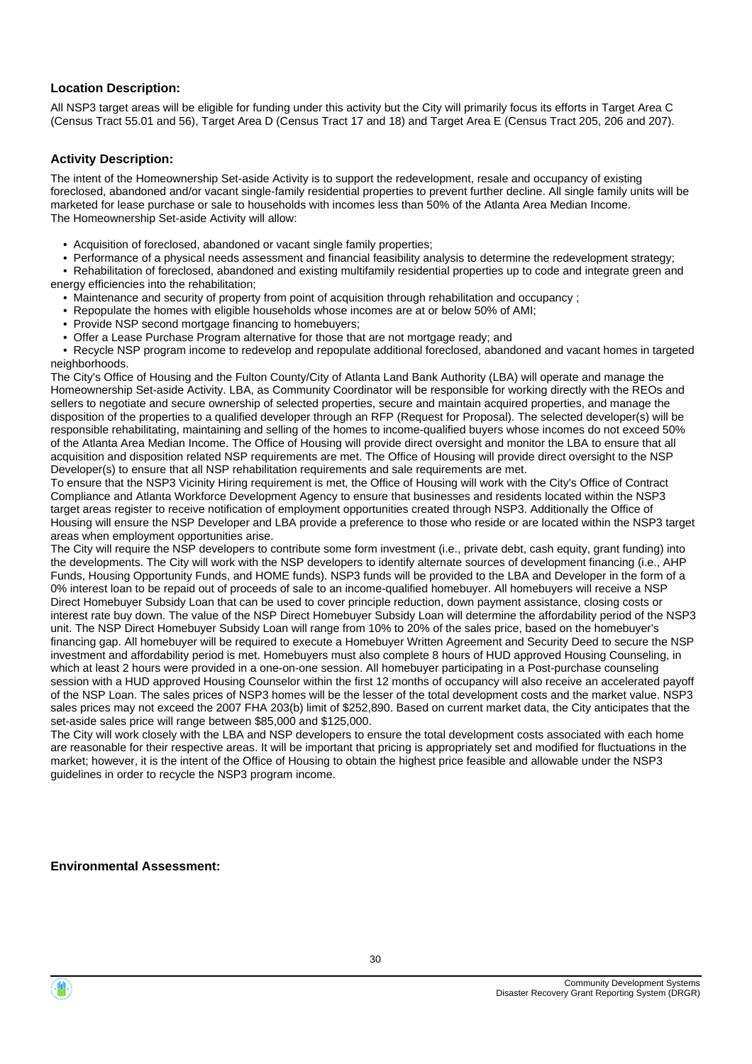#### **Location Description:**

All NSP3 target areas will be eligible for funding under this activity but the City will primarily focus its efforts in Target Area C (Census Tract 55.01 and 56), Target Area D (Census Tract 17 and 18) and Target Area E (Census Tract 205, 206 and 207).

#### **Activity Description:**

The intent of the Homeownership Set-aside Activity is to support the redevelopment, resale and occupancy of existing foreclosed, abandoned and/or vacant single-family residential properties to prevent further decline. All single family units will be marketed for lease purchase or sale to households with incomes less than 50% of the Atlanta Area Median Income. The Homeownership Set-aside Activity will allow:

- Acquisition of foreclosed, abandoned or vacant single family properties;
- Performance of a physical needs assessment and financial feasibility analysis to determine the redevelopment strategy;

 • Rehabilitation of foreclosed, abandoned and existing multifamily residential properties up to code and integrate green and energy efficiencies into the rehabilitation;

• Maintenance and security of property from point of acquisition through rehabilitation and occupancy ;

- Repopulate the homes with eligible households whose incomes are at or below 50% of AMI;
- Provide NSP second mortgage financing to homebuyers;
- Offer a Lease Purchase Program alternative for those that are not mortgage ready; and

 • Recycle NSP program income to redevelop and repopulate additional foreclosed, abandoned and vacant homes in targeted neighborhoods.

The City's Office of Housing and the Fulton County/City of Atlanta Land Bank Authority (LBA) will operate and manage the Homeownership Set-aside Activity. LBA, as Community Coordinator will be responsible for working directly with the REOs and sellers to negotiate and secure ownership of selected properties, secure and maintain acquired properties, and manage the disposition of the properties to a qualified developer through an RFP (Request for Proposal). The selected developer(s) will be responsible rehabilitating, maintaining and selling of the homes to income-qualified buyers whose incomes do not exceed 50% of the Atlanta Area Median Income. The Office of Housing will provide direct oversight and monitor the LBA to ensure that all acquisition and disposition related NSP requirements are met. The Office of Housing will provide direct oversight to the NSP Developer(s) to ensure that all NSP rehabilitation requirements and sale requirements are met.

To ensure that the NSP3 Vicinity Hiring requirement is met, the Office of Housing will work with the City's Office of Contract Compliance and Atlanta Workforce Development Agency to ensure that businesses and residents located within the NSP3 target areas register to receive notification of employment opportunities created through NSP3. Additionally the Office of Housing will ensure the NSP Developer and LBA provide a preference to those who reside or are located within the NSP3 target areas when employment opportunities arise.

The City will require the NSP developers to contribute some form investment (i.e., private debt, cash equity, grant funding) into the developments. The City will work with the NSP developers to identify alternate sources of development financing (i.e., AHP Funds, Housing Opportunity Funds, and HOME funds). NSP3 funds will be provided to the LBA and Developer in the form of a 0% interest loan to be repaid out of proceeds of sale to an income-qualified homebuyer. All homebuyers will receive a NSP Direct Homebuyer Subsidy Loan that can be used to cover principle reduction, down payment assistance, closing costs or interest rate buy down. The value of the NSP Direct Homebuyer Subsidy Loan will determine the affordability period of the NSP3 unit. The NSP Direct Homebuyer Subsidy Loan will range from 10% to 20% of the sales price, based on the homebuyer's financing gap. All homebuyer will be required to execute a Homebuyer Written Agreement and Security Deed to secure the NSP investment and affordability period is met. Homebuyers must also complete 8 hours of HUD approved Housing Counseling, in which at least 2 hours were provided in a one-on-one session. All homebuyer participating in a Post-purchase counseling session with a HUD approved Housing Counselor within the first 12 months of occupancy will also receive an accelerated payoff of the NSP Loan. The sales prices of NSP3 homes will be the lesser of the total development costs and the market value. NSP3 sales prices may not exceed the 2007 FHA 203(b) limit of \$252,890. Based on current market data, the City anticipates that the set-aside sales price will range between \$85,000 and \$125,000.

The City will work closely with the LBA and NSP developers to ensure the total development costs associated with each home are reasonable for their respective areas. It will be important that pricing is appropriately set and modified for fluctuations in the market; however, it is the intent of the Office of Housing to obtain the highest price feasible and allowable under the NSP3 guidelines in order to recycle the NSP3 program income.

#### **Environmental Assessment:**

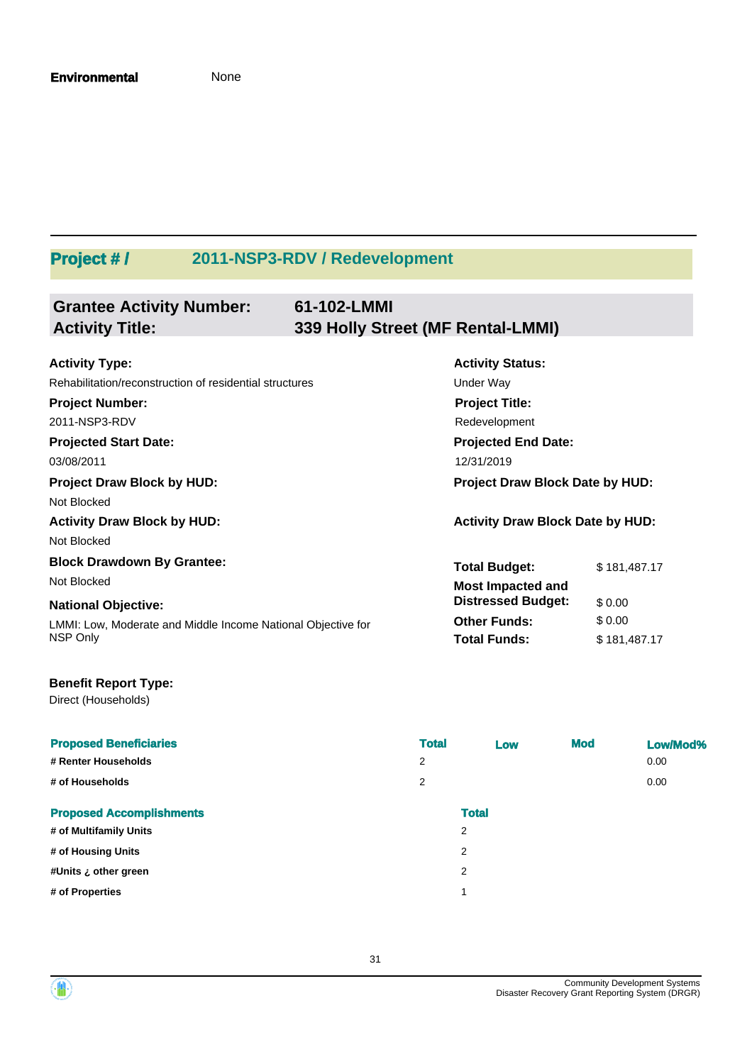# **Project # / 2011-NSP3-RDV / Redevelopment**

| <b>Grantee Activity Number:</b><br><b>Activity Title:</b>    | 61-102-LMMI<br>339 Holly Street (MF Rental-LMMI) |                                         |              |
|--------------------------------------------------------------|--------------------------------------------------|-----------------------------------------|--------------|
|                                                              |                                                  |                                         |              |
| <b>Activity Type:</b>                                        |                                                  | <b>Activity Status:</b>                 |              |
| Rehabilitation/reconstruction of residential structures      |                                                  | Under Way                               |              |
| <b>Project Number:</b>                                       |                                                  | <b>Project Title:</b>                   |              |
| 2011-NSP3-RDV                                                |                                                  | Redevelopment                           |              |
| <b>Projected Start Date:</b>                                 |                                                  | <b>Projected End Date:</b>              |              |
| 03/08/2011                                                   |                                                  | 12/31/2019                              |              |
| <b>Project Draw Block by HUD:</b>                            |                                                  | <b>Project Draw Block Date by HUD:</b>  |              |
| Not Blocked                                                  |                                                  |                                         |              |
| <b>Activity Draw Block by HUD:</b>                           |                                                  | <b>Activity Draw Block Date by HUD:</b> |              |
| Not Blocked                                                  |                                                  |                                         |              |
| <b>Block Drawdown By Grantee:</b>                            |                                                  | <b>Total Budget:</b>                    | \$181,487.17 |
| Not Blocked                                                  |                                                  | <b>Most Impacted and</b>                |              |
| <b>National Objective:</b>                                   |                                                  | <b>Distressed Budget:</b>               | \$0.00       |
| LMMI: Low, Moderate and Middle Income National Objective for |                                                  | <b>Other Funds:</b>                     | \$0.00       |
| NSP Only                                                     |                                                  | <b>Total Funds:</b>                     | \$181,487.17 |

### **Benefit Report Type:**

Direct (Households)

| <b>Proposed Beneficiaries</b><br># Renter Households<br># of Households | <b>Total</b><br>2<br>$\overline{2}$ | Low          | <b>Mod</b> | Low/Mod%<br>0.00<br>0.00 |
|-------------------------------------------------------------------------|-------------------------------------|--------------|------------|--------------------------|
| <b>Proposed Accomplishments</b>                                         |                                     | <b>Total</b> |            |                          |
| # of Multifamily Units                                                  |                                     | 2            |            |                          |
| # of Housing Units                                                      |                                     | 2            |            |                          |
| #Units ¿ other green                                                    |                                     | 2            |            |                          |
| # of Properties                                                         |                                     | 1            |            |                          |

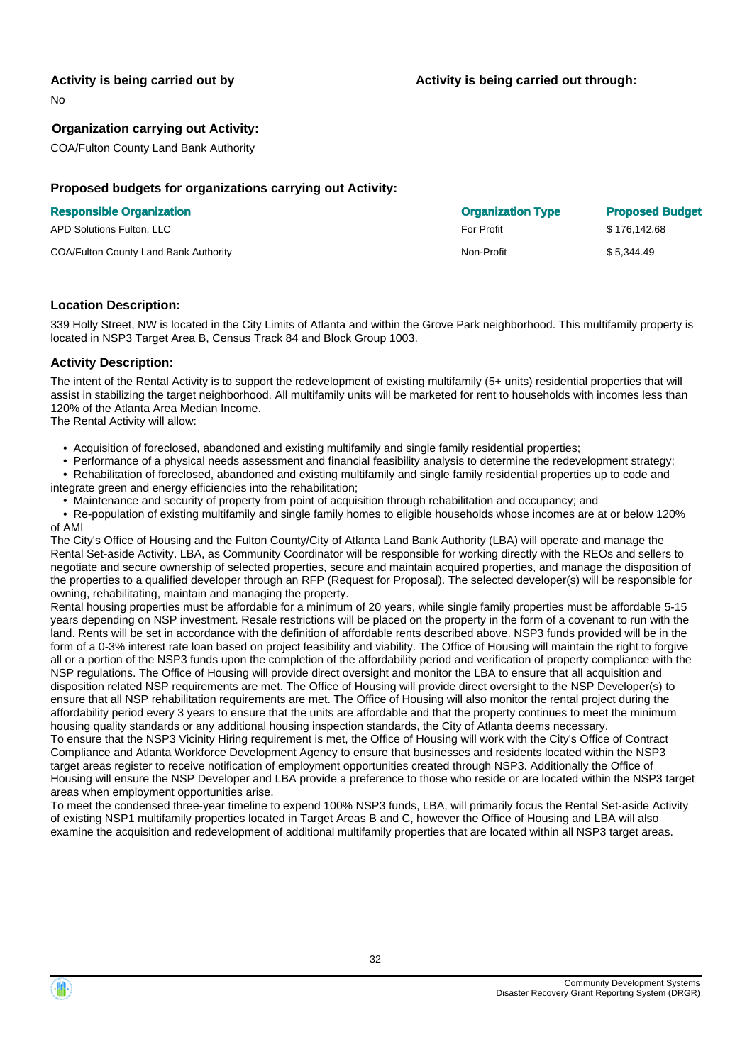#### **Activity is being carried out by**

No

#### **Organization carrying out Activity:**

COA/Fulton County Land Bank Authority

#### **Proposed budgets for organizations carrying out Activity:**

|  | <b>Responsible Organization</b> |  |
|--|---------------------------------|--|
|--|---------------------------------|--|

| APD Solutions Fulton. LLC             | <b>For Profit</b> | \$176,142.68 |
|---------------------------------------|-------------------|--------------|
| COA/Fulton County Land Bank Authority | Non-Profit        | \$5.344.49   |

# **Responsible Organization Organization Type Proposed Budget**

#### **Location Description:**

339 Holly Street, NW is located in the City Limits of Atlanta and within the Grove Park neighborhood. This multifamily property is located in NSP3 Target Area B, Census Track 84 and Block Group 1003.

#### **Activity Description:**

The intent of the Rental Activity is to support the redevelopment of existing multifamily (5+ units) residential properties that will assist in stabilizing the target neighborhood. All multifamily units will be marketed for rent to households with incomes less than 120% of the Atlanta Area Median Income.

The Rental Activity will allow:

• Acquisition of foreclosed, abandoned and existing multifamily and single family residential properties;

Performance of a physical needs assessment and financial feasibility analysis to determine the redevelopment strategy; • Rehabilitation of foreclosed, abandoned and existing multifamily and single family residential properties up to code and

integrate green and energy efficiencies into the rehabilitation;

• Maintenance and security of property from point of acquisition through rehabilitation and occupancy; and

 • Re-population of existing multifamily and single family homes to eligible households whose incomes are at or below 120% of AMI

The City's Office of Housing and the Fulton County/City of Atlanta Land Bank Authority (LBA) will operate and manage the Rental Set-aside Activity. LBA, as Community Coordinator will be responsible for working directly with the REOs and sellers to negotiate and secure ownership of selected properties, secure and maintain acquired properties, and manage the disposition of the properties to a qualified developer through an RFP (Request for Proposal). The selected developer(s) will be responsible for owning, rehabilitating, maintain and managing the property.

Rental housing properties must be affordable for a minimum of 20 years, while single family properties must be affordable 5-15 years depending on NSP investment. Resale restrictions will be placed on the property in the form of a covenant to run with the land. Rents will be set in accordance with the definition of affordable rents described above. NSP3 funds provided will be in the form of a 0-3% interest rate loan based on project feasibility and viability. The Office of Housing will maintain the right to forgive all or a portion of the NSP3 funds upon the completion of the affordability period and verification of property compliance with the NSP regulations. The Office of Housing will provide direct oversight and monitor the LBA to ensure that all acquisition and disposition related NSP requirements are met. The Office of Housing will provide direct oversight to the NSP Developer(s) to ensure that all NSP rehabilitation requirements are met. The Office of Housing will also monitor the rental project during the affordability period every 3 years to ensure that the units are affordable and that the property continues to meet the minimum housing quality standards or any additional housing inspection standards, the City of Atlanta deems necessary. To ensure that the NSP3 Vicinity Hiring requirement is met, the Office of Housing will work with the City's Office of Contract

Compliance and Atlanta Workforce Development Agency to ensure that businesses and residents located within the NSP3 target areas register to receive notification of employment opportunities created through NSP3. Additionally the Office of Housing will ensure the NSP Developer and LBA provide a preference to those who reside or are located within the NSP3 target areas when employment opportunities arise.

To meet the condensed three-year timeline to expend 100% NSP3 funds, LBA, will primarily focus the Rental Set-aside Activity of existing NSP1 multifamily properties located in Target Areas B and C, however the Office of Housing and LBA will also examine the acquisition and redevelopment of additional multifamily properties that are located within all NSP3 target areas.



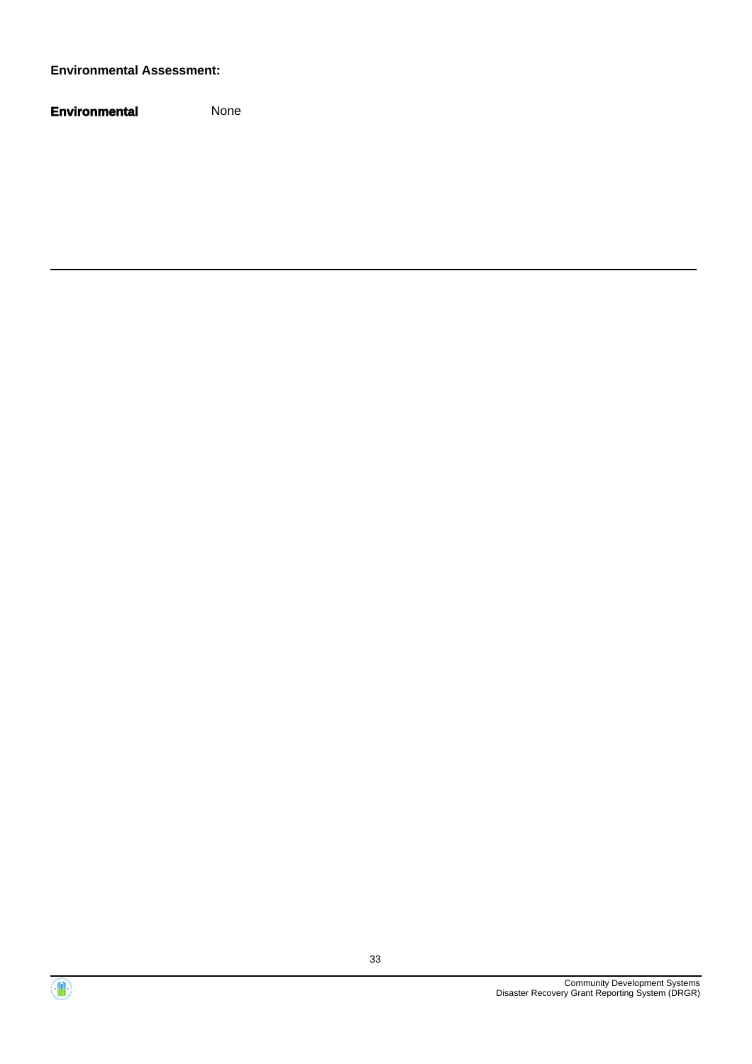#### **Environmental Assessment:**



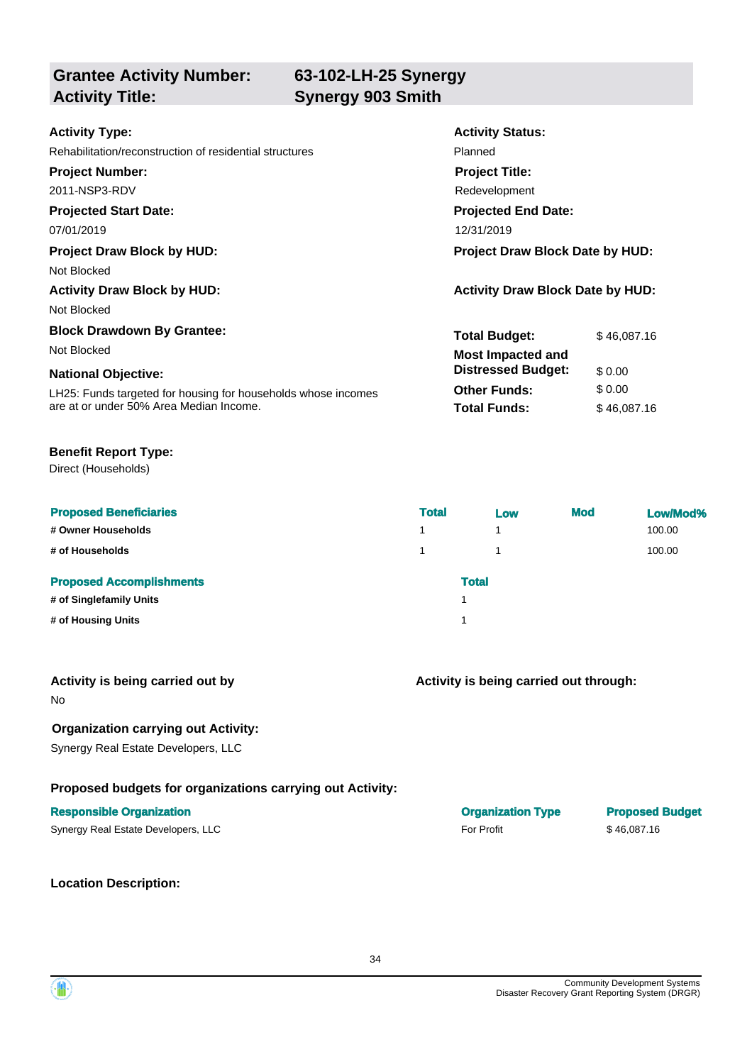**Grantee Activity Number: 63-102-LH-25 Synergy**

**Activity Title: Synergy 903 Smith**

| <b>Activity Type:</b>                                         | <b>Activity Status:</b>                 |             |  |
|---------------------------------------------------------------|-----------------------------------------|-------------|--|
| Rehabilitation/reconstruction of residential structures       | Planned                                 |             |  |
| <b>Project Number:</b>                                        | <b>Project Title:</b>                   |             |  |
| 2011-NSP3-RDV                                                 | Redevelopment                           |             |  |
| <b>Projected Start Date:</b>                                  | <b>Projected End Date:</b>              |             |  |
| 07/01/2019                                                    | 12/31/2019                              |             |  |
| <b>Project Draw Block by HUD:</b>                             | <b>Project Draw Block Date by HUD:</b>  |             |  |
| Not Blocked                                                   |                                         |             |  |
| <b>Activity Draw Block by HUD:</b>                            | <b>Activity Draw Block Date by HUD:</b> |             |  |
| Not Blocked                                                   |                                         |             |  |
| <b>Block Drawdown By Grantee:</b>                             | <b>Total Budget:</b>                    | \$46,087.16 |  |
| Not Blocked                                                   | <b>Most Impacted and</b>                |             |  |
| <b>National Objective:</b>                                    | <b>Distressed Budget:</b>               | \$0.00      |  |
| LH25: Funds targeted for housing for households whose incomes | <b>Other Funds:</b>                     | \$0.00      |  |
| are at or under 50% Area Median Income.                       | <b>Total Funds:</b>                     | \$46,087.16 |  |

#### **Benefit Report Type:**

Direct (Households)

| <b>Proposed Beneficiaries</b>   | <b>Total</b> | Low          | <b>Mod</b> | Low/Mod% |
|---------------------------------|--------------|--------------|------------|----------|
| # Owner Households              | 1            | 1            |            | 100.00   |
| # of Households                 | 1.           | 1            |            | 100.00   |
| <b>Proposed Accomplishments</b> |              | <b>Total</b> |            |          |
| # of Singlefamily Units         |              |              |            |          |
| # of Housing Units              |              |              |            |          |

No

#### **Organization carrying out Activity:**

Synergy Real Estate Developers, LLC

#### **Proposed budgets for organizations carrying out Activity:**

#### **Responsible Organization Organization Type Proposed Budget**

| Synergy Real Estate Developers, LLC | <b>For Profit</b> | \$46,087.16 |
|-------------------------------------|-------------------|-------------|
|-------------------------------------|-------------------|-------------|

**Location Description:**

**Activity is being carried out through:**

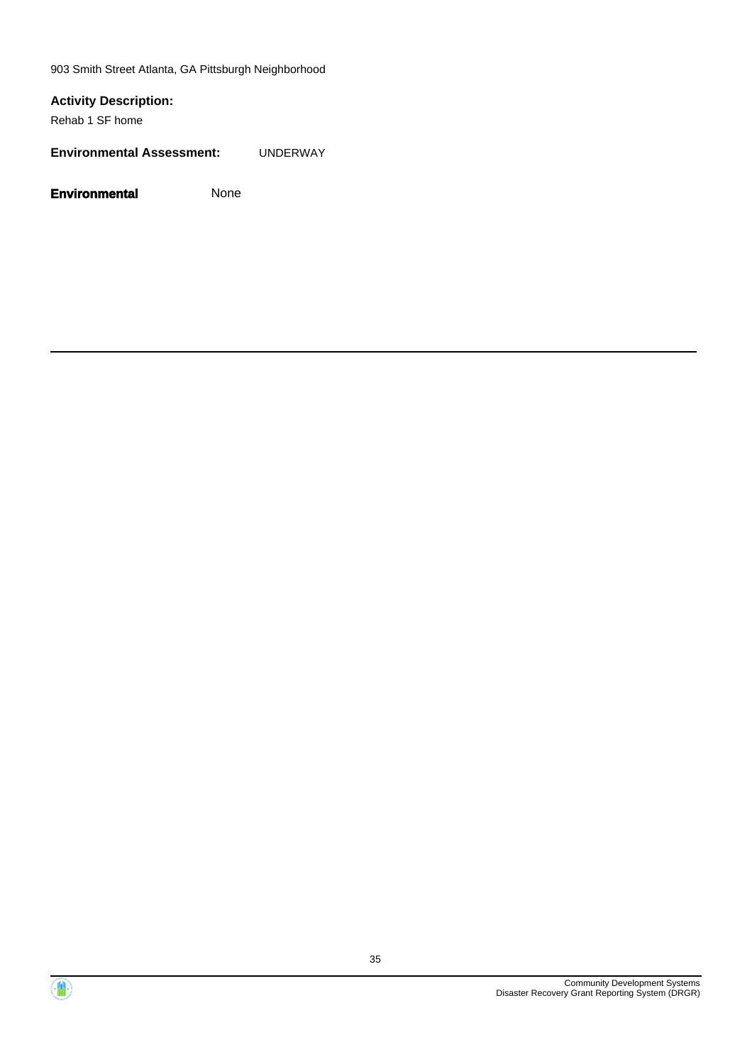903 Smith Street Atlanta, GA Pittsburgh Neighborhood

### **Activity Description:**

Rehab 1 SF home

**Environmental Assessment:** UNDERWAY



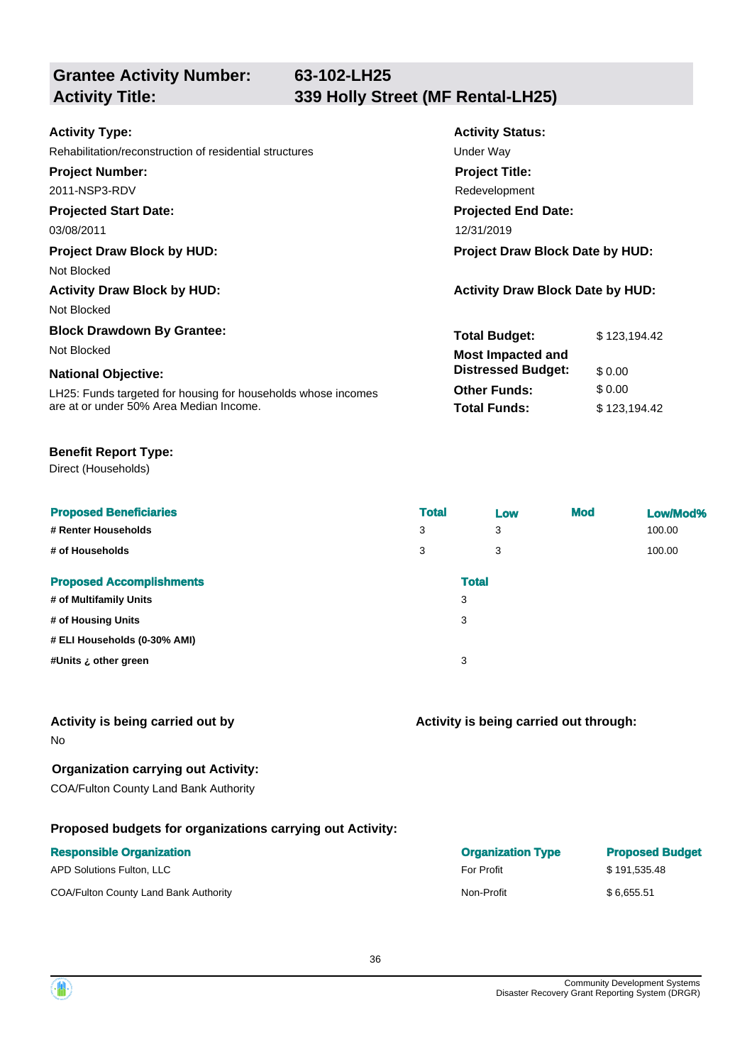**63-102-LH25**

**Grantee Activity Number:**

| <b>Activity Type:</b>                                         | <b>Activity Status:</b>                 |              |
|---------------------------------------------------------------|-----------------------------------------|--------------|
| Rehabilitation/reconstruction of residential structures       | Under Way                               |              |
| <b>Project Number:</b>                                        | <b>Project Title:</b>                   |              |
| 2011-NSP3-RDV                                                 | Redevelopment                           |              |
| <b>Projected Start Date:</b>                                  | <b>Projected End Date:</b>              |              |
| 03/08/2011                                                    | 12/31/2019                              |              |
| <b>Project Draw Block by HUD:</b>                             | <b>Project Draw Block Date by HUD:</b>  |              |
| Not Blocked                                                   |                                         |              |
| <b>Activity Draw Block by HUD:</b>                            | <b>Activity Draw Block Date by HUD:</b> |              |
| Not Blocked                                                   |                                         |              |
| <b>Block Drawdown By Grantee:</b>                             | <b>Total Budget:</b>                    | \$123,194.42 |
| Not Blocked                                                   | <b>Most Impacted and</b>                |              |
| <b>National Objective:</b>                                    | <b>Distressed Budget:</b>               | \$0.00       |
| LH25: Funds targeted for housing for households whose incomes | <b>Other Funds:</b>                     | \$0.00       |
| are at or under 50% Area Median Income.                       | <b>Total Funds:</b>                     | \$123,194.42 |
|                                                               |                                         |              |

#### **Benefit Report Type:**

Direct (Households)

| <b>Proposed Beneficiaries</b>   | <b>Total</b> | Low          | <b>Mod</b> | Low/Mod% |
|---------------------------------|--------------|--------------|------------|----------|
| # Renter Households             | 3            | 3            |            | 100.00   |
| # of Households                 | 3            | 3            |            | 100.00   |
| <b>Proposed Accomplishments</b> |              | <b>Total</b> |            |          |
| # of Multifamily Units          | 3            |              |            |          |
| # of Housing Units              | 3            |              |            |          |
| # ELI Households (0-30% AMI)    |              |              |            |          |
| #Units ¿ other green            | 3            |              |            |          |
|                                 |              |              |            |          |

#### **Activity is being carried out by**

No

#### **Organization carrying out Activity:**

COA/Fulton County Land Bank Authority

#### **Proposed budgets for organizations carrying out Activity:**

| <b>Responsible Organization</b>       | <b>Organization Type</b> | <b>Proposed Budget</b> |
|---------------------------------------|--------------------------|------------------------|
| APD Solutions Fulton, LLC             | <b>For Profit</b>        | \$191.535.48           |
| COA/Fulton County Land Bank Authority | Non-Profit               | \$6.655.51             |

**Activity is being carried out through:**

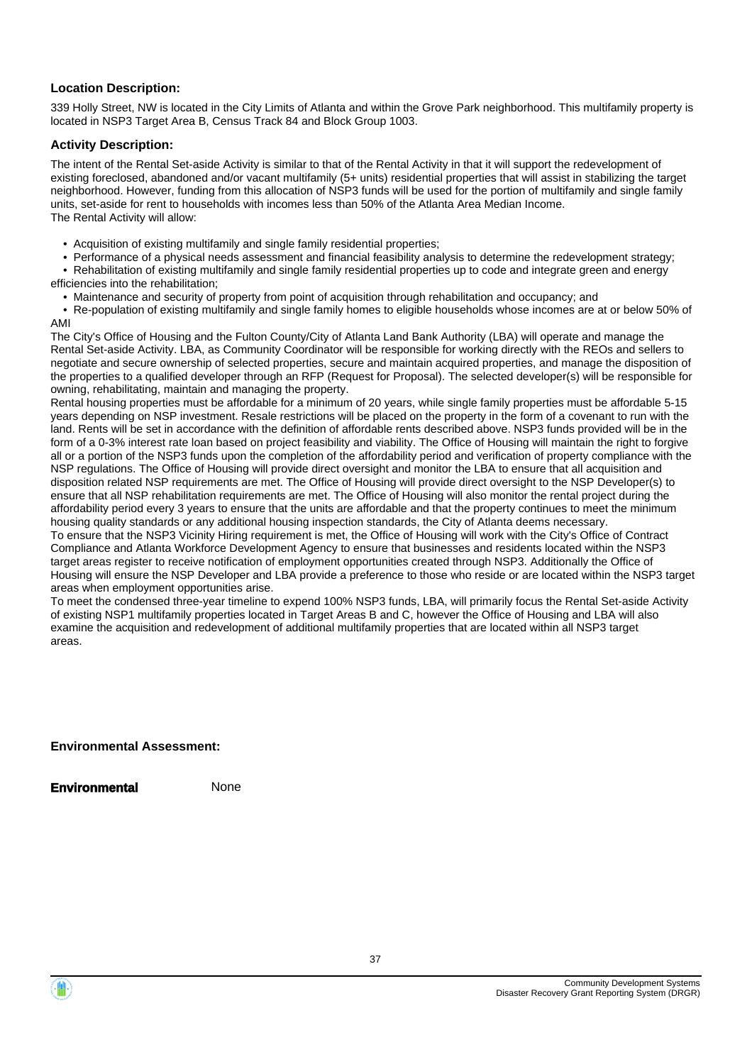#### **Location Description:**

339 Holly Street, NW is located in the City Limits of Atlanta and within the Grove Park neighborhood. This multifamily property is located in NSP3 Target Area B, Census Track 84 and Block Group 1003.

#### **Activity Description:**

The intent of the Rental Set-aside Activity is similar to that of the Rental Activity in that it will support the redevelopment of existing foreclosed, abandoned and/or vacant multifamily (5+ units) residential properties that will assist in stabilizing the target neighborhood. However, funding from this allocation of NSP3 funds will be used for the portion of multifamily and single family units, set-aside for rent to households with incomes less than 50% of the Atlanta Area Median Income. The Rental Activity will allow:

- Acquisition of existing multifamily and single family residential properties;
- Performance of a physical needs assessment and financial feasibility analysis to determine the redevelopment strategy;
- Rehabilitation of existing multifamily and single family residential properties up to code and integrate green and energy efficiencies into the rehabilitation;
	- Maintenance and security of property from point of acquisition through rehabilitation and occupancy; and

 • Re-population of existing multifamily and single family homes to eligible households whose incomes are at or below 50% of AMI

The City's Office of Housing and the Fulton County/City of Atlanta Land Bank Authority (LBA) will operate and manage the Rental Set-aside Activity. LBA, as Community Coordinator will be responsible for working directly with the REOs and sellers to negotiate and secure ownership of selected properties, secure and maintain acquired properties, and manage the disposition of the properties to a qualified developer through an RFP (Request for Proposal). The selected developer(s) will be responsible for owning, rehabilitating, maintain and managing the property.

Rental housing properties must be affordable for a minimum of 20 years, while single family properties must be affordable 5-15 years depending on NSP investment. Resale restrictions will be placed on the property in the form of a covenant to run with the land. Rents will be set in accordance with the definition of affordable rents described above. NSP3 funds provided will be in the form of a 0-3% interest rate loan based on project feasibility and viability. The Office of Housing will maintain the right to forgive all or a portion of the NSP3 funds upon the completion of the affordability period and verification of property compliance with the NSP regulations. The Office of Housing will provide direct oversight and monitor the LBA to ensure that all acquisition and disposition related NSP requirements are met. The Office of Housing will provide direct oversight to the NSP Developer(s) to ensure that all NSP rehabilitation requirements are met. The Office of Housing will also monitor the rental project during the affordability period every 3 years to ensure that the units are affordable and that the property continues to meet the minimum housing quality standards or any additional housing inspection standards, the City of Atlanta deems necessary.

To ensure that the NSP3 Vicinity Hiring requirement is met, the Office of Housing will work with the City's Office of Contract Compliance and Atlanta Workforce Development Agency to ensure that businesses and residents located within the NSP3 target areas register to receive notification of employment opportunities created through NSP3. Additionally the Office of Housing will ensure the NSP Developer and LBA provide a preference to those who reside or are located within the NSP3 target areas when employment opportunities arise.

To meet the condensed three-year timeline to expend 100% NSP3 funds, LBA, will primarily focus the Rental Set-aside Activity of existing NSP1 multifamily properties located in Target Areas B and C, however the Office of Housing and LBA will also examine the acquisition and redevelopment of additional multifamily properties that are located within all NSP3 target areas.

#### **Environmental Assessment:**

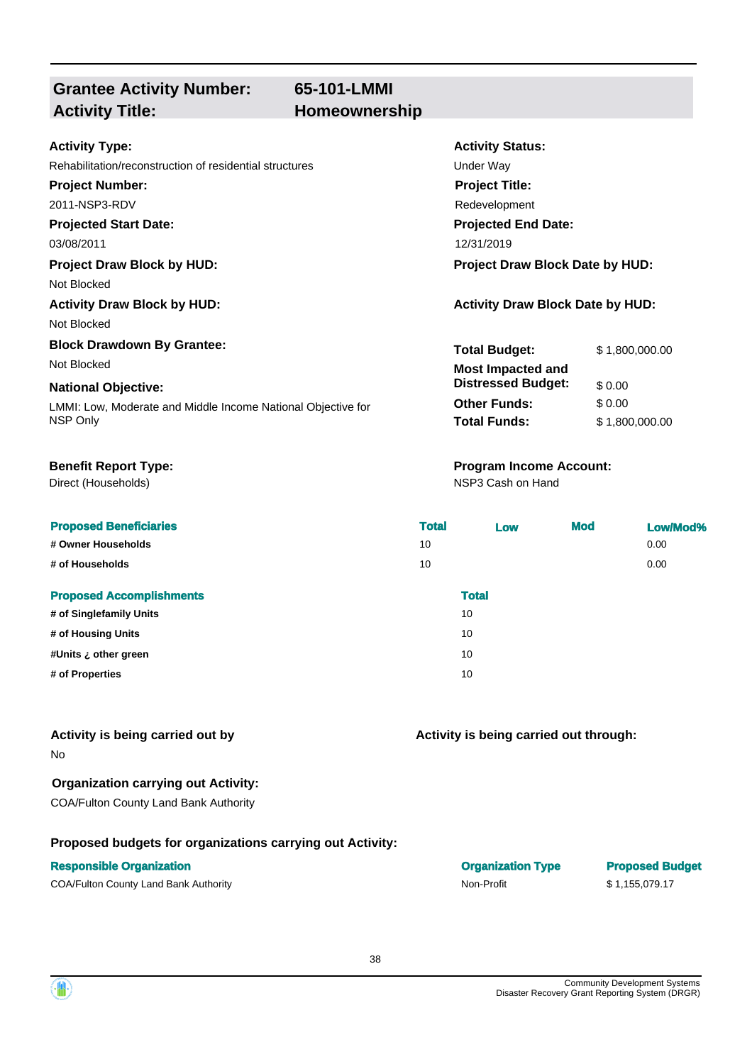# **Grantee Activity Number:** Activity Title: **Homeownership**

# **65-101-LMMI**

#### **Activity Type:**

#### Rehabilitation/reconstruction of residential structures

#### **Project Number:**

2011-NSP3-RDV

### **Projected Start Date:**

03/08/2011

#### **Project Draw Block by HUD: Project Draw Block Date by HUD:**

Not Blocked

Not Blocked

#### **Block Drawdown By Grantee:**

#### **National Objective:**

Direct (Households)

#### **Proposed Beneficiaries**

# **# Owner Households**

**# of Households** 

#### **Proposed Accomplishments**

- **# of Singlefamily Units # of Housing Units #Units ¿ other green** 10
- $#$  of Properties

# **Activity is being carried out by**

No

# **Organization carrying out Activity:**

COA/Fulton County Land Bank Authority

### **Proposed budgets for organizations carrying out Activity:**

| <b>Activity Status:</b>        |
|--------------------------------|
| Under Wav                      |
| <b>Project Title:</b>          |
| Redevelopment                  |
| <b>Projected End Date:</b>     |
| 12/31/2019                     |
| Desiaat Deau: Diaak Data ku Hi |

### **Activity Draw Block by HUD: Activity Draw Block Date by HUD:**

| <b>Total Budget:</b>      | \$1,800,000.00 |
|---------------------------|----------------|
| <b>Most Impacted and</b>  |                |
| <b>Distressed Budget:</b> | \$0.00         |
| <b>Other Funds:</b>       | \$ 0.00        |
| <b>Total Funds:</b>       | \$1,800,000.00 |
|                           |                |

# **Benefit Report Type: Program Income Account:**

NSP3 Cash on Hand

| <b>Total</b> | <b>Low</b>   | <b>Mod</b> | Low/Mod% |
|--------------|--------------|------------|----------|
| 10           |              |            | 0.00     |
| 10           |              |            | 0.00     |
|              | <b>Total</b> |            |          |
|              | 10           |            |          |
|              | 10           |            |          |
|              | 10           |            |          |
|              | 10           |            |          |
|              |              |            |          |

**Activity is being carried out through:**

| <b>Responsible Organization</b>       | <b>Organization Type</b> | <b>Proposed Budget</b> |
|---------------------------------------|--------------------------|------------------------|
| COA/Fulton County Land Bank Authority | Non-Profit               | \$1.155.079.17         |

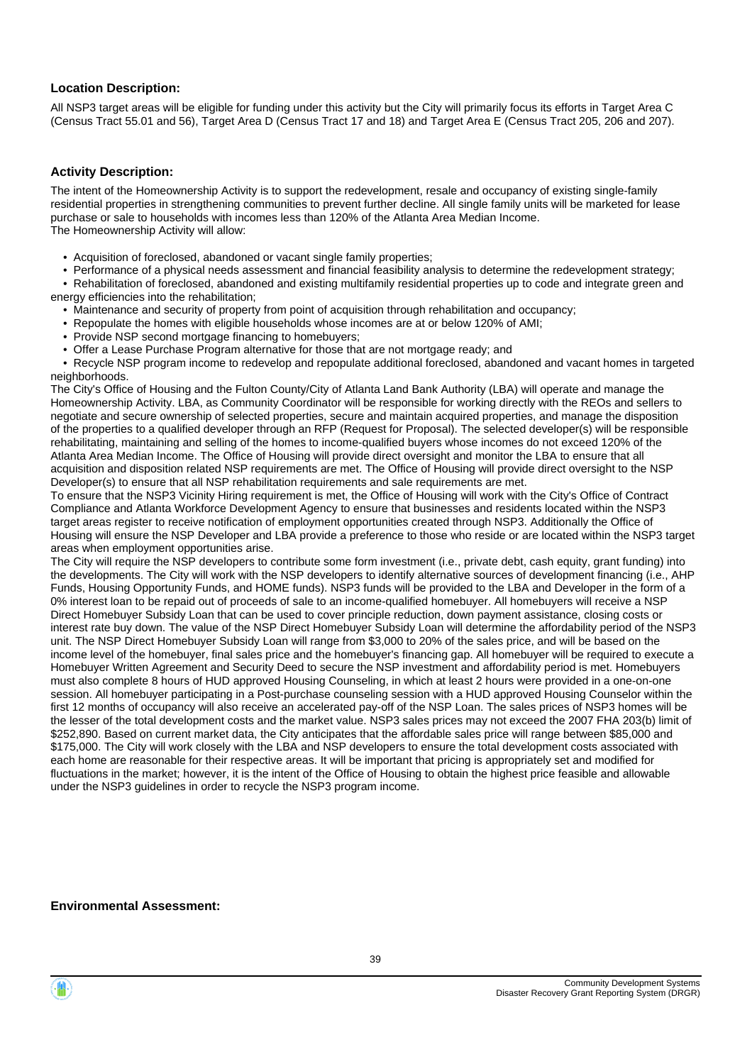#### **Location Description:**

All NSP3 target areas will be eligible for funding under this activity but the City will primarily focus its efforts in Target Area C (Census Tract 55.01 and 56), Target Area D (Census Tract 17 and 18) and Target Area E (Census Tract 205, 206 and 207).

#### **Activity Description:**

The intent of the Homeownership Activity is to support the redevelopment, resale and occupancy of existing single-family residential properties in strengthening communities to prevent further decline. All single family units will be marketed for lease purchase or sale to households with incomes less than 120% of the Atlanta Area Median Income. The Homeownership Activity will allow:

- Acquisition of foreclosed, abandoned or vacant single family properties;
- Performance of a physical needs assessment and financial feasibility analysis to determine the redevelopment strategy;

 • Rehabilitation of foreclosed, abandoned and existing multifamily residential properties up to code and integrate green and energy efficiencies into the rehabilitation;

- Maintenance and security of property from point of acquisition through rehabilitation and occupancy;
- Repopulate the homes with eligible households whose incomes are at or below 120% of AMI;
- Provide NSP second mortgage financing to homebuyers;
- Offer a Lease Purchase Program alternative for those that are not mortgage ready; and

 • Recycle NSP program income to redevelop and repopulate additional foreclosed, abandoned and vacant homes in targeted neighborhoods.

The City's Office of Housing and the Fulton County/City of Atlanta Land Bank Authority (LBA) will operate and manage the Homeownership Activity. LBA, as Community Coordinator will be responsible for working directly with the REOs and sellers to negotiate and secure ownership of selected properties, secure and maintain acquired properties, and manage the disposition of the properties to a qualified developer through an RFP (Request for Proposal). The selected developer(s) will be responsible rehabilitating, maintaining and selling of the homes to income-qualified buyers whose incomes do not exceed 120% of the Atlanta Area Median Income. The Office of Housing will provide direct oversight and monitor the LBA to ensure that all acquisition and disposition related NSP requirements are met. The Office of Housing will provide direct oversight to the NSP Developer(s) to ensure that all NSP rehabilitation requirements and sale requirements are met.

To ensure that the NSP3 Vicinity Hiring requirement is met, the Office of Housing will work with the City's Office of Contract Compliance and Atlanta Workforce Development Agency to ensure that businesses and residents located within the NSP3 target areas register to receive notification of employment opportunities created through NSP3. Additionally the Office of Housing will ensure the NSP Developer and LBA provide a preference to those who reside or are located within the NSP3 target areas when employment opportunities arise.

The City will require the NSP developers to contribute some form investment (i.e., private debt, cash equity, grant funding) into the developments. The City will work with the NSP developers to identify alternative sources of development financing (i.e., AHP Funds, Housing Opportunity Funds, and HOME funds). NSP3 funds will be provided to the LBA and Developer in the form of a 0% interest loan to be repaid out of proceeds of sale to an income-qualified homebuyer. All homebuyers will receive a NSP Direct Homebuyer Subsidy Loan that can be used to cover principle reduction, down payment assistance, closing costs or interest rate buy down. The value of the NSP Direct Homebuyer Subsidy Loan will determine the affordability period of the NSP3 unit. The NSP Direct Homebuyer Subsidy Loan will range from \$3,000 to 20% of the sales price, and will be based on the income level of the homebuyer, final sales price and the homebuyer's financing gap. All homebuyer will be required to execute a Homebuyer Written Agreement and Security Deed to secure the NSP investment and affordability period is met. Homebuyers must also complete 8 hours of HUD approved Housing Counseling, in which at least 2 hours were provided in a one-on-one session. All homebuyer participating in a Post-purchase counseling session with a HUD approved Housing Counselor within the first 12 months of occupancy will also receive an accelerated pay-off of the NSP Loan. The sales prices of NSP3 homes will be the lesser of the total development costs and the market value. NSP3 sales prices may not exceed the 2007 FHA 203(b) limit of \$252,890. Based on current market data, the City anticipates that the affordable sales price will range between \$85,000 and \$175,000. The City will work closely with the LBA and NSP developers to ensure the total development costs associated with each home are reasonable for their respective areas. It will be important that pricing is appropriately set and modified for fluctuations in the market; however, it is the intent of the Office of Housing to obtain the highest price feasible and allowable under the NSP3 guidelines in order to recycle the NSP3 program income.

#### **Environmental Assessment:**

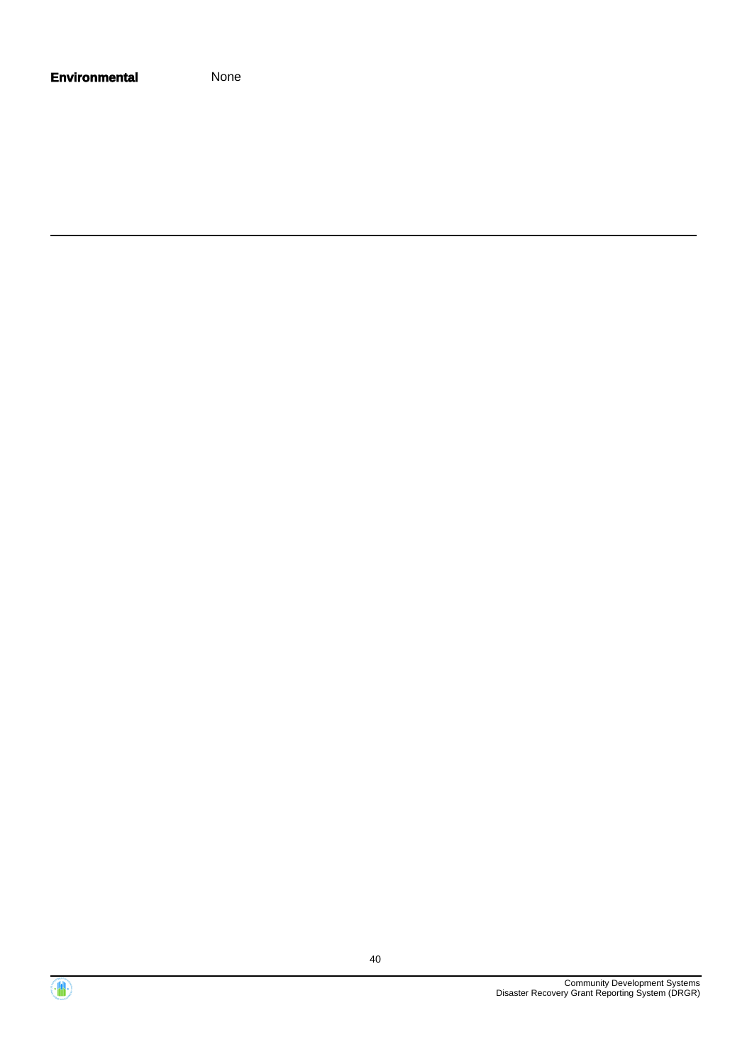| <b>Environmental</b> | None |
|----------------------|------|
|----------------------|------|

Community Development Systems Disaster Recovery Grant Reporting System (DRGR)

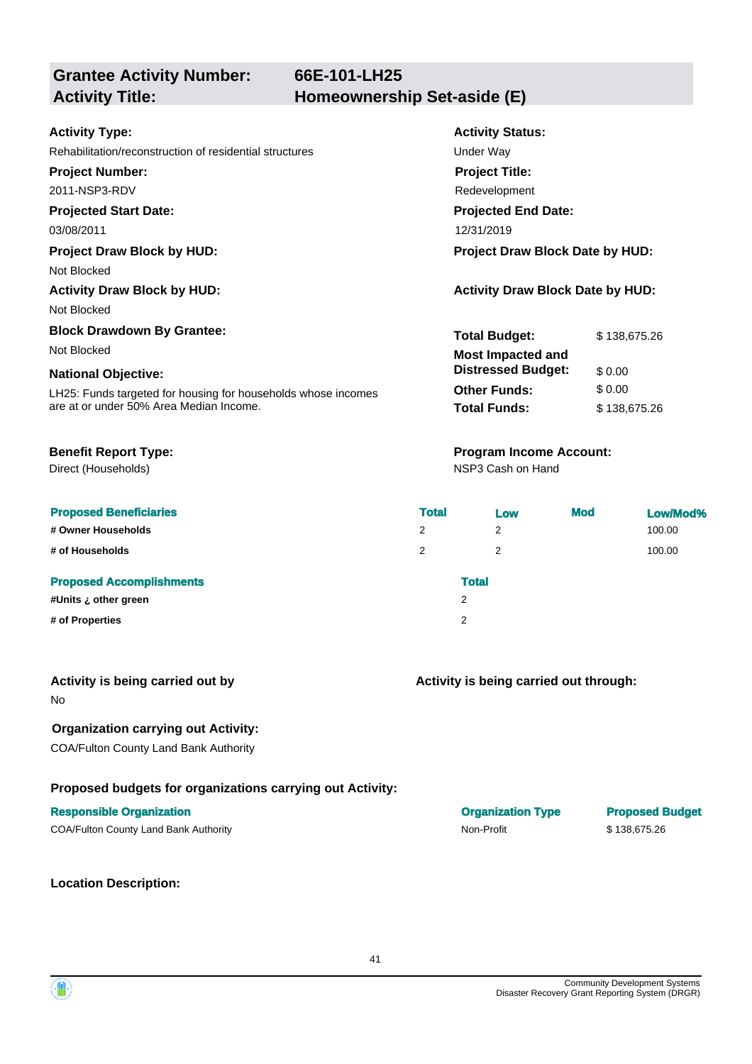**Grantee Activity Number:**

#### **Activity Type:**

Rehabilitation/reconstruction of residential structures Theorem Construction of residential structures

**Project Number:**

2011-NSP3-RDV

#### **Projected Start Date:**

Not Blocked

Not Blocked

# **Block Drawdown By Grantee:**

#### **National Objective:**

Direct (Households)

#### **Proposed Beneficiaries**

**# Owner Households** 2 2 100.00

**# of Households** 

#### **Proposed Accomplishments**

**#Units ¿ other green** 2 **# of Properties** 2

# **Activity Status: Projected End Date:** 03/08/2011 12/31/2019 **Project Title:** Redevelopment **Total Budget:**  $$ 138,675.26$ **Project Draw Block by HUD: Project Draw Block Date by HUD: Activity Draw Block by HUD: Activity Draw Block Date by HUD:**

|                                                               | Tulai Duuyel.             | <b>JUS.C</b> 100,000 |
|---------------------------------------------------------------|---------------------------|----------------------|
| Not Blocked                                                   | <b>Most Impacted and</b>  |                      |
| <b>National Objective:</b>                                    | <b>Distressed Budget:</b> | \$0.00               |
| LH25: Funds targeted for housing for households whose incomes | <b>Other Funds:</b>       | \$0.00               |
| are at or under 50% Area Median Income.                       | <b>Total Funds:</b>       | \$138,675,26         |

### **Benefit Report Type: Program Income Account:**

NSP3 Cash on Hand

| <b>Total</b> |              | Low | <b>Mod</b> | Low/Mod% |
|--------------|--------------|-----|------------|----------|
| 2            | 2            |     |            | 100.00   |
| 2            | 2            |     |            | 100.00   |
|              | <b>Total</b> |     |            |          |
|              | 2            |     |            |          |
|              | 2            |     |            |          |

# **Activity is being carried out by**

No

### **Organization carrying out Activity:**

COA/Fulton County Land Bank Authority

### **Proposed budgets for organizations carrying out Activity:**

### **Responsible Organization Organization Type Proposed Budget**

COA/Fulton County Land Bank Authority Non-Profit \$ 138,675.26

**Location Description:**

**Activity is being carried out through:**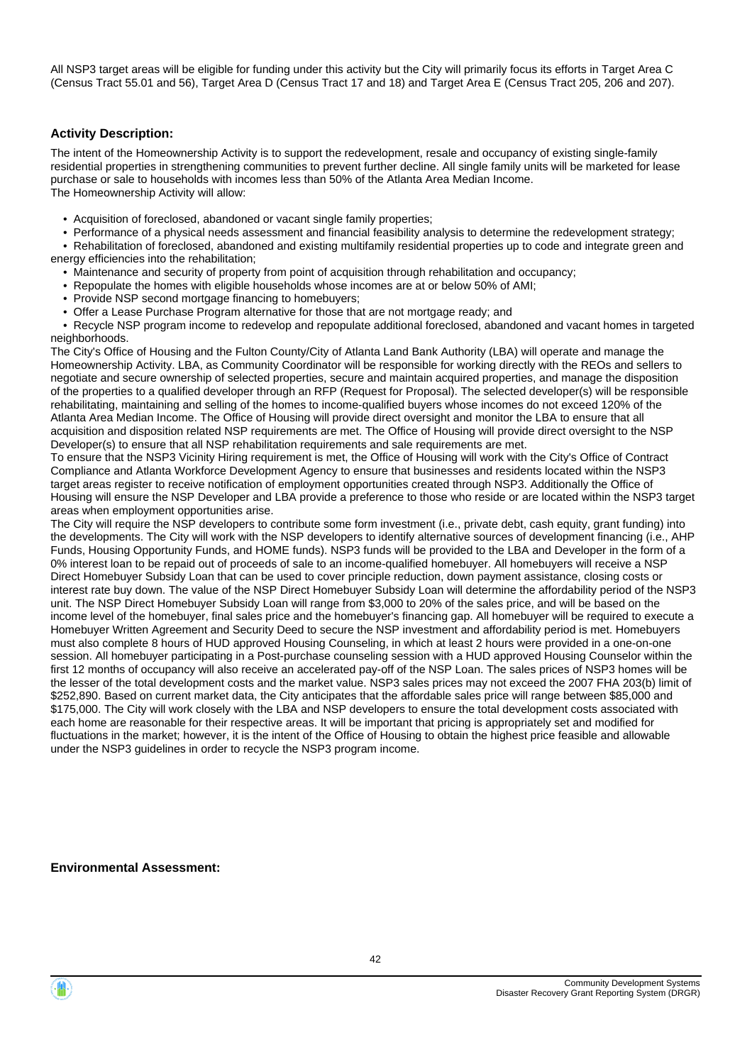All NSP3 target areas will be eligible for funding under this activity but the City will primarily focus its efforts in Target Area C (Census Tract 55.01 and 56), Target Area D (Census Tract 17 and 18) and Target Area E (Census Tract 205, 206 and 207).

#### **Activity Description:**

The intent of the Homeownership Activity is to support the redevelopment, resale and occupancy of existing single-family residential properties in strengthening communities to prevent further decline. All single family units will be marketed for lease purchase or sale to households with incomes less than 50% of the Atlanta Area Median Income. The Homeownership Activity will allow:

- Acquisition of foreclosed, abandoned or vacant single family properties;
- Performance of a physical needs assessment and financial feasibility analysis to determine the redevelopment strategy;

 • Rehabilitation of foreclosed, abandoned and existing multifamily residential properties up to code and integrate green and energy efficiencies into the rehabilitation;

- Maintenance and security of property from point of acquisition through rehabilitation and occupancy;
- Repopulate the homes with eligible households whose incomes are at or below 50% of AMI;
- Provide NSP second mortgage financing to homebuyers;
- Offer a Lease Purchase Program alternative for those that are not mortgage ready; and

 • Recycle NSP program income to redevelop and repopulate additional foreclosed, abandoned and vacant homes in targeted neighborhoods.

The City's Office of Housing and the Fulton County/City of Atlanta Land Bank Authority (LBA) will operate and manage the Homeownership Activity. LBA, as Community Coordinator will be responsible for working directly with the REOs and sellers to negotiate and secure ownership of selected properties, secure and maintain acquired properties, and manage the disposition of the properties to a qualified developer through an RFP (Request for Proposal). The selected developer(s) will be responsible rehabilitating, maintaining and selling of the homes to income-qualified buyers whose incomes do not exceed 120% of the Atlanta Area Median Income. The Office of Housing will provide direct oversight and monitor the LBA to ensure that all acquisition and disposition related NSP requirements are met. The Office of Housing will provide direct oversight to the NSP Developer(s) to ensure that all NSP rehabilitation requirements and sale requirements are met.

To ensure that the NSP3 Vicinity Hiring requirement is met, the Office of Housing will work with the City's Office of Contract Compliance and Atlanta Workforce Development Agency to ensure that businesses and residents located within the NSP3 target areas register to receive notification of employment opportunities created through NSP3. Additionally the Office of Housing will ensure the NSP Developer and LBA provide a preference to those who reside or are located within the NSP3 target areas when employment opportunities arise.

The City will require the NSP developers to contribute some form investment (i.e., private debt, cash equity, grant funding) into the developments. The City will work with the NSP developers to identify alternative sources of development financing (i.e., AHP Funds, Housing Opportunity Funds, and HOME funds). NSP3 funds will be provided to the LBA and Developer in the form of a 0% interest loan to be repaid out of proceeds of sale to an income-qualified homebuyer. All homebuyers will receive a NSP Direct Homebuyer Subsidy Loan that can be used to cover principle reduction, down payment assistance, closing costs or interest rate buy down. The value of the NSP Direct Homebuyer Subsidy Loan will determine the affordability period of the NSP3 unit. The NSP Direct Homebuyer Subsidy Loan will range from \$3,000 to 20% of the sales price, and will be based on the income level of the homebuyer, final sales price and the homebuyer's financing gap. All homebuyer will be required to execute a Homebuyer Written Agreement and Security Deed to secure the NSP investment and affordability period is met. Homebuyers must also complete 8 hours of HUD approved Housing Counseling, in which at least 2 hours were provided in a one-on-one session. All homebuyer participating in a Post-purchase counseling session with a HUD approved Housing Counselor within the first 12 months of occupancy will also receive an accelerated pay-off of the NSP Loan. The sales prices of NSP3 homes will be the lesser of the total development costs and the market value. NSP3 sales prices may not exceed the 2007 FHA 203(b) limit of \$252,890. Based on current market data, the City anticipates that the affordable sales price will range between \$85,000 and \$175,000. The City will work closely with the LBA and NSP developers to ensure the total development costs associated with each home are reasonable for their respective areas. It will be important that pricing is appropriately set and modified for fluctuations in the market; however, it is the intent of the Office of Housing to obtain the highest price feasible and allowable under the NSP3 guidelines in order to recycle the NSP3 program income.

#### **Environmental Assessment:**

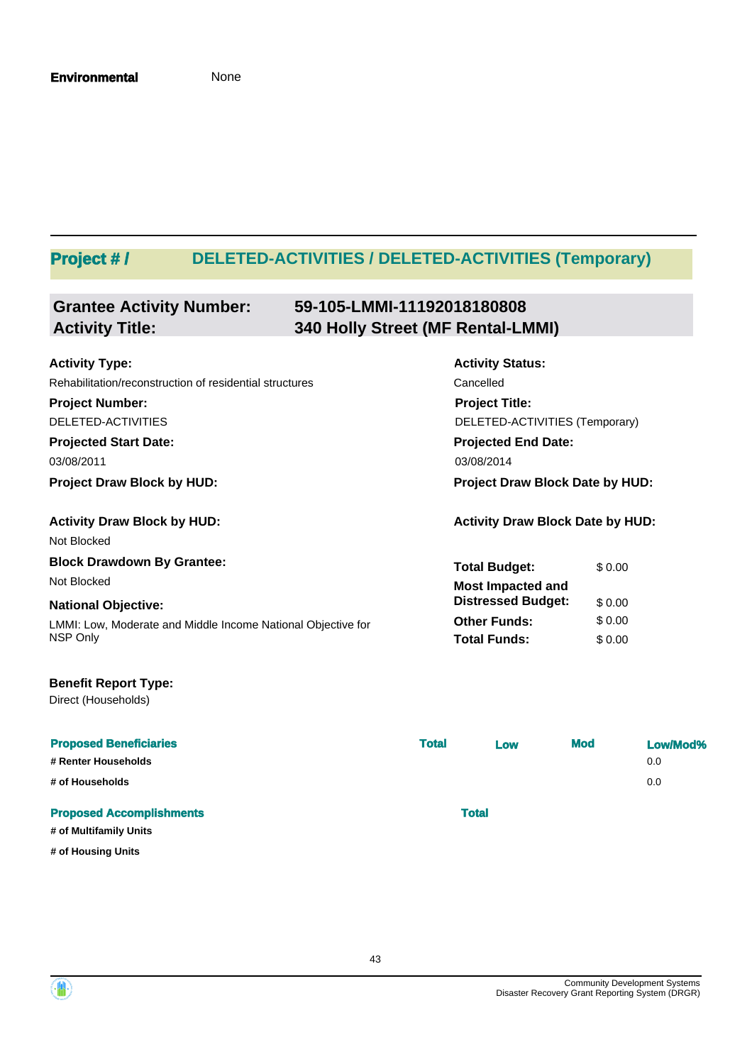# **Project # / DELETED-ACTIVITIES / DELETED-ACTIVITIES (Temporary)**

#### **Grantee Activity Number: 59-105-LMMI-11192018180808 Activity Title: 340 Holly Street (MF Rental-LMMI)**

| <b>Activity Type:</b>                                        | <b>Activity Status:</b>                 |        |  |
|--------------------------------------------------------------|-----------------------------------------|--------|--|
| Rehabilitation/reconstruction of residential structures      | Cancelled                               |        |  |
| <b>Project Number:</b>                                       | <b>Project Title:</b>                   |        |  |
| DELETED-ACTIVITIES                                           | DELETED-ACTIVITIES (Temporary)          |        |  |
| <b>Projected Start Date:</b>                                 | <b>Projected End Date:</b>              |        |  |
| 03/08/2011                                                   | 03/08/2014                              |        |  |
| <b>Project Draw Block by HUD:</b>                            | Project Draw Block Date by HUD:         |        |  |
| <b>Activity Draw Block by HUD:</b>                           | <b>Activity Draw Block Date by HUD:</b> |        |  |
| Not Blocked                                                  |                                         |        |  |
| <b>Block Drawdown By Grantee:</b>                            | <b>Total Budget:</b>                    | \$0.00 |  |
| Not Blocked                                                  | <b>Most Impacted and</b>                |        |  |
| <b>National Objective:</b>                                   | <b>Distressed Budget:</b>               | \$0.00 |  |
| LMMI: Low, Moderate and Middle Income National Objective for | <b>Other Funds:</b>                     | \$0.00 |  |
| NSP Only                                                     | <b>Total Funds:</b>                     | \$0.00 |  |

### **Benefit Report Type:**

Direct (Households)

| <b>Proposed Beneficiaries</b>   | <b>Total</b> | Low          | <b>Mod</b> | Low/Mod% |
|---------------------------------|--------------|--------------|------------|----------|
| # Renter Households             |              |              |            | 0.0      |
| # of Households                 |              |              |            | 0.0      |
| <b>Proposed Accomplishments</b> |              | <b>Total</b> |            |          |
| # of Multifamily Units          |              |              |            |          |
| # of Housing Units              |              |              |            |          |



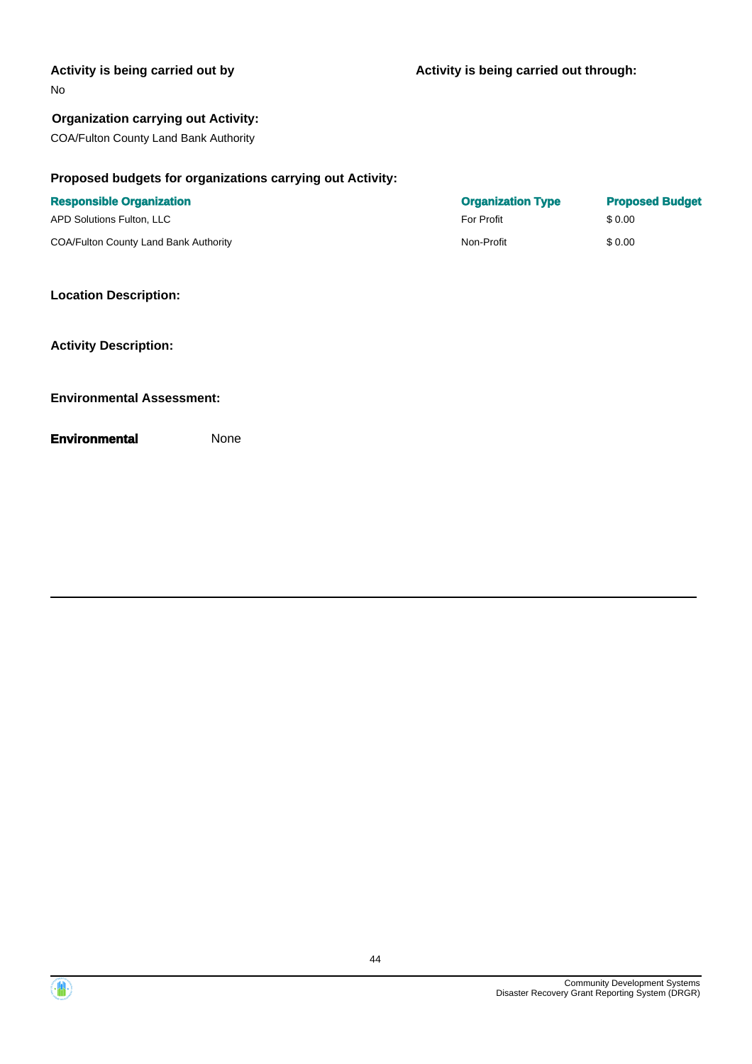#### **Activity is being carried out by**

#### No

#### **Organization carrying out Activity:**

COA/Fulton County Land Bank Authority

#### **Proposed budgets for organizations carrying out Activity:**

| <b>Responsible Organization</b>              | <b>Organization Type</b> | <b>Proposed Budget</b> |
|----------------------------------------------|--------------------------|------------------------|
| APD Solutions Fulton, LLC                    | For Profit               | \$ 0.00                |
| <b>COA/Fulton County Land Bank Authority</b> | Non-Profit               | \$0.00                 |

#### **Location Description:**

**Activity Description:**

#### **Environmental Assessment:**



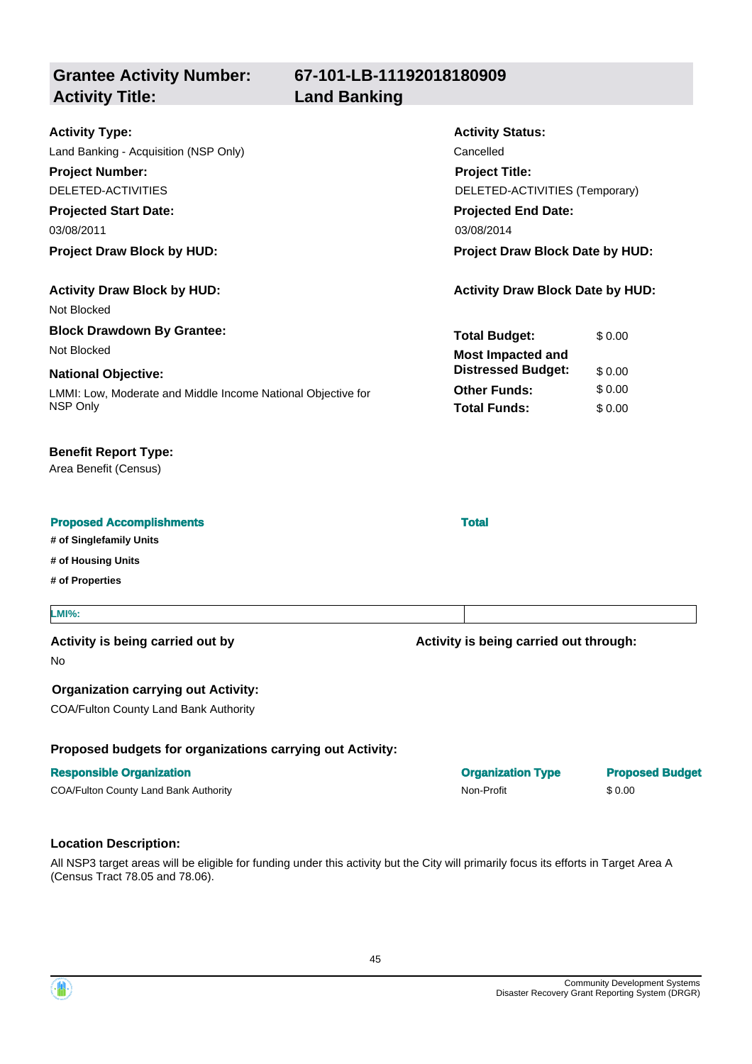**67-101-LB-11192018180909**

**Land Banking** 

| <b>Grantee Activity Number:</b> |
|---------------------------------|
| <b>Activity Title:</b>          |

| <b>Activity Type:</b>                                        | <b>Activity Status:</b>                 |        |
|--------------------------------------------------------------|-----------------------------------------|--------|
| Land Banking - Acquisition (NSP Only)                        | Cancelled                               |        |
| <b>Project Number:</b>                                       | <b>Project Title:</b>                   |        |
| DELETED-ACTIVITIES                                           | DELETED-ACTIVITIES (Temporary)          |        |
| <b>Projected Start Date:</b>                                 | <b>Projected End Date:</b>              |        |
| 03/08/2011                                                   | 03/08/2014                              |        |
| <b>Project Draw Block by HUD:</b>                            | <b>Project Draw Block Date by HUD:</b>  |        |
| <b>Activity Draw Block by HUD:</b>                           | <b>Activity Draw Block Date by HUD:</b> |        |
| Not Blocked                                                  |                                         |        |
| <b>Block Drawdown By Grantee:</b>                            | <b>Total Budget:</b>                    | \$0.00 |
| Not Blocked                                                  | <b>Most Impacted and</b>                |        |
| <b>National Objective:</b>                                   | <b>Distressed Budget:</b>               | \$0.00 |
| LMMI: Low, Moderate and Middle Income National Objective for | <b>Other Funds:</b>                     | \$0.00 |
| NSP Only                                                     | <b>Total Funds:</b>                     | \$0.00 |
|                                                              |                                         |        |

#### **Benefit Report Type:**

Area Benefit (Census)

#### **Proposed Accomplishments Total**

**# of Singlefamily Units**

**# of Housing Units**

**# of Properties**

#### **LMI%:**

#### **Activity is being carried out by**

No

#### **Organization carrying out Activity:**

COA/Fulton County Land Bank Authority

#### **Proposed budgets for organizations carrying out Activity:**

#### **Responsible Organization Organization Type Proposed Budget**

COA/Fulton County Land Bank Authority **Non-Profit** Non-Profit \$ 0.00

### **Location Description:**

All NSP3 target areas will be eligible for funding under this activity but the City will primarily focus its efforts in Target Area A (Census Tract 78.05 and 78.06).

45

**Activity is being carried out through:**

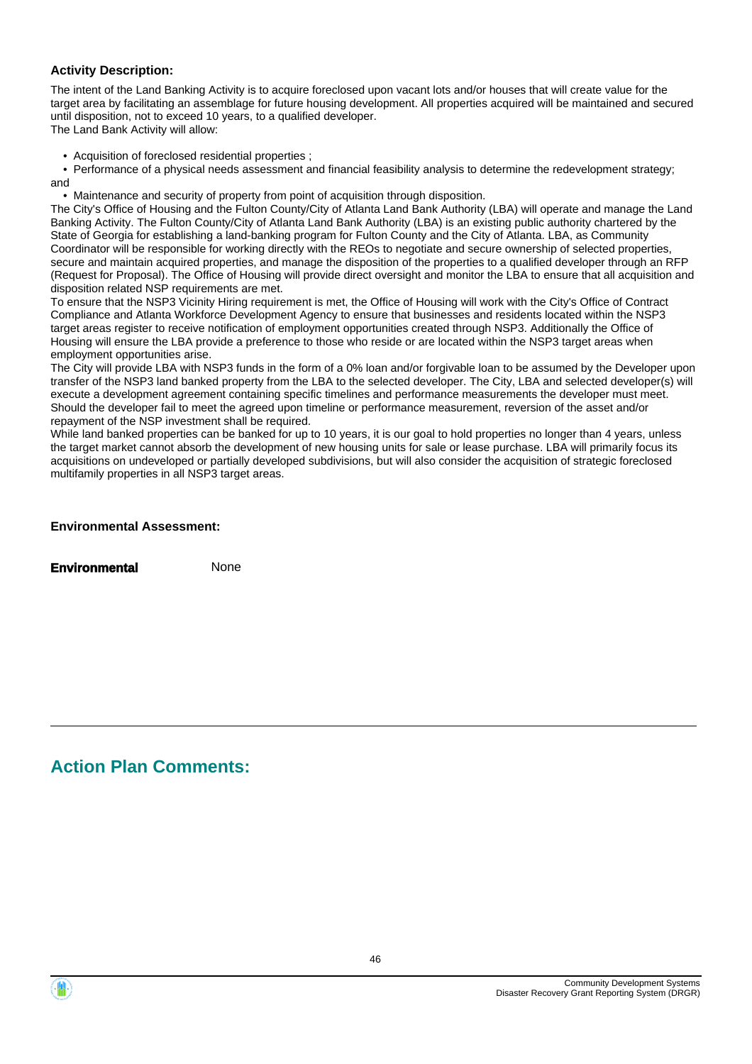#### **Activity Description:**

The intent of the Land Banking Activity is to acquire foreclosed upon vacant lots and/or houses that will create value for the target area by facilitating an assemblage for future housing development. All properties acquired will be maintained and secured until disposition, not to exceed 10 years, to a qualified developer.

The Land Bank Activity will allow:

• Acquisition of foreclosed residential properties ;

 • Performance of a physical needs assessment and financial feasibility analysis to determine the redevelopment strategy; and

• Maintenance and security of property from point of acquisition through disposition.

The City's Office of Housing and the Fulton County/City of Atlanta Land Bank Authority (LBA) will operate and manage the Land Banking Activity. The Fulton County/City of Atlanta Land Bank Authority (LBA) is an existing public authority chartered by the State of Georgia for establishing a land-banking program for Fulton County and the City of Atlanta. LBA, as Community Coordinator will be responsible for working directly with the REOs to negotiate and secure ownership of selected properties, secure and maintain acquired properties, and manage the disposition of the properties to a qualified developer through an RFP (Request for Proposal). The Office of Housing will provide direct oversight and monitor the LBA to ensure that all acquisition and disposition related NSP requirements are met.

To ensure that the NSP3 Vicinity Hiring requirement is met, the Office of Housing will work with the City's Office of Contract Compliance and Atlanta Workforce Development Agency to ensure that businesses and residents located within the NSP3 target areas register to receive notification of employment opportunities created through NSP3. Additionally the Office of Housing will ensure the LBA provide a preference to those who reside or are located within the NSP3 target areas when employment opportunities arise.

The City will provide LBA with NSP3 funds in the form of a 0% loan and/or forgivable loan to be assumed by the Developer upon transfer of the NSP3 land banked property from the LBA to the selected developer. The City, LBA and selected developer(s) will execute a development agreement containing specific timelines and performance measurements the developer must meet. Should the developer fail to meet the agreed upon timeline or performance measurement, reversion of the asset and/or repayment of the NSP investment shall be required.

While land banked properties can be banked for up to 10 years, it is our goal to hold properties no longer than 4 years, unless the target market cannot absorb the development of new housing units for sale or lease purchase. LBA will primarily focus its acquisitions on undeveloped or partially developed subdivisions, but will also consider the acquisition of strategic foreclosed multifamily properties in all NSP3 target areas.

| <b>Environmental Assessment:</b> |  |
|----------------------------------|--|
|----------------------------------|--|

**Environmental** None

# **Action Plan Comments:**